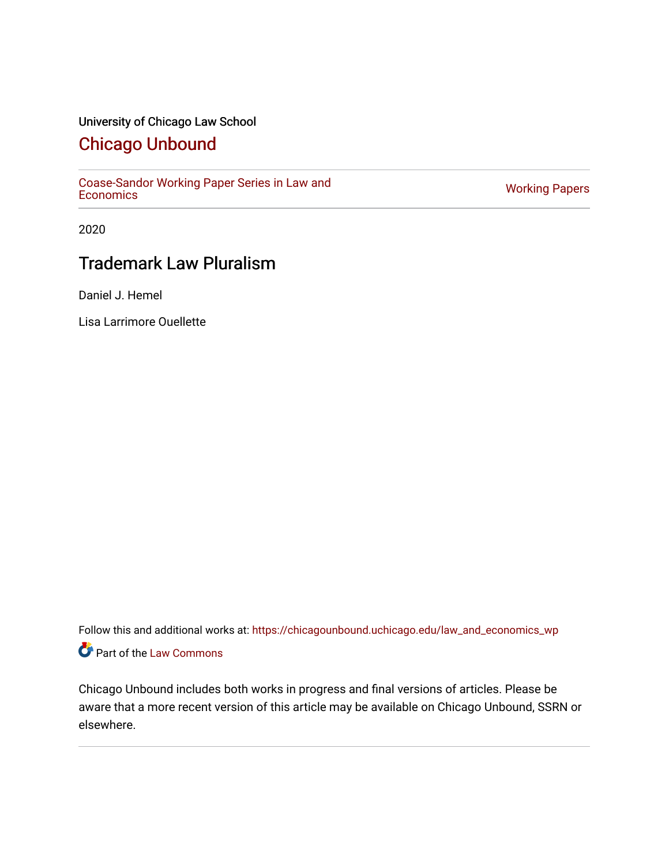# University of Chicago Law School

# [Chicago Unbound](https://chicagounbound.uchicago.edu/)

[Coase-Sandor Working Paper Series in Law and](https://chicagounbound.uchicago.edu/law_and_economics_wp) [Economics](https://chicagounbound.uchicago.edu/law_and_economics_wp) [Working Papers](https://chicagounbound.uchicago.edu/working_papers) 

2020

# Trademark Law Pluralism

Daniel J. Hemel

Lisa Larrimore Ouellette

Follow this and additional works at: [https://chicagounbound.uchicago.edu/law\\_and\\_economics\\_wp](https://chicagounbound.uchicago.edu/law_and_economics_wp?utm_source=chicagounbound.uchicago.edu%2Flaw_and_economics_wp%2F28&utm_medium=PDF&utm_campaign=PDFCoverPages)  Part of the [Law Commons](http://network.bepress.com/hgg/discipline/578?utm_source=chicagounbound.uchicago.edu%2Flaw_and_economics_wp%2F28&utm_medium=PDF&utm_campaign=PDFCoverPages)

Chicago Unbound includes both works in progress and final versions of articles. Please be aware that a more recent version of this article may be available on Chicago Unbound, SSRN or elsewhere.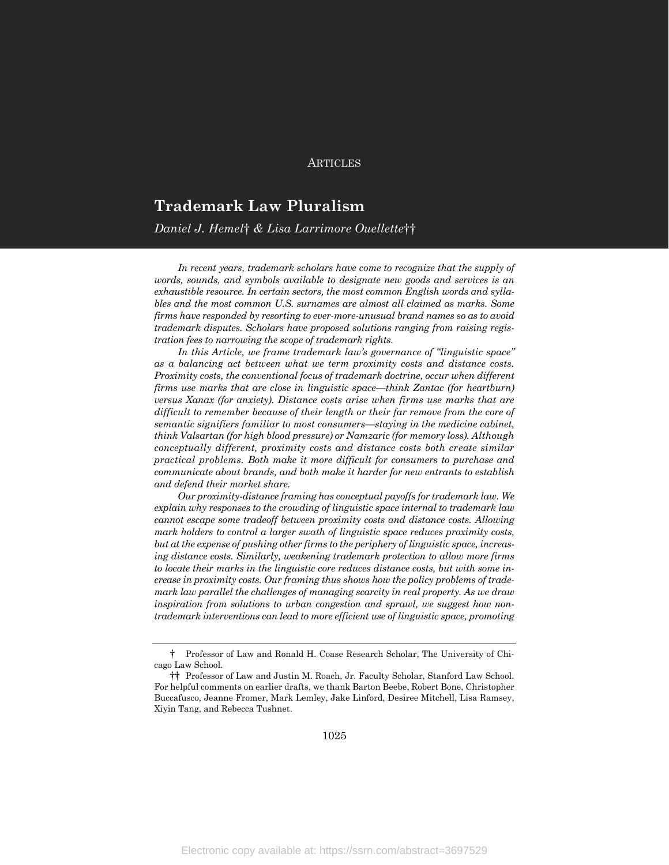#### **ARTICLES**

# **Trademark Law Pluralism**

# *Daniel J. Hemel*† *& Lisa Larrimore Ouellette*††

In recent years, trademark scholars have come to recognize that the supply of *words, sounds, and symbols available to designate new goods and services is an exhaustible resource. In certain sectors, the most common English words and syllables and the most common U.S. surnames are almost all claimed as marks. Some firms have responded by resorting to ever-more-unusual brand names so as to avoid trademark disputes. Scholars have proposed solutions ranging from raising registration fees to narrowing the scope of trademark rights.*

*In this Article, we frame trademark law's governance of "linguistic space" as a balancing act between what we term proximity costs and distance costs. Proximity costs, the conventional focus of trademark doctrine, occur when different firms use marks that are close in linguistic space—think Zantac (for heartburn) versus Xanax (for anxiety). Distance costs arise when firms use marks that are difficult to remember because of their length or their far remove from the core of semantic signifiers familiar to most consumers—staying in the medicine cabinet, think Valsartan (for high blood pressure) or Namzaric (for memory loss). Although conceptually different, proximity costs and distance costs both create similar practical problems. Both make it more difficult for consumers to purchase and communicate about brands, and both make it harder for new entrants to establish and defend their market share.*

*Our proximity-distance framing has conceptual payoffs for trademark law. We explain why responses to the crowding of linguistic space internal to trademark law cannot escape some tradeoff between proximity costs and distance costs. Allowing mark holders to control a larger swath of linguistic space reduces proximity costs, but at the expense of pushing other firms to the periphery of linguistic space, increasing distance costs. Similarly, weakening trademark protection to allow more firms to locate their marks in the linguistic core reduces distance costs, but with some increase in proximity costs. Our framing thus shows how the policy problems of trademark law parallel the challenges of managing scarcity in real property. As we draw inspiration from solutions to urban congestion and sprawl, we suggest how nontrademark interventions can lead to more efficient use of linguistic space, promoting* 

<sup>†</sup> Professor of Law and Ronald H. Coase Research Scholar, The University of Chicago Law School.

<sup>††</sup> Professor of Law and Justin M. Roach, Jr. Faculty Scholar, Stanford Law School. For helpful comments on earlier drafts, we thank Barton Beebe, Robert Bone, Christopher Buccafusco, Jeanne Fromer, Mark Lemley, Jake Linford, Desiree Mitchell, Lisa Ramsey, Xiyin Tang, and Rebecca Tushnet.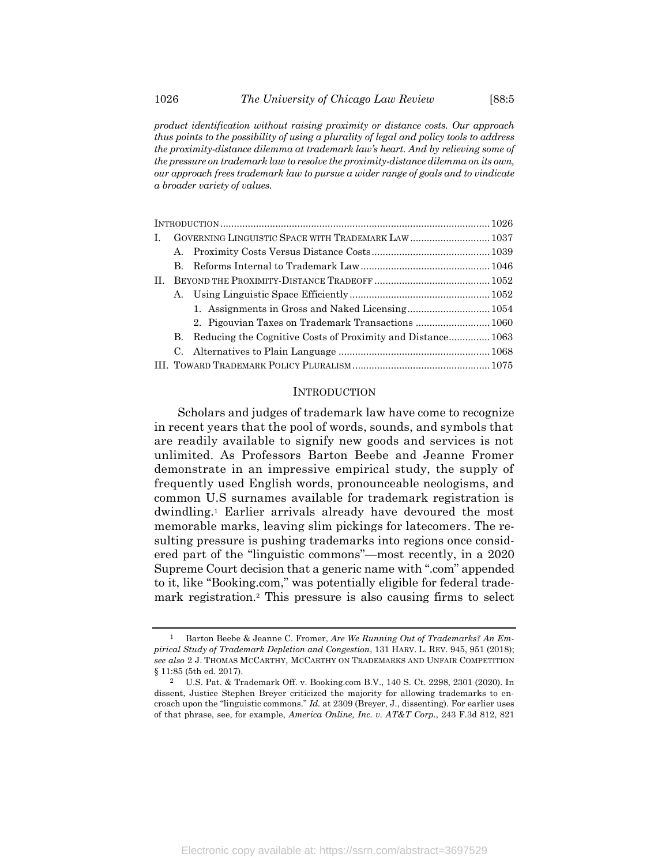*product identification without raising proximity or distance costs. Our approach thus points to the possibility of using a plurality of legal and policy tools to address the proximity-distance dilemma at trademark law's heart. And by relieving some of the pressure on trademark law to resolve the proximity-distance dilemma on its own, our approach frees trademark law to pursue a wider range of goals and to vindicate a broader variety of values.*

| L. |           | GOVERNING LINGUISTIC SPACE WITH TRADEMARK LAW  1037         |  |
|----|-----------|-------------------------------------------------------------|--|
|    | А.        |                                                             |  |
|    | B.        |                                                             |  |
| H. |           |                                                             |  |
|    | А.        |                                                             |  |
|    |           |                                                             |  |
|    |           | 2. Pigouvian Taxes on Trademark Transactions  1060          |  |
|    | В.        | Reducing the Cognitive Costs of Proximity and Distance 1063 |  |
|    | <b>C.</b> |                                                             |  |
|    |           |                                                             |  |

#### **INTRODUCTION**

<span id="page-2-0"></span>Scholars and judges of trademark law have come to recognize in recent years that the pool of words, sounds, and symbols that are readily available to signify new goods and services is not unlimited. As Professors Barton Beebe and Jeanne Fromer demonstrate in an impressive empirical study, the supply of frequently used English words, pronounceable neologisms, and common U.S surnames available for trademark registration is dwindling.<sup>1</sup> Earlier arrivals already have devoured the most memorable marks, leaving slim pickings for latecomers. The resulting pressure is pushing trademarks into regions once considered part of the "linguistic commons"—most recently, in a 2020 Supreme Court decision that a generic name with ".com" appended to it, like "Booking.com," was potentially eligible for federal trademark registration.<sup>2</sup> This pressure is also causing firms to select

<span id="page-2-1"></span><sup>1</sup> Barton Beebe & Jeanne C. Fromer, *Are We Running Out of Trademarks? An Empirical Study of Trademark Depletion and Congestion*, 131 HARV. L. REV. 945, 951 (2018); *see also* 2 J. THOMAS MCCARTHY, MCCARTHY ON TRADEMARKS AND UNFAIR COMPETITION § 11:85 (5th ed. 2017).

<sup>2</sup> U.S. Pat. & Trademark Off. v. Booking.com B.V., 140 S. Ct. 2298, 2301 (2020). In dissent, Justice Stephen Breyer criticized the majority for allowing trademarks to encroach upon the "linguistic commons." *Id.* at 2309 (Breyer, J., dissenting). For earlier uses of that phrase, see, for example, *America Online, Inc. v. AT&T Corp.*, 243 F.3d 812, 821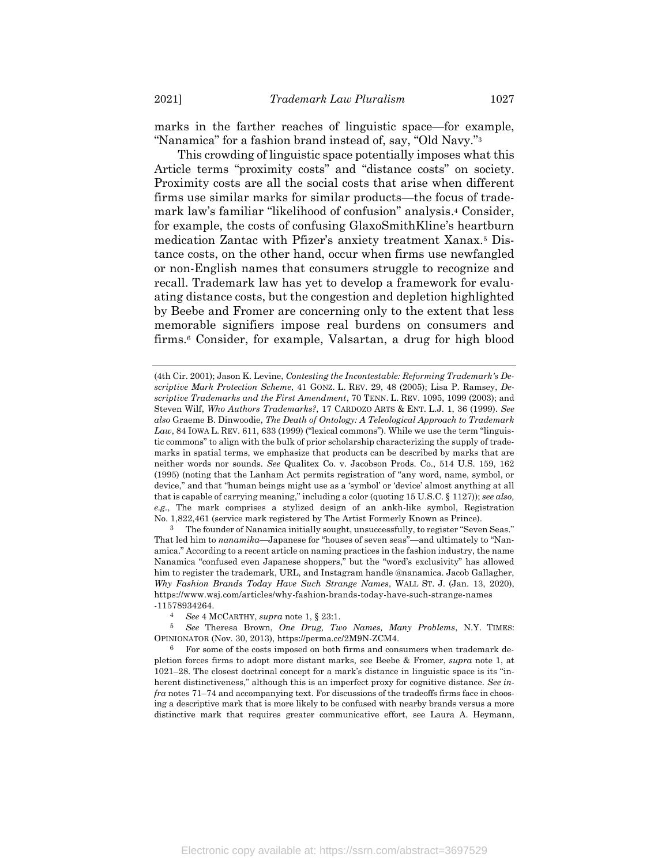marks in the farther reaches of linguistic space—for example, "Nanamica" for a fashion brand instead of, say, "Old Navy."<sup>3</sup>

This crowding of linguistic space potentially imposes what this Article terms "proximity costs" and "distance costs" on society. Proximity costs are all the social costs that arise when different firms use similar marks for similar products—the focus of trademark law's familiar "likelihood of confusion" analysis. <sup>4</sup> Consider, for example, the costs of confusing GlaxoSmithKline's heartburn medication Zantac with Pfizer's anxiety treatment Xanax.<sup>5</sup> Distance costs, on the other hand, occur when firms use newfangled or non-English names that consumers struggle to recognize and recall. Trademark law has yet to develop a framework for evaluating distance costs, but the congestion and depletion highlighted by Beebe and Fromer are concerning only to the extent that less memorable signifiers impose real burdens on consumers and firms. <sup>6</sup> Consider, for example, Valsartan, a drug for high blood

3 The founder of Nanamica initially sought, unsuccessfully, to register "Seven Seas." That led him to *nanamika*—Japanese for "houses of seven seas"—and ultimately to "Nanamica." According to a recent article on naming practices in the fashion industry, the name Nanamica "confused even Japanese shoppers," but the "word's exclusivity" has allowed him to register the trademark, URL, and Instagram handle @nanamica. Jacob Gallagher, *Why Fashion Brands Today Have Such Strange Names*, WALL ST. J. (Jan. 13, 2020), https://www.wsj.com/articles/why-fashion-brands-today-have-such-strange-names -11578934264.

<sup>(4</sup>th Cir. 2001); Jason K. Levine, *Contesting the Incontestable: Reforming Trademark's Descriptive Mark Protection Scheme*, 41 GONZ. L. REV. 29, 48 (2005); Lisa P. Ramsey, *Descriptive Trademarks and the First Amendment*, 70 TENN. L. REV. 1095, 1099 (2003); and Steven Wilf, *Who Authors Trademarks?*, 17 CARDOZO ARTS & ENT. L.J. 1, 36 (1999). *See also* Graeme B. Dinwoodie, *The Death of Ontology: A Teleological Approach to Trademark*  Law, 84 IOWA L. REV. 611, 633 (1999) ("lexical commons"). While we use the term "linguistic commons" to align with the bulk of prior scholarship characterizing the supply of trademarks in spatial terms, we emphasize that products can be described by marks that are neither words nor sounds. *See* Qualitex Co. v. Jacobson Prods. Co., 514 U.S. 159, 162 (1995) (noting that the Lanham Act permits registration of "any word, name, symbol, or device," and that "human beings might use as a 'symbol' or 'device' almost anything at all that is capable of carrying meaning," including a color (quoting 15 U.S.C. § 1127)); *see also, e.g.*, The mark comprises a stylized design of an ankh-like symbol, Registration No. 1,822,461 (service mark registered by The Artist Formerly Known as Prince).

<sup>4</sup> *See* 4 MCCARTHY, *supra* note [1,](#page-2-0) § 23:1.

<sup>5</sup> *See* Theresa Brown, *One Drug, Two Names, Many Problems*, N.Y. TIMES: OPINIONATOR (Nov. 30, 2013), https://perma.cc/2M9N-ZCM4.

<sup>6</sup> For some of the costs imposed on both firms and consumers when trademark depletion forces firms to adopt more distant marks, see Beebe & Fromer, *supra* note [1,](#page-2-0) at 1021–28. The closest doctrinal concept for a mark's distance in linguistic space is its "inherent distinctiveness," although this is an imperfect proxy for cognitive distance. *See infra* note[s 71](#page-20-0)–[74](#page-21-0) and accompanying text. For discussions of the tradeoffs firms face in choosing a descriptive mark that is more likely to be confused with nearby brands versus a more distinctive mark that requires greater communicative effort, see Laura A. Heymann,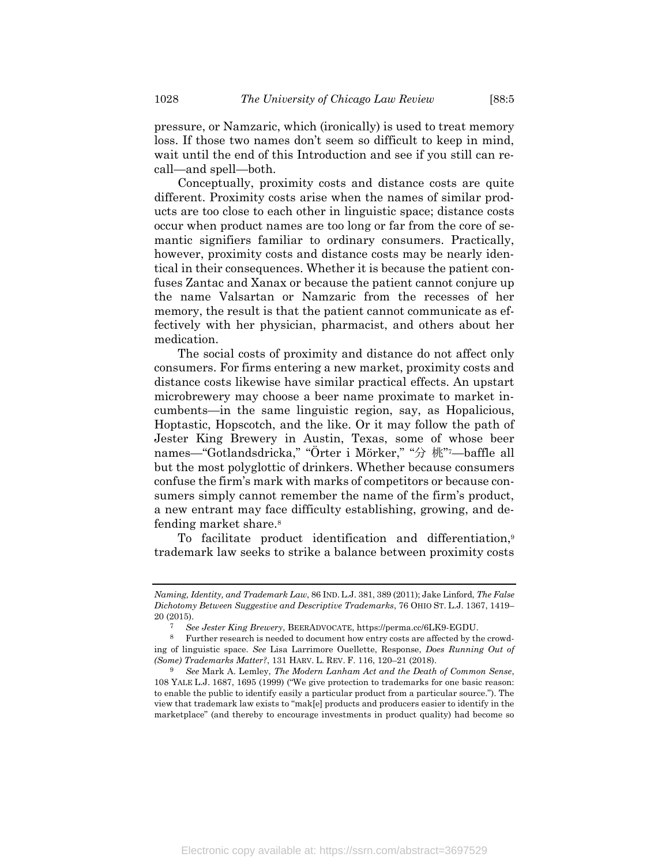pressure, or Namzaric, which (ironically) is used to treat memory loss. If those two names don't seem so difficult to keep in mind, wait until the end of this Introduction and see if you still can recall—and spell—both.

Conceptually, proximity costs and distance costs are quite different. Proximity costs arise when the names of similar products are too close to each other in linguistic space; distance costs occur when product names are too long or far from the core of semantic signifiers familiar to ordinary consumers. Practically, however, proximity costs and distance costs may be nearly identical in their consequences. Whether it is because the patient confuses Zantac and Xanax or because the patient cannot conjure up the name Valsartan or Namzaric from the recesses of her memory, the result is that the patient cannot communicate as effectively with her physician, pharmacist, and others about her medication.

The social costs of proximity and distance do not affect only consumers. For firms entering a new market, proximity costs and distance costs likewise have similar practical effects. An upstart microbrewery may choose a beer name proximate to market incumbents—in the same linguistic region, say, as Hopalicious, Hoptastic, Hopscotch, and the like. Or it may follow the path of Jester King Brewery in Austin, Texas, some of whose beer names—"Gotlandsdricka," "Örter i Mörker," "分 桃" <sup>7</sup>—baffle all but the most polyglottic of drinkers. Whether because consumers confuse the firm's mark with marks of competitors or because consumers simply cannot remember the name of the firm's product, a new entrant may face difficulty establishing, growing, and defending market share.<sup>8</sup>

<span id="page-4-0"></span>To facilitate product identification and differentiation,<sup>9</sup> trademark law seeks to strike a balance between proximity costs

*Naming, Identity, and Trademark Law*, 86 IND.L.J. 381, 389 (2011); Jake Linford, *The False Dichotomy Between Suggestive and Descriptive Trademarks*, 76 OHIO ST. L.J. 1367, 1419– 20 (2015).

<span id="page-4-1"></span><sup>7</sup> *See Jester King Brewery*, BEERADVOCATE, https://perma.cc/6LK9-EGDU.

<sup>8</sup> Further research is needed to document how entry costs are affected by the crowding of linguistic space. *See* Lisa Larrimore Ouellette, Response, *Does Running Out of (Some) Trademarks Matter?*, 131 HARV. L. REV. F. 116, 120–21 (2018).

<sup>9</sup> *See* Mark A. Lemley, *The Modern Lanham Act and the Death of Common Sense*, 108 YALE L.J. 1687, 1695 (1999) ("We give protection to trademarks for one basic reason: to enable the public to identify easily a particular product from a particular source."). The view that trademark law exists to "mak[e] products and producers easier to identify in the marketplace" (and thereby to encourage investments in product quality) had become so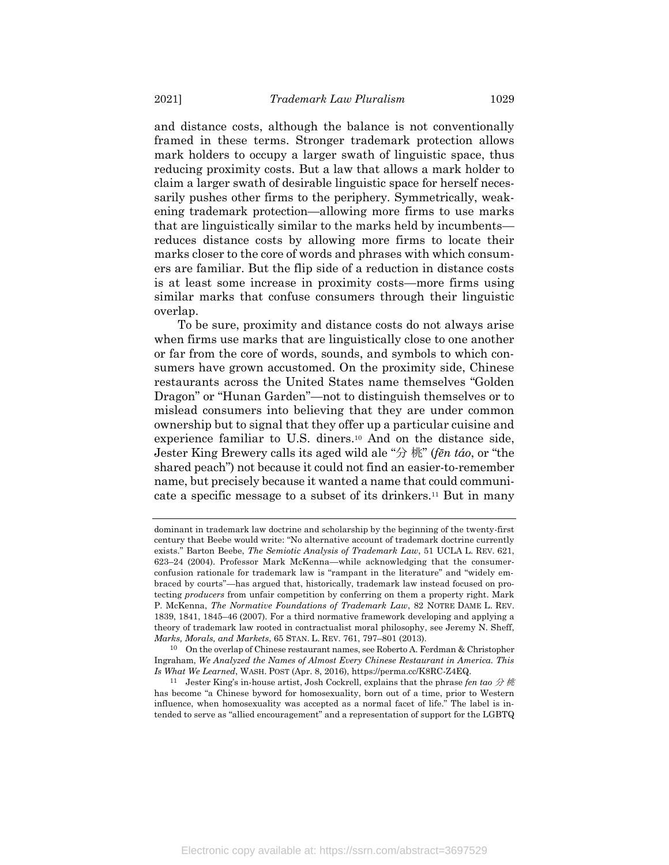and distance costs, although the balance is not conventionally framed in these terms. Stronger trademark protection allows mark holders to occupy a larger swath of linguistic space, thus reducing proximity costs. But a law that allows a mark holder to claim a larger swath of desirable linguistic space for herself necessarily pushes other firms to the periphery. Symmetrically, weakening trademark protection—allowing more firms to use marks that are linguistically similar to the marks held by incumbents reduces distance costs by allowing more firms to locate their marks closer to the core of words and phrases with which consumers are familiar. But the flip side of a reduction in distance costs is at least some increase in proximity costs—more firms using similar marks that confuse consumers through their linguistic overlap.

To be sure, proximity and distance costs do not always arise when firms use marks that are linguistically close to one another or far from the core of words, sounds, and symbols to which consumers have grown accustomed. On the proximity side, Chinese restaurants across the United States name themselves "Golden Dragon" or "Hunan Garden"—not to distinguish themselves or to mislead consumers into believing that they are under common ownership but to signal that they offer up a particular cuisine and experience familiar to U.S. diners.<sup>10</sup> And on the distance side, Jester King Brewery calls its aged wild ale "分 桃" (*fēn táo*, or "the shared peach") not because it could not find an easier-to-remember name, but precisely because it wanted a name that could communicate a specific message to a subset of its drinkers.<sup>11</sup> But in many

<span id="page-5-0"></span>dominant in trademark law doctrine and scholarship by the beginning of the twenty-first century that Beebe would write: "No alternative account of trademark doctrine currently exists." Barton Beebe, *The Semiotic Analysis of Trademark Law*, 51 UCLA L. REV. 621, 623–24 (2004). Professor Mark McKenna—while acknowledging that the consumerconfusion rationale for trademark law is "rampant in the literature" and "widely embraced by courts"—has argued that, historically, trademark law instead focused on protecting *producers* from unfair competition by conferring on them a property right. Mark P. McKenna, *The Normative Foundations of Trademark Law*, 82 NOTRE DAME L. REV. 1839, 1841, 1845–46 (2007). For a third normative framework developing and applying a theory of trademark law rooted in contractualist moral philosophy, see Jeremy N. Sheff, *Marks, Morals, and Markets*, 65 STAN. L. REV. 761, 797–801 (2013).

<sup>10</sup> On the overlap of Chinese restaurant names, see Roberto A. Ferdman & Christopher Ingraham, *We Analyzed the Names of Almost Every Chinese Restaurant in America. This Is What We Learned*, WASH. POST (Apr. 8, 2016), https://perma.cc/K8RC-Z4EQ.

<sup>&</sup>lt;sup>11</sup> Jester King's in-house artist, Josh Cockrell, explains that the phrase *fen tao*  $\hat{\mathcal{H}}$  *M* has become "a Chinese byword for homosexuality, born out of a time, prior to Western influence, when homosexuality was accepted as a normal facet of life." The label is intended to serve as "allied encouragement" and a representation of support for the LGBTQ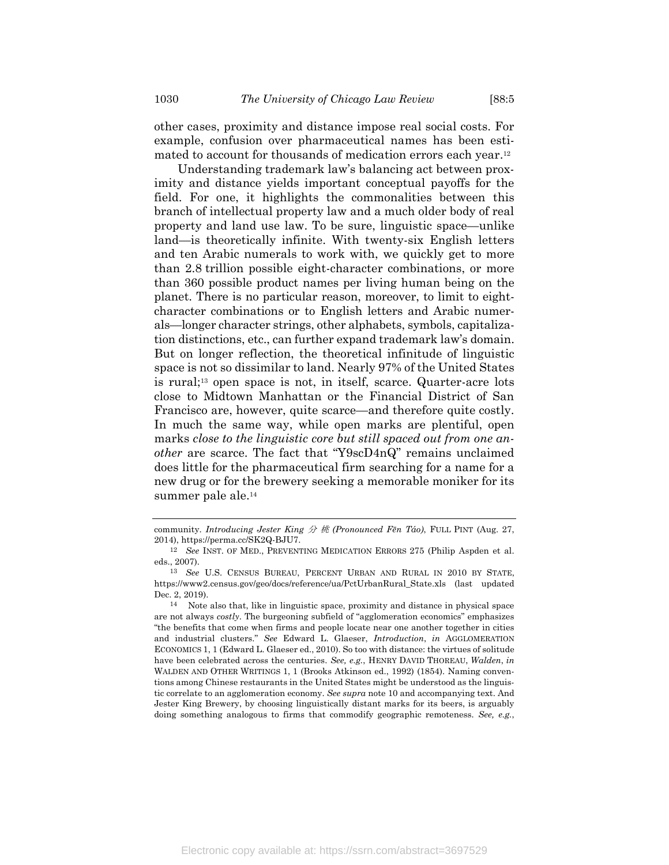other cases, proximity and distance impose real social costs. For example, confusion over pharmaceutical names has been estimated to account for thousands of medication errors each year. 12

Understanding trademark law's balancing act between proximity and distance yields important conceptual payoffs for the field. For one, it highlights the commonalities between this branch of intellectual property law and a much older body of real property and land use law. To be sure, linguistic space—unlike land—is theoretically infinite. With twenty-six English letters and ten Arabic numerals to work with, we quickly get to more than 2.8 trillion possible eight-character combinations, or more than 360 possible product names per living human being on the planet. There is no particular reason, moreover, to limit to eightcharacter combinations or to English letters and Arabic numerals—longer character strings, other alphabets, symbols, capitalization distinctions, etc., can further expand trademark law's domain. But on longer reflection, the theoretical infinitude of linguistic space is not so dissimilar to land. Nearly 97% of the United States is rural;<sup>13</sup> open space is not, in itself, scarce. Quarter-acre lots close to Midtown Manhattan or the Financial District of San Francisco are, however, quite scarce—and therefore quite costly. In much the same way, while open marks are plentiful, open marks *close to the linguistic core but still spaced out from one another* are scarce. The fact that "Y9scD4nQ" remains unclaimed does little for the pharmaceutical firm searching for a name for a new drug or for the brewery seeking a memorable moniker for its summer pale ale.<sup>14</sup>

community. *Introducing Jester King* 分 桃 *(Pronounced Fēn Táo)*, FULL PINT (Aug. 27, 2014), https://perma.cc/SK2Q-BJU7.

<sup>12</sup> *See* INST. OF MED., PREVENTING MEDICATION ERRORS 275 (Philip Aspden et al. eds., 2007).

<sup>13</sup> *See* U.S. CENSUS BUREAU, PERCENT URBAN AND RURAL IN 2010 BY STATE, https://www2.census.gov/geo/docs/reference/ua/PctUrbanRural\_State.xls (last updated Dec. 2, 2019).

<sup>14</sup> Note also that, like in linguistic space, proximity and distance in physical space are not always *costly*. The burgeoning subfield of "agglomeration economics" emphasizes "the benefits that come when firms and people locate near one another together in cities and industrial clusters." *See* Edward L. Glaeser, *Introduction*, *in* AGGLOMERATION ECONOMICS 1, 1 (Edward L. Glaeser ed., 2010). So too with distance: the virtues of solitude have been celebrated across the centuries. *See, e.g.*, HENRY DAVID THOREAU, *Walden*, *in* WALDEN AND OTHER WRITINGS 1, 1 (Brooks Atkinson ed., 1992) (1854). Naming conventions among Chinese restaurants in the United States might be understood as the linguistic correlate to an agglomeration economy. *See supra* not[e 10](#page-5-0) and accompanying text. And Jester King Brewery, by choosing linguistically distant marks for its beers, is arguably doing something analogous to firms that commodify geographic remoteness. *See, e.g.*,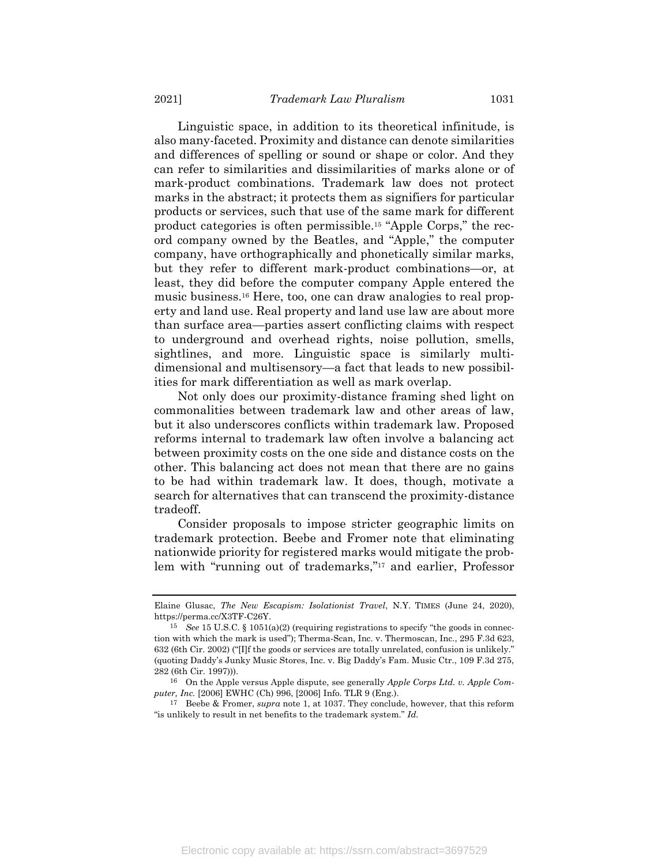<span id="page-7-0"></span>Linguistic space, in addition to its theoretical infinitude, is also many-faceted. Proximity and distance can denote similarities and differences of spelling or sound or shape or color. And they can refer to similarities and dissimilarities of marks alone or of mark-product combinations. Trademark law does not protect marks in the abstract; it protects them as signifiers for particular products or services, such that use of the same mark for different product categories is often permissible.<sup>15</sup> "Apple Corps," the record company owned by the Beatles, and "Apple," the computer company, have orthographically and phonetically similar marks, but they refer to different mark-product combinations—or, at least, they did before the computer company Apple entered the music business.<sup>16</sup> Here, too, one can draw analogies to real property and land use. Real property and land use law are about more than surface area—parties assert conflicting claims with respect to underground and overhead rights, noise pollution, smells, sightlines, and more. Linguistic space is similarly multidimensional and multisensory—a fact that leads to new possibilities for mark differentiation as well as mark overlap.

Not only does our proximity-distance framing shed light on commonalities between trademark law and other areas of law, but it also underscores conflicts within trademark law. Proposed reforms internal to trademark law often involve a balancing act between proximity costs on the one side and distance costs on the other. This balancing act does not mean that there are no gains to be had within trademark law. It does, though, motivate a search for alternatives that can transcend the proximity-distance tradeoff.

Consider proposals to impose stricter geographic limits on trademark protection. Beebe and Fromer note that eliminating nationwide priority for registered marks would mitigate the problem with "running out of trademarks," <sup>17</sup> and earlier, Professor

Elaine Glusac, *The New Escapism: Isolationist Travel*, N.Y. TIMES (June 24, 2020), https://perma.cc/X3TF-C26Y.

<sup>15</sup> *See* 15 U.S.C. § 1051(a)(2) (requiring registrations to specify "the goods in connection with which the mark is used"); Therma-Scan, Inc. v. Thermoscan, Inc., 295 F.3d 623, 632 (6th Cir. 2002) ("[I]f the goods or services are totally unrelated, confusion is unlikely." (quoting Daddy's Junky Music Stores, Inc. v. Big Daddy's Fam. Music Ctr., 109 F.3d 275, 282 (6th Cir. 1997))).

<sup>16</sup> On the Apple versus Apple dispute, see generally *Apple Corps Ltd. v. Apple Computer, Inc.* [2006] EWHC (Ch) 996, [2006] Info. TLR 9 (Eng.).

<sup>17</sup> Beebe & Fromer, *supra* note [1,](#page-2-0) at 1037. They conclude, however, that this reform "is unlikely to result in net benefits to the trademark system." *Id.*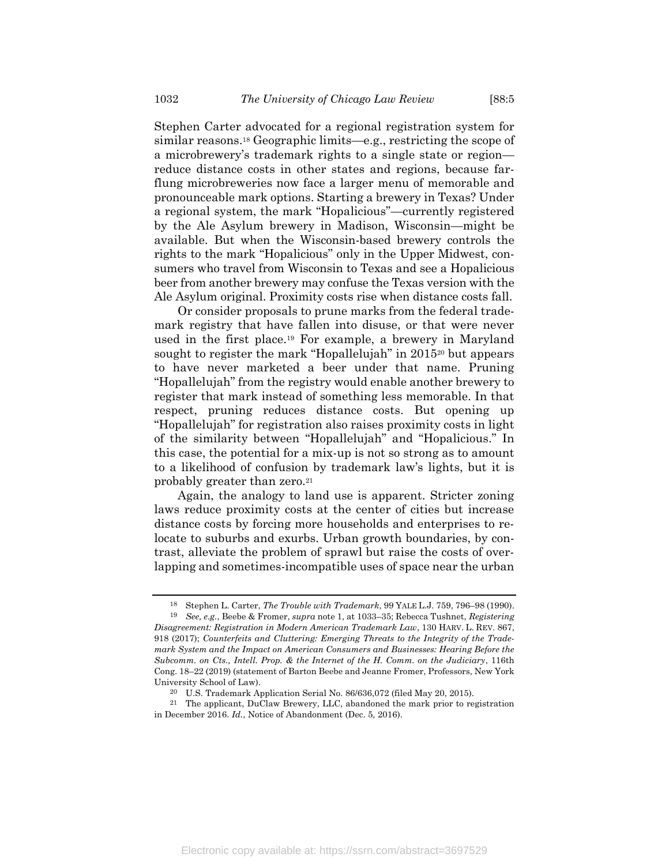<span id="page-8-1"></span>Stephen Carter advocated for a regional registration system for similar reasons.<sup>18</sup> Geographic limits—e.g., restricting the scope of a microbrewery's trademark rights to a single state or region reduce distance costs in other states and regions, because farflung microbreweries now face a larger menu of memorable and pronounceable mark options. Starting a brewery in Texas? Under a regional system, the mark "Hopalicious"—currently registered by the Ale Asylum brewery in Madison, Wisconsin—might be available. But when the Wisconsin-based brewery controls the rights to the mark "Hopalicious" only in the Upper Midwest, consumers who travel from Wisconsin to Texas and see a Hopalicious beer from another brewery may confuse the Texas version with the Ale Asylum original. Proximity costs rise when distance costs fall.

<span id="page-8-0"></span>Or consider proposals to prune marks from the federal trademark registry that have fallen into disuse, or that were never used in the first place.<sup>19</sup> For example, a brewery in Maryland sought to register the mark "Hopallelujah" in 2015<sup>20</sup> but appears to have never marketed a beer under that name. Pruning "Hopallelujah" from the registry would enable another brewery to register that mark instead of something less memorable. In that respect, pruning reduces distance costs. But opening up "Hopallelujah" for registration also raises proximity costs in light of the similarity between "Hopallelujah" and "Hopalicious." In this case, the potential for a mix-up is not so strong as to amount to a likelihood of confusion by trademark law's lights, but it is probably greater than zero.<sup>21</sup>

Again, the analogy to land use is apparent. Stricter zoning laws reduce proximity costs at the center of cities but increase distance costs by forcing more households and enterprises to relocate to suburbs and exurbs. Urban growth boundaries, by contrast, alleviate the problem of sprawl but raise the costs of overlapping and sometimes-incompatible uses of space near the urban

<sup>18</sup> Stephen L. Carter, *The Trouble with Trademark*, 99 YALE L.J. 759, 796–98 (1990). 19 *See, e.g.*, Beebe & Fromer, *supra* not[e 1,](#page-2-0) at 1033–35; Rebecca Tushnet, *Registering* 

*Disagreement: Registration in Modern American Trademark Law*, 130 HARV. L. REV. 867, 918 (2017); *Counterfeits and Cluttering: Emerging Threats to the Integrity of the Trademark System and the Impact on American Consumers and Businesses: Hearing Before the Subcomm. on Cts., Intell. Prop. & the Internet of the H. Comm. on the Judiciary*, 116th Cong. 18–22 (2019) (statement of Barton Beebe and Jeanne Fromer, Professors, New York University School of Law).

<sup>20</sup> U.S. Trademark Application Serial No. 86/636,072 (filed May 20, 2015).

<sup>21</sup> The applicant, DuClaw Brewery, LLC, abandoned the mark prior to registration in December 2016. *Id.*, Notice of Abandonment (Dec. 5, 2016).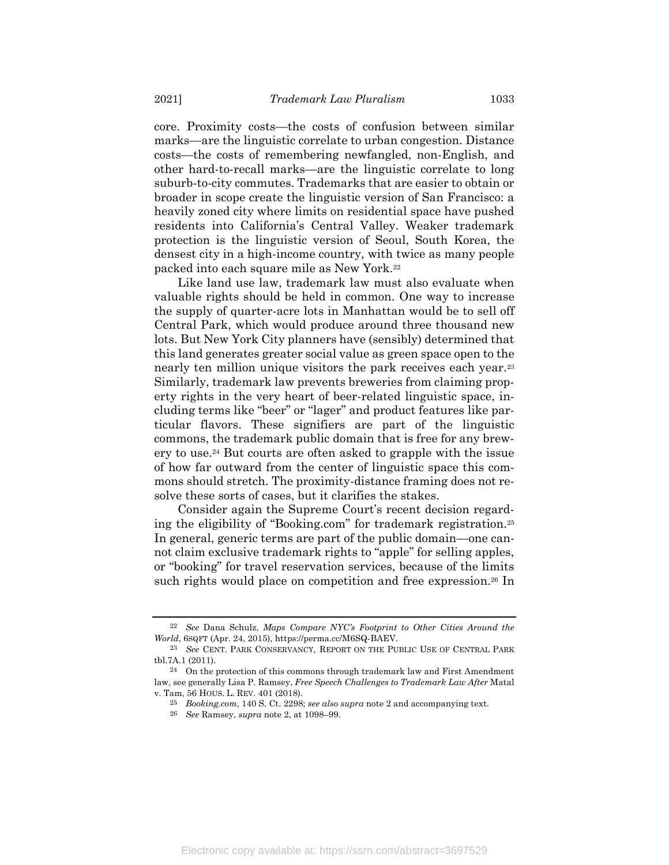core. Proximity costs—the costs of confusion between similar marks—are the linguistic correlate to urban congestion. Distance costs—the costs of remembering newfangled, non-English, and other hard-to-recall marks—are the linguistic correlate to long suburb-to-city commutes. Trademarks that are easier to obtain or broader in scope create the linguistic version of San Francisco: a heavily zoned city where limits on residential space have pushed residents into California's Central Valley. Weaker trademark protection is the linguistic version of Seoul, South Korea, the densest city in a high-income country, with twice as many people packed into each square mile as New York.<sup>22</sup>

Like land use law, trademark law must also evaluate when valuable rights should be held in common. One way to increase the supply of quarter-acre lots in Manhattan would be to sell off Central Park, which would produce around three thousand new lots. But New York City planners have (sensibly) determined that this land generates greater social value as green space open to the nearly ten million unique visitors the park receives each year.<sup>23</sup> Similarly, trademark law prevents breweries from claiming property rights in the very heart of beer-related linguistic space, including terms like "beer" or "lager" and product features like particular flavors. These signifiers are part of the linguistic commons, the trademark public domain that is free for any brewery to use.<sup>24</sup> But courts are often asked to grapple with the issue of how far outward from the center of linguistic space this commons should stretch. The proximity-distance framing does not resolve these sorts of cases, but it clarifies the stakes.

Consider again the Supreme Court's recent decision regarding the eligibility of "Booking.com" for trademark registration.<sup>25</sup> In general, generic terms are part of the public domain—one cannot claim exclusive trademark rights to "apple" for selling apples, or "booking" for travel reservation services, because of the limits such rights would place on competition and free expression.<sup>26</sup> In

<sup>22</sup> *See* Dana Schulz, *Maps Compare NYC's Footprint to Other Cities Around the World*, 6SQFT (Apr. 24, 2015), https://perma.cc/M6SQ-BAEV.

<sup>23</sup> *See* CENT. PARK CONSERVANCY, REPORT ON THE PUBLIC USE OF CENTRAL PARK tbl.7A.1 (2011).

 $24$  On the protection of this commons through trademark law and First Amendment law, see generally Lisa P. Ramsey, *Free Speech Challenges to Trademark Law After* Matal v. Tam, 56 HOUS. L. REV. 401 (2018).

<sup>25</sup> *Booking.com*, 140 S. Ct. 2298; *see also supra* not[e 2](#page-2-1) and accompanying text.

<sup>26</sup> *See* Ramsey, *supra* note [2,](#page-2-1) at 1098–99.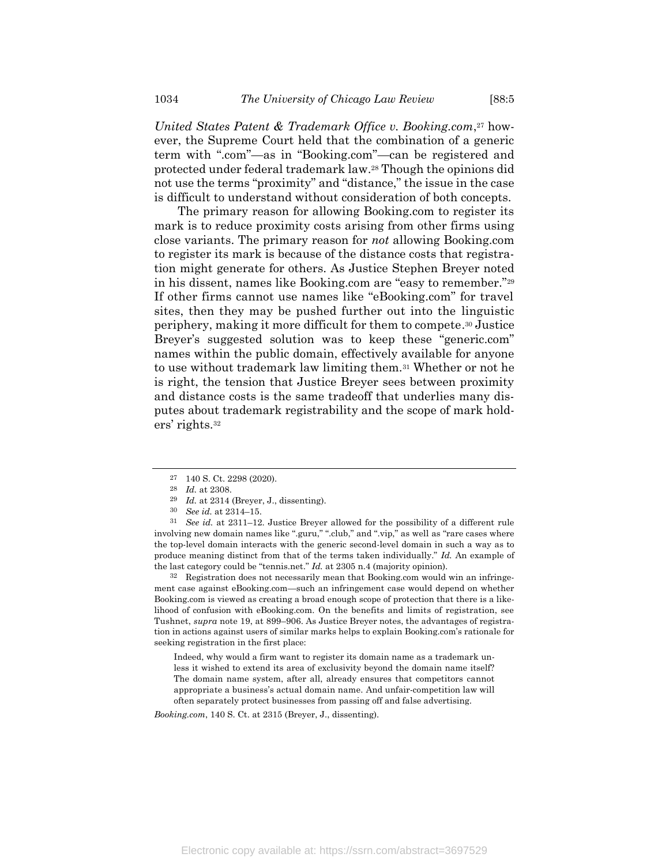*United States Patent & Trademark Office v. Booking.com*, <sup>27</sup> however, the Supreme Court held that the combination of a generic term with ".com"—as in "Booking.com"—can be registered and protected under federal trademark law.<sup>28</sup> Though the opinions did not use the terms "proximity" and "distance," the issue in the case is difficult to understand without consideration of both concepts.

The primary reason for allowing Booking.com to register its mark is to reduce proximity costs arising from other firms using close variants. The primary reason for *not* allowing Booking.com to register its mark is because of the distance costs that registration might generate for others. As Justice Stephen Breyer noted in his dissent, names like Booking.com are "easy to remember."<sup>29</sup> If other firms cannot use names like "eBooking.com" for travel sites, then they may be pushed further out into the linguistic periphery, making it more difficult for them to compete. <sup>30</sup> Justice Breyer's suggested solution was to keep these "generic.com" names within the public domain, effectively available for anyone to use without trademark law limiting them.<sup>31</sup> Whether or not he is right, the tension that Justice Breyer sees between proximity and distance costs is the same tradeoff that underlies many disputes about trademark registrability and the scope of mark holders' rights.<sup>32</sup>

31 *See id.* at 2311–12. Justice Breyer allowed for the possibility of a different rule involving new domain names like ".guru," ".club," and ".vip," as well as "rare cases where the top-level domain interacts with the generic second-level domain in such a way as to produce meaning distinct from that of the terms taken individually." *Id.* An example of the last category could be "tennis.net." *Id.* at 2305 n.4 (majority opinion).

32 Registration does not necessarily mean that Booking.com would win an infringement case against eBooking.com—such an infringement case would depend on whether Booking.com is viewed as creating a broad enough scope of protection that there is a likelihood of confusion with eBooking.com. On the benefits and limits of registration, see Tushnet, *supra* note [19,](#page-8-0) at 899–906. As Justice Breyer notes, the advantages of registration in actions against users of similar marks helps to explain Booking.com's rationale for seeking registration in the first place:

Indeed, why would a firm want to register its domain name as a trademark unless it wished to extend its area of exclusivity beyond the domain name itself? The domain name system, after all, already ensures that competitors cannot appropriate a business's actual domain name. And unfair-competition law will often separately protect businesses from passing off and false advertising.

*Booking.com*, 140 S. Ct. at 2315 (Breyer, J., dissenting).

<sup>27</sup> 140 S. Ct. 2298 (2020).

<sup>28</sup> *Id.* at 2308.

<sup>29</sup> *Id.* at 2314 (Breyer, J., dissenting).

<sup>30</sup> *See id.* at 2314–15.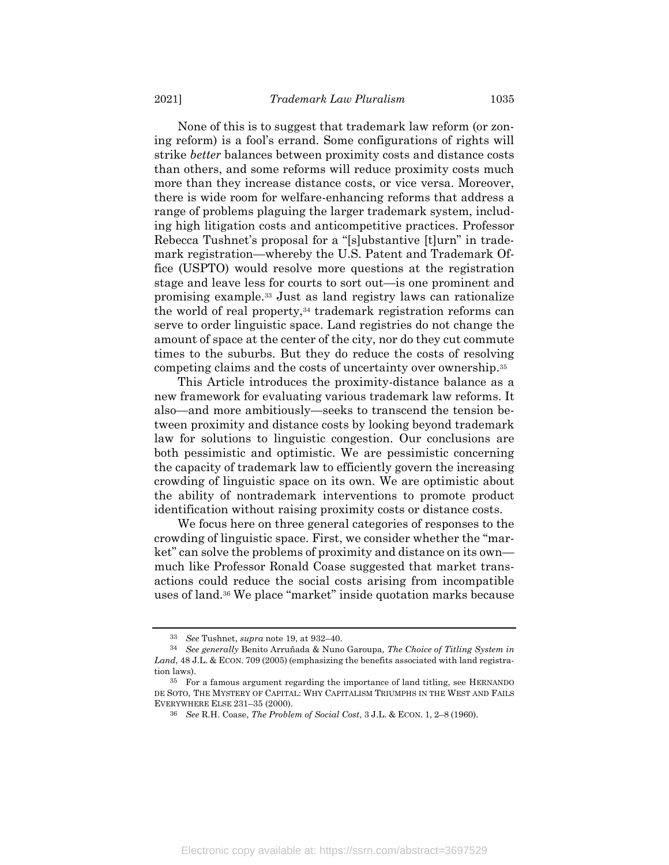None of this is to suggest that trademark law reform (or zoning reform) is a fool's errand. Some configurations of rights will strike *better* balances between proximity costs and distance costs than others, and some reforms will reduce proximity costs much more than they increase distance costs, or vice versa. Moreover, there is wide room for welfare-enhancing reforms that address a range of problems plaguing the larger trademark system, including high litigation costs and anticompetitive practices. Professor Rebecca Tushnet's proposal for a "[s]ubstantive [t]urn" in trademark registration—whereby the U.S. Patent and Trademark Office (USPTO) would resolve more questions at the registration stage and leave less for courts to sort out—is one prominent and promising example.<sup>33</sup> Just as land registry laws can rationalize the world of real property,<sup>34</sup> trademark registration reforms can serve to order linguistic space. Land registries do not change the amount of space at the center of the city, nor do they cut commute times to the suburbs. But they do reduce the costs of resolving competing claims and the costs of uncertainty over ownership. 35

This Article introduces the proximity-distance balance as a new framework for evaluating various trademark law reforms. It also—and more ambitiously—seeks to transcend the tension between proximity and distance costs by looking beyond trademark law for solutions to linguistic congestion. Our conclusions are both pessimistic and optimistic. We are pessimistic concerning the capacity of trademark law to efficiently govern the increasing crowding of linguistic space on its own. We are optimistic about the ability of nontrademark interventions to promote product identification without raising proximity costs or distance costs.

We focus here on three general categories of responses to the crowding of linguistic space. First, we consider whether the "market" can solve the problems of proximity and distance on its own much like Professor Ronald Coase suggested that market transactions could reduce the social costs arising from incompatible uses of land.<sup>36</sup> We place "market" inside quotation marks because

<span id="page-11-0"></span><sup>33</sup> *See* Tushnet, *supra* not[e 19,](#page-8-0) at 932–40.

<sup>34</sup> *See generally* Benito Arruñada & Nuno Garoupa, *The Choice of Titling System in*  Land, 48 J.L. & ECON. 709 (2005) (emphasizing the benefits associated with land registration laws).

<sup>35</sup> For a famous argument regarding the importance of land titling, see HERNANDO DE SOTO, THE MYSTERY OF CAPITAL: WHY CAPITALISM TRIUMPHS IN THE WEST AND FAILS EVERYWHERE ELSE 231–35 (2000).

<sup>36</sup> *See* R.H. Coase, *The Problem of Social Cost*, 3 J.L. & ECON. 1, 2–8 (1960).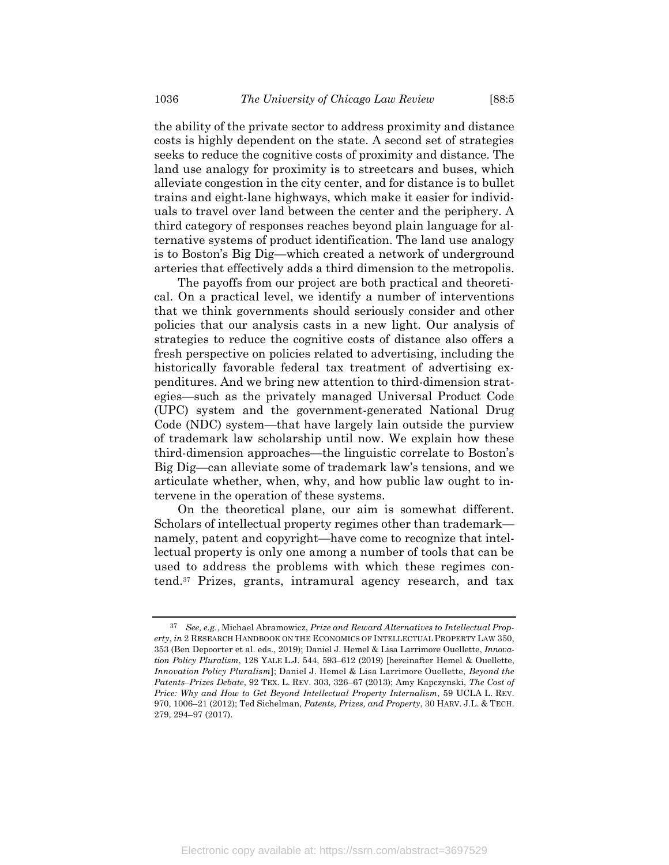the ability of the private sector to address proximity and distance costs is highly dependent on the state. A second set of strategies seeks to reduce the cognitive costs of proximity and distance. The land use analogy for proximity is to streetcars and buses, which alleviate congestion in the city center, and for distance is to bullet trains and eight-lane highways, which make it easier for individuals to travel over land between the center and the periphery. A third category of responses reaches beyond plain language for alternative systems of product identification. The land use analogy is to Boston's Big Dig—which created a network of underground arteries that effectively adds a third dimension to the metropolis.

The payoffs from our project are both practical and theoretical. On a practical level, we identify a number of interventions that we think governments should seriously consider and other policies that our analysis casts in a new light. Our analysis of strategies to reduce the cognitive costs of distance also offers a fresh perspective on policies related to advertising, including the historically favorable federal tax treatment of advertising expenditures. And we bring new attention to third-dimension strategies—such as the privately managed Universal Product Code (UPC) system and the government-generated National Drug Code (NDC) system—that have largely lain outside the purview of trademark law scholarship until now. We explain how these third-dimension approaches—the linguistic correlate to Boston's Big Dig—can alleviate some of trademark law's tensions, and we articulate whether, when, why, and how public law ought to intervene in the operation of these systems.

On the theoretical plane, our aim is somewhat different. Scholars of intellectual property regimes other than trademark namely, patent and copyright—have come to recognize that intellectual property is only one among a number of tools that can be used to address the problems with which these regimes contend.<sup>37</sup> Prizes, grants, intramural agency research, and tax

<span id="page-12-0"></span><sup>37</sup> *See, e.g.*, Michael Abramowicz, *Prize and Reward Alternatives to Intellectual Property*, *in* 2 RESEARCH HANDBOOK ON THE ECONOMICS OF INTELLECTUAL PROPERTY LAW 350, 353 (Ben Depoorter et al. eds., 2019); Daniel J. Hemel & Lisa Larrimore Ouellette, *Innovation Policy Pluralism*, 128 YALE L.J. 544, 593–612 (2019) [hereinafter Hemel & Ouellette, *Innovation Policy Pluralism*]; Daniel J. Hemel & Lisa Larrimore Ouellette, *Beyond the Patents–Prizes Debate*, 92 TEX. L. REV. 303, 326–67 (2013); Amy Kapczynski, *The Cost of Price: Why and How to Get Beyond Intellectual Property Internalism*, 59 UCLA L. REV. 970, 1006–21 (2012); Ted Sichelman, *Patents, Prizes, and Property*, 30 HARV. J.L. & TECH. 279, 294–97 (2017).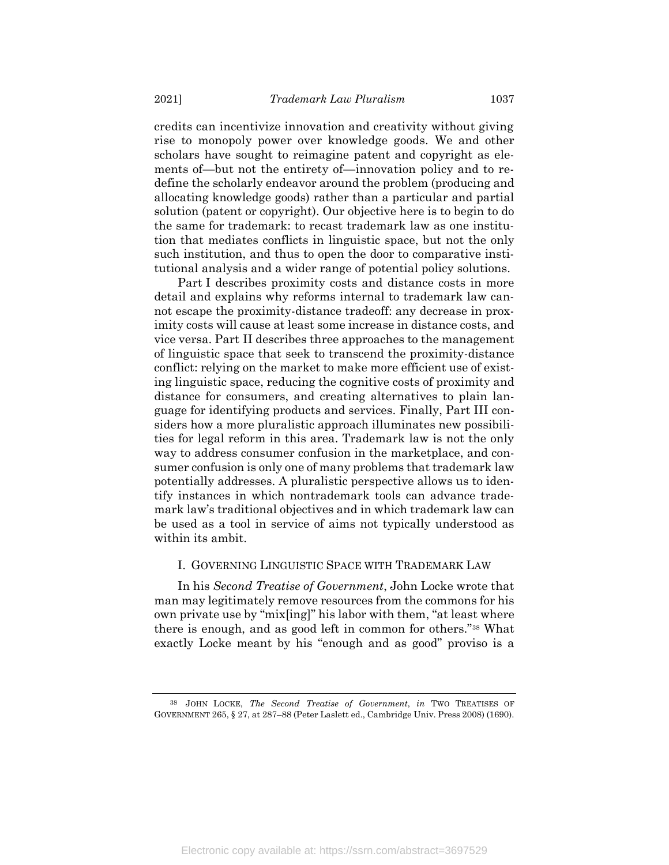credits can incentivize innovation and creativity without giving rise to monopoly power over knowledge goods. We and other scholars have sought to reimagine patent and copyright as elements of—but not the entirety of—innovation policy and to redefine the scholarly endeavor around the problem (producing and allocating knowledge goods) rather than a particular and partial solution (patent or copyright). Our objective here is to begin to do the same for trademark: to recast trademark law as one institution that mediates conflicts in linguistic space, but not the only such institution, and thus to open the door to comparative institutional analysis and a wider range of potential policy solutions.

Part I describes proximity costs and distance costs in more detail and explains why reforms internal to trademark law cannot escape the proximity-distance tradeoff: any decrease in proximity costs will cause at least some increase in distance costs, and vice versa. Part II describes three approaches to the management of linguistic space that seek to transcend the proximity-distance conflict: relying on the market to make more efficient use of existing linguistic space, reducing the cognitive costs of proximity and distance for consumers, and creating alternatives to plain language for identifying products and services. Finally, Part III considers how a more pluralistic approach illuminates new possibilities for legal reform in this area. Trademark law is not the only way to address consumer confusion in the marketplace, and consumer confusion is only one of many problems that trademark law potentially addresses. A pluralistic perspective allows us to identify instances in which nontrademark tools can advance trademark law's traditional objectives and in which trademark law can be used as a tool in service of aims not typically understood as within its ambit.

#### I. GOVERNING LINGUISTIC SPACE WITH TRADEMARK LAW

In his *Second Treatise of Government*, John Locke wrote that man may legitimately remove resources from the commons for his own private use by "mix[ing]" his labor with them, "at least where there is enough, and as good left in common for others."<sup>38</sup> What exactly Locke meant by his "enough and as good" proviso is a

<sup>38</sup> JOHN LOCKE, *The Second Treatise of Government*, *in* TWO TREATISES OF GOVERNMENT 265, § 27, at 287–88 (Peter Laslett ed., Cambridge Univ. Press 2008) (1690).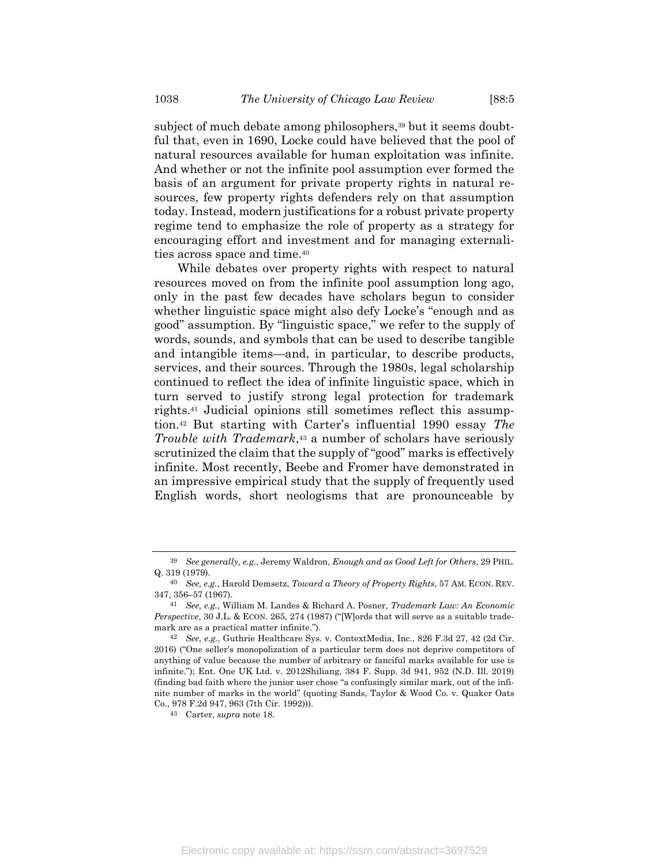subject of much debate among philosophers,<sup>39</sup> but it seems doubtful that, even in 1690, Locke could have believed that the pool of natural resources available for human exploitation was infinite. And whether or not the infinite pool assumption ever formed the basis of an argument for private property rights in natural resources, few property rights defenders rely on that assumption today. Instead, modern justifications for a robust private property regime tend to emphasize the role of property as a strategy for encouraging effort and investment and for managing externalities across space and time.<sup>40</sup>

While debates over property rights with respect to natural resources moved on from the infinite pool assumption long ago, only in the past few decades have scholars begun to consider whether linguistic space might also defy Locke's "enough and as good" assumption. By "linguistic space," we refer to the supply of words, sounds, and symbols that can be used to describe tangible and intangible items—and, in particular, to describe products, services, and their sources. Through the 1980s, legal scholarship continued to reflect the idea of infinite linguistic space, which in turn served to justify strong legal protection for trademark rights.<sup>41</sup> Judicial opinions still sometimes reflect this assumption.<sup>42</sup> But starting with Carter's influential 1990 essay *The Trouble with Trademark*, <sup>43</sup> a number of scholars have seriously scrutinized the claim that the supply of "good" marks is effectively infinite. Most recently, Beebe and Fromer have demonstrated in an impressive empirical study that the supply of frequently used English words, short neologisms that are pronounceable by

<sup>39</sup> *See generally, e.g.*, Jeremy Waldron, *Enough and as Good Left for Others*, 29 PHIL. Q. 319 (1979).

<sup>40</sup> *See, e.g.*, Harold Demsetz, *Toward a Theory of Property Rights*, 57 AM. ECON. REV. 347, 356–57 (1967).

<sup>41</sup> *See, e.g.*, William M. Landes & Richard A. Posner, *Trademark Law: An Economic Perspective*, 30 J.L. & ECON. 265, 274 (1987) ("[W]ords that will serve as a suitable trademark are as a practical matter infinite.").

<sup>42</sup> *See, e.g.*, Guthrie Healthcare Sys. v. ContextMedia, Inc., 826 F.3d 27, 42 (2d Cir. 2016) ("One seller's monopolization of a particular term does not deprive competitors of anything of value because the number of arbitrary or fanciful marks available for use is infinite."); Ent. One UK Ltd. v. 2012Shiliang, 384 F. Supp. 3d 941, 952 (N.D. Ill. 2019) (finding bad faith where the junior user chose "a confusingly similar mark, out of the infinite number of marks in the world" (quoting Sands, Taylor & Wood Co. v. Quaker Oats Co., 978 F.2d 947, 963 (7th Cir. 1992))).

<sup>43</sup> Carter, *supra* not[e 18.](#page-8-1)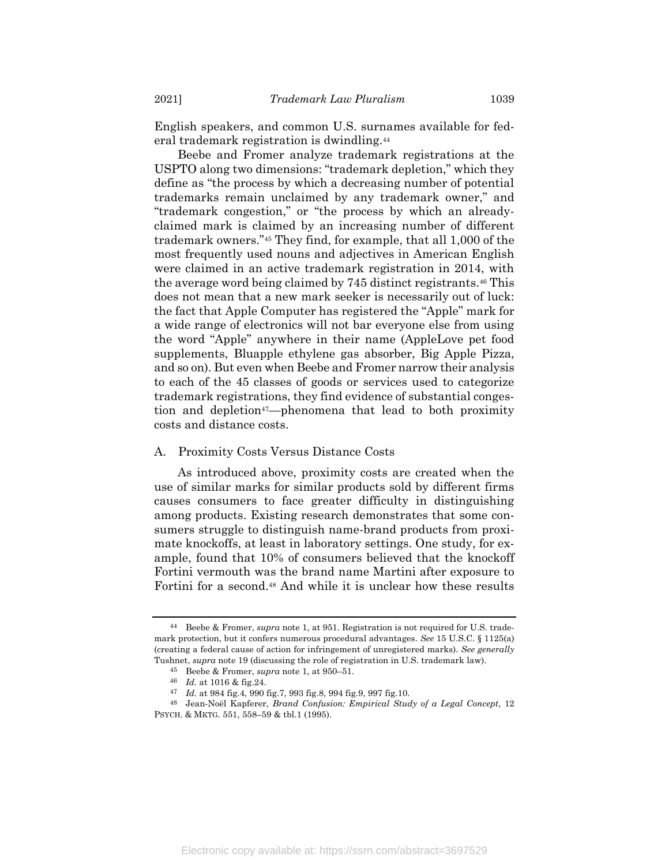English speakers, and common U.S. surnames available for federal trademark registration is dwindling.<sup>44</sup>

Beebe and Fromer analyze trademark registrations at the USPTO along two dimensions: "trademark depletion," which they define as "the process by which a decreasing number of potential trademarks remain unclaimed by any trademark owner," and "trademark congestion," or "the process by which an alreadyclaimed mark is claimed by an increasing number of different trademark owners."<sup>45</sup> They find, for example, that all 1,000 of the most frequently used nouns and adjectives in American English were claimed in an active trademark registration in 2014, with the average word being claimed by 745 distinct registrants.<sup>46</sup> This does not mean that a new mark seeker is necessarily out of luck: the fact that Apple Computer has registered the "Apple" mark for a wide range of electronics will not bar everyone else from using the word "Apple" anywhere in their name (AppleLove pet food supplements, Bluapple ethylene gas absorber, Big Apple Pizza, and so on). But even when Beebe and Fromer narrow their analysis to each of the 45 classes of goods or services used to categorize trademark registrations, they find evidence of substantial congestion and depletion<sup>47</sup>—phenomena that lead to both proximity costs and distance costs.

#### A. Proximity Costs Versus Distance Costs

As introduced above, proximity costs are created when the use of similar marks for similar products sold by different firms causes consumers to face greater difficulty in distinguishing among products. Existing research demonstrates that some consumers struggle to distinguish name-brand products from proximate knockoffs, at least in laboratory settings. One study, for example, found that 10% of consumers believed that the knockoff Fortini vermouth was the brand name Martini after exposure to Fortini for a second.<sup>48</sup> And while it is unclear how these results

<sup>44</sup> Beebe & Fromer, *supra* not[e 1,](#page-2-0) at 951. Registration is not required for U.S. trademark protection, but it confers numerous procedural advantages. *See* 15 U.S.C. § 1125(a) (creating a federal cause of action for infringement of unregistered marks). *See generally* Tushnet, *supra* note [19](#page-8-0) (discussing the role of registration in U.S. trademark law).

<sup>45</sup> Beebe & Fromer, *supra* not[e 1,](#page-2-0) at 950–51.

<sup>46</sup> *Id.* at 1016 & fig.24.

<sup>47</sup> *Id.* at 984 fig.4, 990 fig.7, 993 fig.8, 994 fig.9, 997 fig.10.

<sup>48</sup> Jean-Noël Kapferer, *Brand Confusion: Empirical Study of a Legal Concept*, 12 PSYCH. & MKTG. 551, 558–59 & tbl.1 (1995).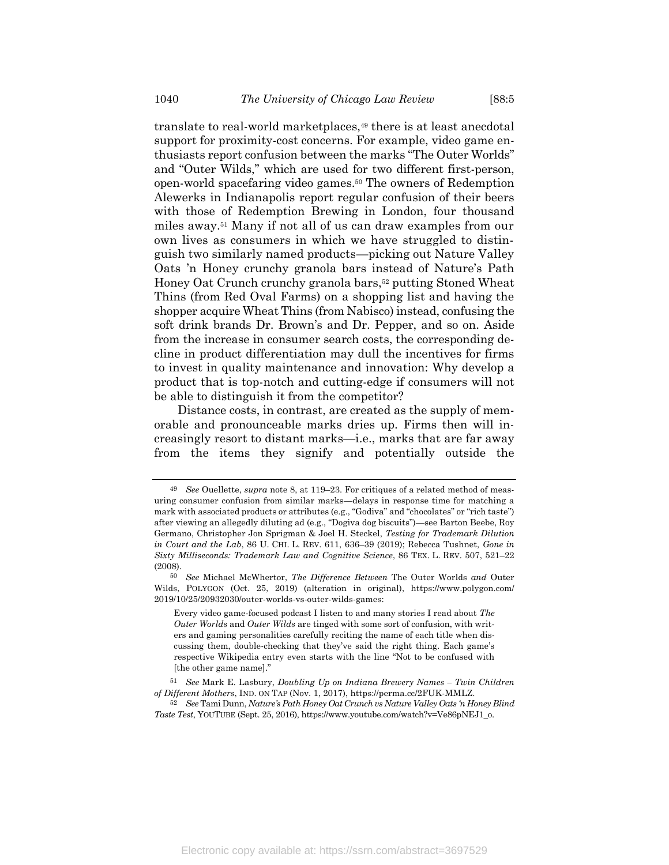translate to real-world marketplaces,<sup>49</sup> there is at least anecdotal support for proximity-cost concerns. For example, video game enthusiasts report confusion between the marks "The Outer Worlds" and "Outer Wilds," which are used for two different first-person, open-world spacefaring video games.<sup>50</sup> The owners of Redemption Alewerks in Indianapolis report regular confusion of their beers with those of Redemption Brewing in London, four thousand miles away.<sup>51</sup> Many if not all of us can draw examples from our own lives as consumers in which we have struggled to distinguish two similarly named products—picking out Nature Valley Oats 'n Honey crunchy granola bars instead of Nature's Path Honey Oat Crunch crunchy granola bars,<sup>52</sup> putting Stoned Wheat Thins (from Red Oval Farms) on a shopping list and having the shopper acquire Wheat Thins (from Nabisco) instead, confusing the soft drink brands Dr. Brown's and Dr. Pepper, and so on. Aside from the increase in consumer search costs, the corresponding decline in product differentiation may dull the incentives for firms to invest in quality maintenance and innovation: Why develop a product that is top-notch and cutting-edge if consumers will not be able to distinguish it from the competitor?

Distance costs, in contrast, are created as the supply of memorable and pronounceable marks dries up. Firms then will increasingly resort to distant marks—i.e., marks that are far away from the items they signify and potentially outside the

<sup>49</sup> *See* Ouellette, *supra* not[e 8,](#page-4-0) at 119–23. For critiques of a related method of measuring consumer confusion from similar marks—delays in response time for matching a mark with associated products or attributes (e.g., "Godiva" and "chocolates" or "rich taste") after viewing an allegedly diluting ad (e.g., "Dogiva dog biscuits")—see Barton Beebe, Roy Germano, Christopher Jon Sprigman & Joel H. Steckel, *Testing for Trademark Dilution in Court and the Lab*, 86 U. CHI. L. REV. 611, 636–39 (2019); Rebecca Tushnet, *Gone in Sixty Milliseconds: Trademark Law and Cognitive Science*, 86 TEX. L. REV. 507, 521–22 (2008).

<sup>50</sup> *See* Michael McWhertor, *The Difference Between* The Outer Worlds *and* Outer Wilds, POLYGON (Oct. 25, 2019) (alteration in original), https://www.polygon.com/ 2019/10/25/20932030/outer-worlds-vs-outer-wilds-games:

Every video game-focused podcast I listen to and many stories I read about *The Outer Worlds* and *Outer Wilds* are tinged with some sort of confusion, with writers and gaming personalities carefully reciting the name of each title when discussing them, double-checking that they've said the right thing. Each game's respective Wikipedia entry even starts with the line "Not to be confused with [the other game name]."

<sup>51</sup> *See* Mark E. Lasbury, *Doubling Up on Indiana Brewery Names – Twin Children of Different Mothers*, IND. ON TAP (Nov. 1, 2017), https://perma.cc/2FUK-MMLZ.

<sup>52</sup> *See* Tami Dunn, *Nature's Path Honey Oat Crunch vs Nature Valley Oats 'n Honey Blind Taste Test*, YOUTUBE (Sept. 25, 2016), https://www.youtube.com/watch?v=Ve86pNEJ1\_o.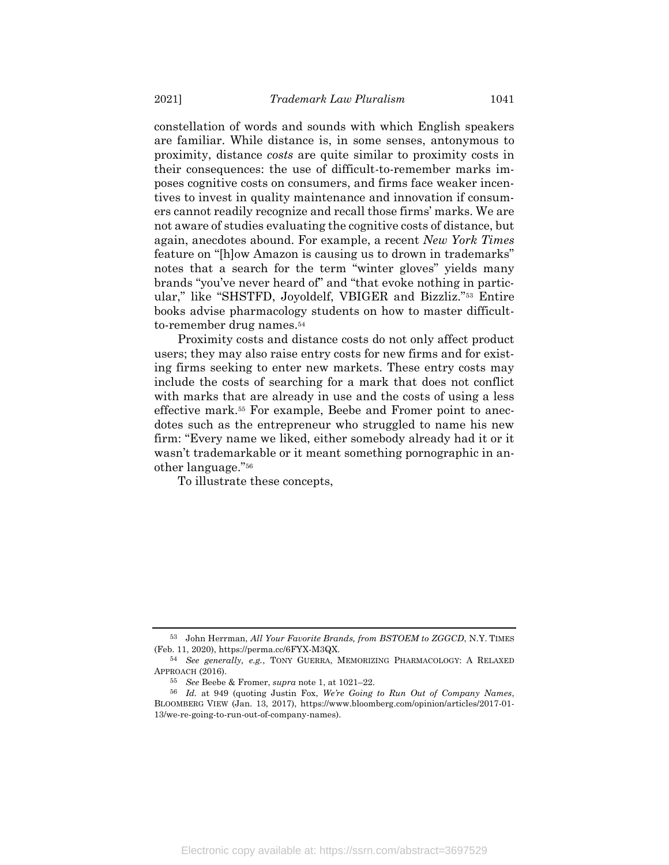constellation of words and sounds with which English speakers are familiar. While distance is, in some senses, antonymous to proximity, distance *costs* are quite similar to proximity costs in their consequences: the use of difficult-to-remember marks imposes cognitive costs on consumers, and firms face weaker incentives to invest in quality maintenance and innovation if consumers cannot readily recognize and recall those firms' marks. We are not aware of studies evaluating the cognitive costs of distance, but again, anecdotes abound. For example, a recent *New York Times* feature on "[h]ow Amazon is causing us to drown in trademarks" notes that a search for the term "winter gloves" yields many brands "you've never heard of" and "that evoke nothing in particular," like "SHSTFD, Joyoldelf, VBIGER and Bizzliz."<sup>53</sup> Entire books advise pharmacology students on how to master difficultto-remember drug names.<sup>54</sup>

<span id="page-17-0"></span>Proximity costs and distance costs do not only affect product users; they may also raise entry costs for new firms and for existing firms seeking to enter new markets. These entry costs may include the costs of searching for a mark that does not conflict with marks that are already in use and the costs of using a less effective mark.<sup>55</sup> For example, Beebe and Fromer point to anecdotes such as the entrepreneur who struggled to name his new firm: "Every name we liked, either somebody already had it or it wasn't trademarkable or it meant something pornographic in another language."<sup>56</sup>

To illustrate these concepts,

<sup>53</sup> John Herrman, *All Your Favorite Brands, from BSTOEM to ZGGCD*, N.Y. TIMES (Feb. 11, 2020), https://perma.cc/6FYX-M3QX.

<sup>54</sup> *See generally, e.g.*, TONY GUERRA, MEMORIZING PHARMACOLOGY: A RELAXED APPROACH (2016).

<sup>55</sup> *See* Beebe & Fromer, *supra* not[e 1,](#page-2-0) at 1021–22.

<sup>56</sup> *Id.* at 949 (quoting Justin Fox, *We're Going to Run Out of Company Names*, BLOOMBERG VIEW (Jan. 13, 2017), [https://www.bloomberg.com/opinion/articles/2017-01-](https://www.bloomberg.com/opinion/articles/2017-01-13/we-re-going-to-run-out-of-company-names) [13/we-re-going-to-run-out-of-company-names\)](https://www.bloomberg.com/opinion/articles/2017-01-13/we-re-going-to-run-out-of-company-names).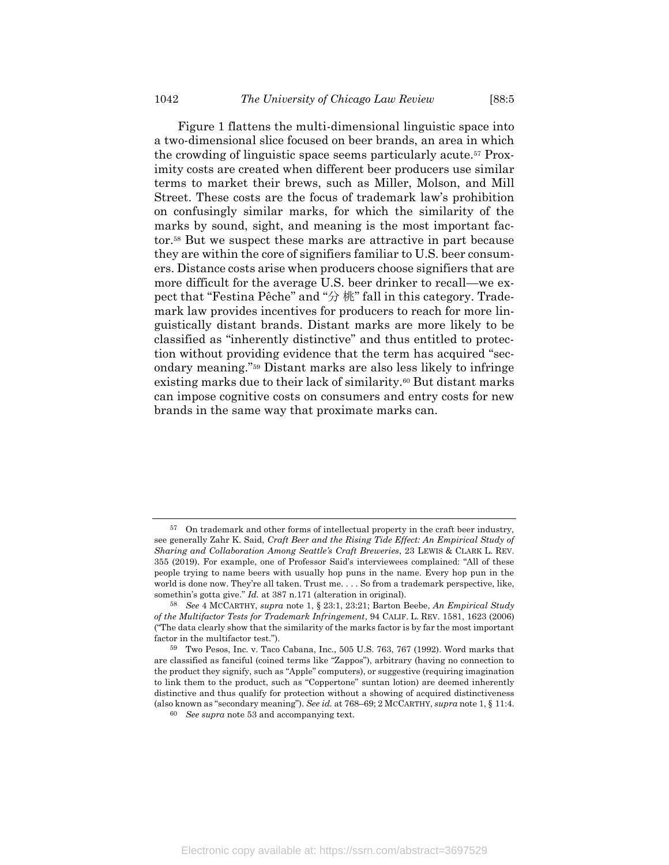<span id="page-18-2"></span>[Figure](#page-18-0) 1 flattens the multi-dimensional linguistic space into a two-dimensional slice focused on beer brands, an area in which the crowding of linguistic space seems particularly acute.<sup>57</sup> Proximity costs are created when different beer producers use similar terms to market their brews, such as Miller, Molson, and Mill Street. These costs are the focus of trademark law's prohibition on confusingly similar marks, for which the similarity of the marks by sound, sight, and meaning is the most important factor.<sup>58</sup> But we suspect these marks are attractive in part because they are within the core of signifiers familiar to U.S. beer consumers. Distance costs arise when producers choose signifiers that are more difficult for the average U.S. beer drinker to recall—we expect that "Festina Pêche" and "分 桃" fall in this category. Trademark law provides incentives for producers to reach for more linguistically distant brands. Distant marks are more likely to be classified as "inherently distinctive" and thus entitled to protection without providing evidence that the term has acquired "secondary meaning."<sup>59</sup> Distant marks are also less likely to infringe existing marks due to their lack of similarity.<sup>60</sup> But distant marks can impose cognitive costs on consumers and entry costs for new brands in the same way that proximate marks can.

<span id="page-18-1"></span><span id="page-18-0"></span> $57$  On trademark and other forms of intellectual property in the craft beer industry, see generally Zahr K. Said, *Craft Beer and the Rising Tide Effect: An Empirical Study of Sharing and Collaboration Among Seattle's Craft Breweries*, 23 LEWIS & CLARK L. REV. 355 (2019). For example, one of Professor Said's interviewees complained: "All of these people trying to name beers with usually hop puns in the name. Every hop pun in the world is done now. They're all taken. Trust me. . . . So from a trademark perspective, like, somethin's gotta give." *Id.* at 387 n.171 (alteration in original).

<sup>58</sup> *See* 4 MCCARTHY, *supra* not[e 1,](#page-2-0) § 23:1, 23:21; Barton Beebe, *An Empirical Study of the Multifactor Tests for Trademark Infringement*, 94 CALIF. L. REV. 1581, 1623 (2006) ("The data clearly show that the similarity of the marks factor is by far the most important factor in the multifactor test.").

<sup>59</sup> Two Pesos, Inc. v. Taco Cabana, Inc., 505 U.S. 763, 767 (1992). Word marks that are classified as fanciful (coined terms like "Zappos"), arbitrary (having no connection to the product they signify, such as "Apple" computers), or suggestive (requiring imagination to link them to the product, such as "Coppertone" suntan lotion) are deemed inherently distinctive and thus qualify for protection without a showing of acquired distinctiveness (also known as "secondary meaning"). *See id.* at 768–69; 2 MCCARTHY, *supra* not[e 1,](#page-2-0) § 11:4.

<sup>60</sup> *See supra* note [53](#page-17-0) and accompanying text.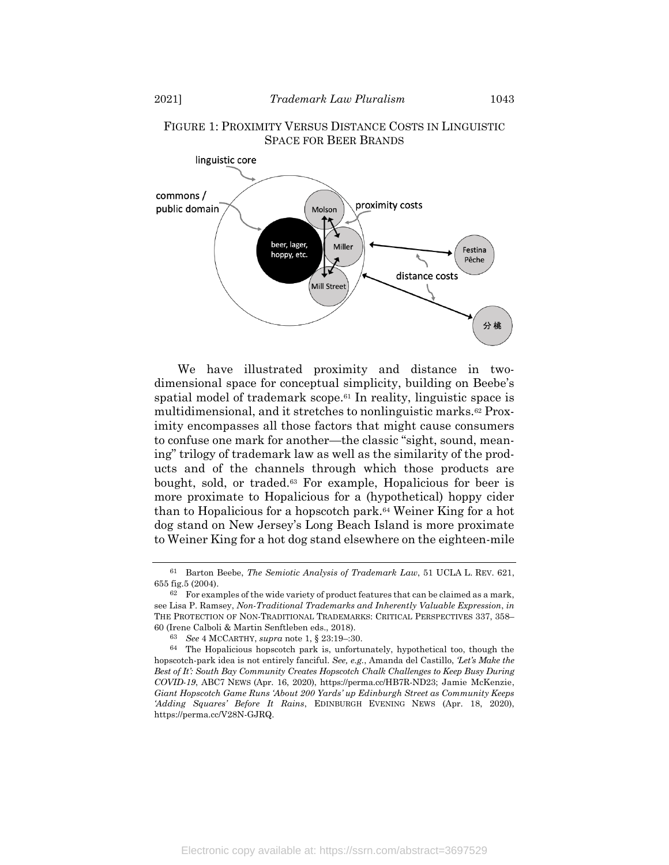

# FIGURE 1: PROXIMITY VERSUS DISTANCE COSTS IN LINGUISTIC SPACE FOR BEER BRANDS

We have illustrated proximity and distance in twodimensional space for conceptual simplicity, building on Beebe's spatial model of trademark scope.<sup>61</sup> In reality, linguistic space is multidimensional, and it stretches to nonlinguistic marks.<sup>62</sup> Proximity encompasses all those factors that might cause consumers to confuse one mark for another—the classic "sight, sound, meaning" trilogy of trademark law as well as the similarity of the products and of the channels through which those products are bought, sold, or traded.<sup>63</sup> For example, Hopalicious for beer is more proximate to Hopalicious for a (hypothetical) hoppy cider than to Hopalicious for a hopscotch park.<sup>64</sup> Weiner King for a hot dog stand on New Jersey's Long Beach Island is more proximate to Weiner King for a hot dog stand elsewhere on the eighteen-mile

<sup>61</sup> Barton Beebe, *The Semiotic Analysis of Trademark Law*, 51 UCLA L. REV. 621, 655 fig.5 (2004).

 $62$  For examples of the wide variety of product features that can be claimed as a mark, see Lisa P. Ramsey, *Non-Traditional Trademarks and Inherently Valuable Expression*, *in* THE PROTECTION OF NON-TRADITIONAL TRADEMARKS: CRITICAL PERSPECTIVES 337, 358– 60 (Irene Calboli & Martin Senftleben eds., 2018).

<sup>63</sup> *See* 4 MCCARTHY, *supra* note [1,](#page-2-0) § 23:19–:30.

<sup>64</sup> The Hopalicious hopscotch park is, unfortunately, hypothetical too, though the hopscotch-park idea is not entirely fanciful. *See, e.g.*, Amanda del Castillo, *'Let's Make the Best of It': South Bay Community Creates Hopscotch Chalk Challenges to Keep Busy During COVID-19*, ABC7 NEWS (Apr. 16, 2020), https://perma.cc/HB7R-ND23; Jamie McKenzie, *Giant Hopscotch Game Runs 'About 200 Yards' up Edinburgh Street as Community Keeps 'Adding Squares' Before It Rains*, EDINBURGH EVENING NEWS (Apr. 18, 2020), https://perma.cc/V28N-GJRQ.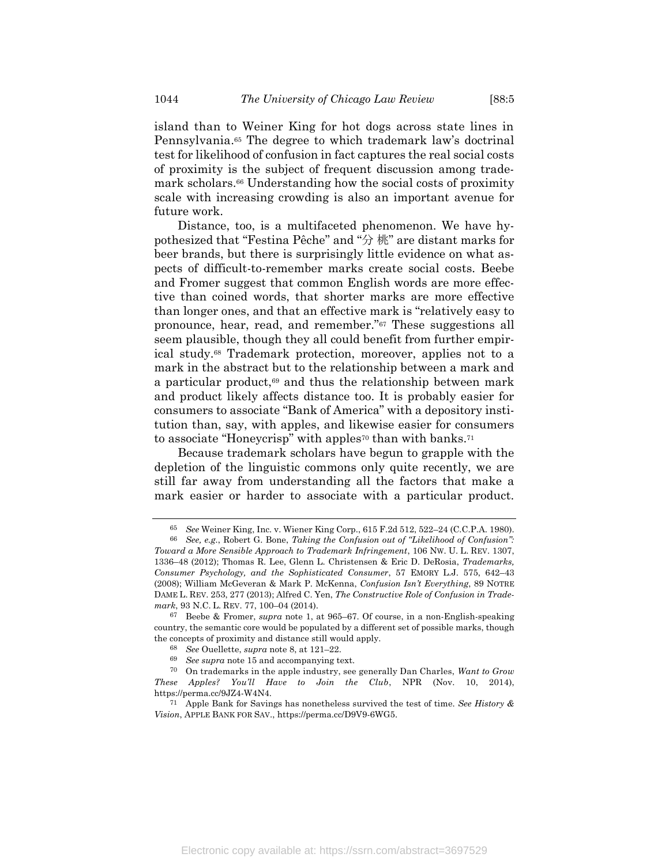island than to Weiner King for hot dogs across state lines in Pennsylvania. <sup>65</sup> The degree to which trademark law's doctrinal test for likelihood of confusion in fact captures the real social costs of proximity is the subject of frequent discussion among trademark scholars.<sup>66</sup> Understanding how the social costs of proximity scale with increasing crowding is also an important avenue for future work.

<span id="page-20-1"></span>Distance, too, is a multifaceted phenomenon. We have hypothesized that "Festina Pêche" and "分 桃" are distant marks for beer brands, but there is surprisingly little evidence on what aspects of difficult-to-remember marks create social costs. Beebe and Fromer suggest that common English words are more effective than coined words, that shorter marks are more effective than longer ones, and that an effective mark is "relatively easy to pronounce, hear, read, and remember."<sup>67</sup> These suggestions all seem plausible, though they all could benefit from further empirical study.<sup>68</sup> Trademark protection, moreover, applies not to a mark in the abstract but to the relationship between a mark and a particular product, $69$  and thus the relationship between mark and product likely affects distance too. It is probably easier for consumers to associate "Bank of America" with a depository institution than, say, with apples, and likewise easier for consumers to associate "Honeycrisp" with apples<sup>70</sup> than with banks.<sup>71</sup>

Because trademark scholars have begun to grapple with the depletion of the linguistic commons only quite recently, we are still far away from understanding all the factors that make a mark easier or harder to associate with a particular product.

<span id="page-20-0"></span><sup>65</sup> *See* Weiner King, Inc. v. Wiener King Corp., 615 F.2d 512, 522–24 (C.C.P.A. 1980).

<sup>66</sup> *See, e.g.*, Robert G. Bone, *Taking the Confusion out of "Likelihood of Confusion": Toward a More Sensible Approach to Trademark Infringement*, 106 NW. U. L. REV. 1307, 1336–48 (2012); Thomas R. Lee, Glenn L. Christensen & Eric D. DeRosia, *Trademarks, Consumer Psychology, and the Sophisticated Consumer*, 57 EMORY L.J. 575, 642–43 (2008); William McGeveran & Mark P. McKenna, *Confusion Isn't Everything*, 89 NOTRE DAME L. REV. 253, 277 (2013); Alfred C. Yen, *The Constructive Role of Confusion in Trademark*, 93 N.C. L. REV. 77, 100–04 (2014).

<sup>67</sup> Beebe & Fromer, *supra* note [1,](#page-2-0) at 965–67. Of course, in a non-English-speaking country, the semantic core would be populated by a different set of possible marks, though the concepts of proximity and distance still would apply.

<sup>68</sup> *See* Ouellette, *supra* note [8,](#page-4-0) at 121–22.

<sup>69</sup> *See supra* note [15](#page-7-0) and accompanying text.

<sup>70</sup> On trademarks in the apple industry, see generally Dan Charles, *Want to Grow These Apples? You'll Have to Join the Club*, NPR (Nov. 10, 2014), https://perma.cc/9JZ4-W4N4.

<sup>71</sup> Apple Bank for Savings has nonetheless survived the test of time. *See History & Vision*, APPLE BANK FOR SAV., https://perma.cc/D9V9-6WG5.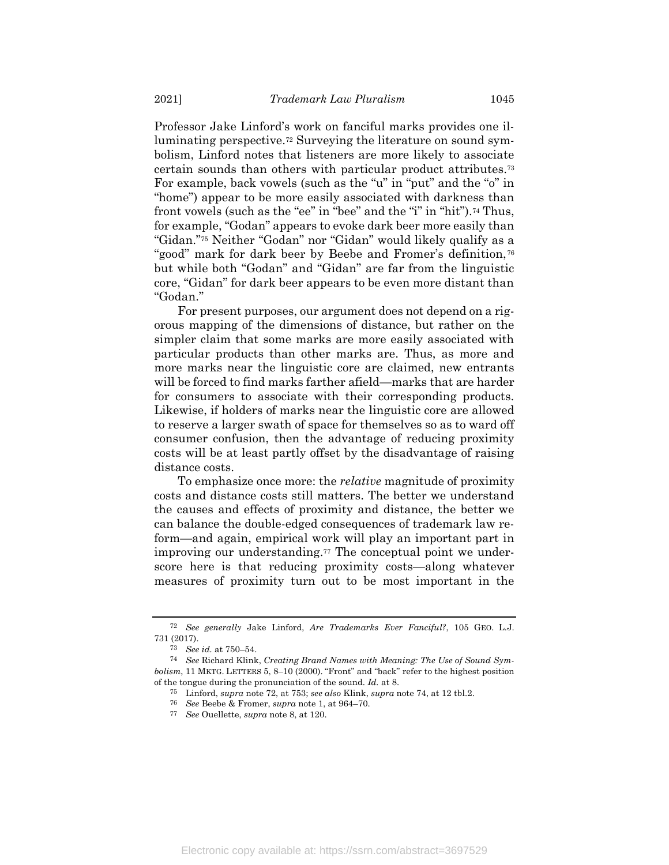<span id="page-21-1"></span><span id="page-21-0"></span>Professor Jake Linford's work on fanciful marks provides one illuminating perspective.<sup>72</sup> Surveying the literature on sound symbolism, Linford notes that listeners are more likely to associate certain sounds than others with particular product attributes.<sup>73</sup> For example, back vowels (such as the "u" in "put" and the "o" in "home") appear to be more easily associated with darkness than front vowels (such as the "ee" in "bee" and the "i" in "hit").<sup>74</sup> Thus, for example, "Godan" appears to evoke dark beer more easily than "Gidan."<sup>75</sup> Neither "Godan" nor "Gidan" would likely qualify as a "good" mark for dark beer by Beebe and Fromer's definition,<sup>76</sup> but while both "Godan" and "Gidan" are far from the linguistic core, "Gidan" for dark beer appears to be even more distant than "Godan."

For present purposes, our argument does not depend on a rigorous mapping of the dimensions of distance, but rather on the simpler claim that some marks are more easily associated with particular products than other marks are. Thus, as more and more marks near the linguistic core are claimed, new entrants will be forced to find marks farther afield—marks that are harder for consumers to associate with their corresponding products. Likewise, if holders of marks near the linguistic core are allowed to reserve a larger swath of space for themselves so as to ward off consumer confusion, then the advantage of reducing proximity costs will be at least partly offset by the disadvantage of raising distance costs.

To emphasize once more: the *relative* magnitude of proximity costs and distance costs still matters. The better we understand the causes and effects of proximity and distance, the better we can balance the double-edged consequences of trademark law reform—and again, empirical work will play an important part in improving our understanding.<sup>77</sup> The conceptual point we underscore here is that reducing proximity costs—along whatever measures of proximity turn out to be most important in the

<sup>72</sup> *See generally* Jake Linford, *Are Trademarks Ever Fanciful?*, 105 GEO. L.J. 731 (2017).

<sup>73</sup> *See id.* at 750–54.

<sup>74</sup> *See* Richard Klink, *Creating Brand Names with Meaning: The Use of Sound Symbolism*, 11 MKTG. LETTERS 5, 8–10 (2000). "Front" and "back" refer to the highest position of the tongue during the pronunciation of the sound. *Id.* at 8.

<sup>75</sup> Linford, *supra* not[e 72,](#page-21-1) at 753; *see also* Klink, *supra* not[e 74,](#page-21-0) at 12 tbl.2.

<sup>76</sup> *See* Beebe & Fromer, *supra* not[e 1,](#page-2-0) at 964–70.

<sup>77</sup> *See* Ouellette, *supra* note [8,](#page-4-0) at 120.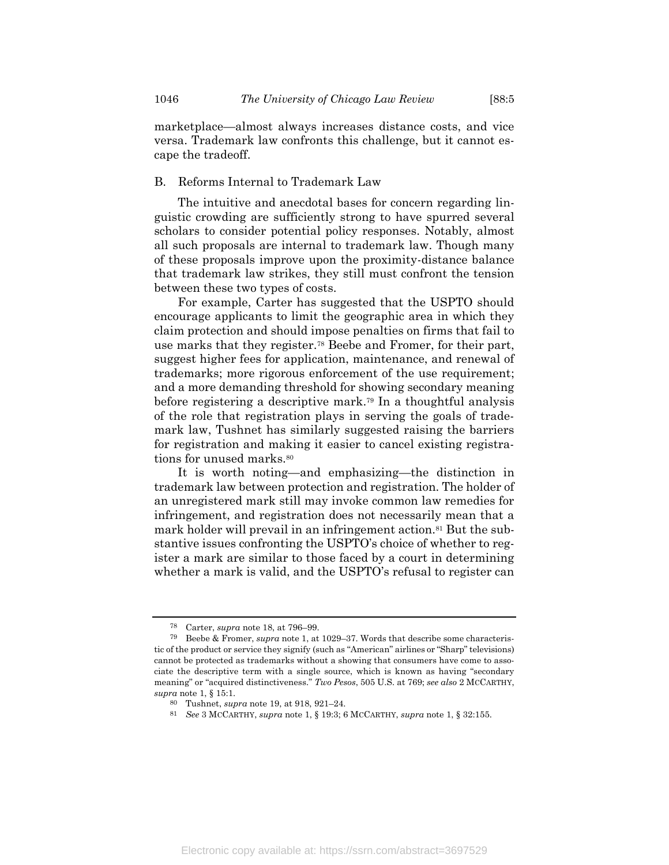marketplace—almost always increases distance costs, and vice versa. Trademark law confronts this challenge, but it cannot escape the tradeoff.

#### B. Reforms Internal to Trademark Law

The intuitive and anecdotal bases for concern regarding linguistic crowding are sufficiently strong to have spurred several scholars to consider potential policy responses. Notably, almost all such proposals are internal to trademark law. Though many of these proposals improve upon the proximity-distance balance that trademark law strikes, they still must confront the tension between these two types of costs.

For example, Carter has suggested that the USPTO should encourage applicants to limit the geographic area in which they claim protection and should impose penalties on firms that fail to use marks that they register.<sup>78</sup> Beebe and Fromer, for their part, suggest higher fees for application, maintenance, and renewal of trademarks; more rigorous enforcement of the use requirement; and a more demanding threshold for showing secondary meaning before registering a descriptive mark.<sup>79</sup> In a thoughtful analysis of the role that registration plays in serving the goals of trademark law, Tushnet has similarly suggested raising the barriers for registration and making it easier to cancel existing registrations for unused marks.<sup>80</sup>

It is worth noting—and emphasizing—the distinction in trademark law between protection and registration. The holder of an unregistered mark still may invoke common law remedies for infringement, and registration does not necessarily mean that a mark holder will prevail in an infringement action.<sup>81</sup> But the substantive issues confronting the USPTO's choice of whether to register a mark are similar to those faced by a court in determining whether a mark is valid, and the USPTO's refusal to register can

<sup>78</sup> Carter, *supra* not[e 18,](#page-8-1) at 796–99.

<sup>79</sup> Beebe & Fromer, *supra* not[e 1,](#page-2-0) at 1029–37. Words that describe some characteristic of the product or service they signify (such as "American" airlines or "Sharp" televisions) cannot be protected as trademarks without a showing that consumers have come to associate the descriptive term with a single source, which is known as having "secondary meaning" or "acquired distinctiveness." *Two Pesos*, 505 U.S. at 769; *see also* 2 MCCARTHY, *supra* not[e 1,](#page-2-0) § 15:1.

<sup>80</sup> Tushnet, *supra* note [19,](#page-8-0) at 918, 921–24.

<sup>81</sup> *See* 3 MCCARTHY, *supra* note [1,](#page-2-0) § 19:3; 6 MCCARTHY, *supra* not[e 1,](#page-2-0) § 32:155.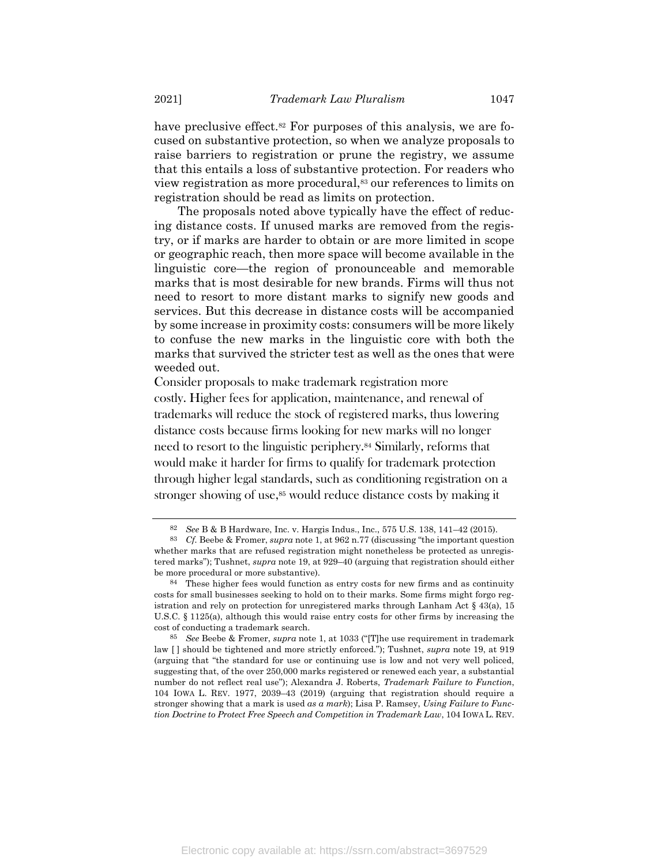have preclusive effect.<sup>82</sup> For purposes of this analysis, we are focused on substantive protection, so when we analyze proposals to raise barriers to registration or prune the registry, we assume that this entails a loss of substantive protection. For readers who view registration as more procedural,<sup>83</sup> our references to limits on registration should be read as limits on protection.

The proposals noted above typically have the effect of reducing distance costs. If unused marks are removed from the registry, or if marks are harder to obtain or are more limited in scope or geographic reach, then more space will become available in the linguistic core—the region of pronounceable and memorable marks that is most desirable for new brands. Firms will thus not need to resort to more distant marks to signify new goods and services. But this decrease in distance costs will be accompanied by some increase in proximity costs: consumers will be more likely to confuse the new marks in the linguistic core with both the marks that survived the stricter test as well as the ones that were weeded out.

Consider proposals to make trademark registration more costly. Higher fees for application, maintenance, and renewal of trademarks will reduce the stock of registered marks, thus lowering distance costs because firms looking for new marks will no longer need to resort to the linguistic periphery.<sup>84</sup> Similarly, reforms that would make it harder for firms to qualify for trademark protection through higher legal standards, such as conditioning registration on a stronger showing of use,<sup>85</sup> would reduce distance costs by making it

<sup>82</sup> *See* B & B Hardware, Inc. v. Hargis Indus., Inc., 575 U.S. 138, 141–42 (2015).

<sup>83</sup> *Cf.* Beebe & Fromer, *supra* not[e 1](#page-2-0), at 962 n.77 (discussing "the important question whether marks that are refused registration might nonetheless be protected as unregistered marks"); Tushnet, *supra* note [19,](#page-8-0) at 929–40 (arguing that registration should either be more procedural or more substantive).

<sup>84</sup> These higher fees would function as entry costs for new firms and as continuity costs for small businesses seeking to hold on to their marks. Some firms might forgo registration and rely on protection for unregistered marks through Lanham Act  $\S$  43(a), 15 U.S.C. § 1125(a), although this would raise entry costs for other firms by increasing the cost of conducting a trademark search.

<sup>85</sup> *See* Beebe & Fromer, *supra* note [1](#page-2-0), at 1033 ("[T]he use requirement in trademark law [ ] should be tightened and more strictly enforced."); Tushnet, *supra* note [19,](#page-8-0) at 919 (arguing that "the standard for use or continuing use is low and not very well policed, suggesting that, of the over 250,000 marks registered or renewed each year, a substantial number do not reflect real use"); Alexandra J. Roberts, *Trademark Failure to Function*, 104 IOWA L. REV. 1977, 2039–43 (2019) (arguing that registration should require a stronger showing that a mark is used *as a mark*); Lisa P. Ramsey, *Using Failure to Function Doctrine to Protect Free Speech and Competition in Trademark Law*, 104 IOWA L. REV.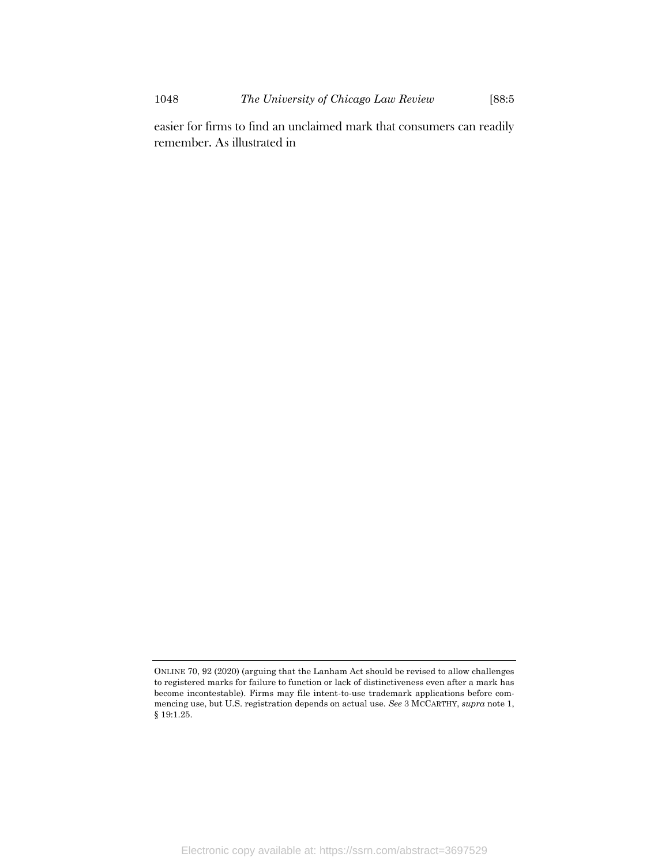1048 *The University of Chicago Law Review* [88:5

easier for firms to find an unclaimed mark that consumers can readily remember. As illustrated in

ONLINE 70, 92 (2020) (arguing that the Lanham Act should be revised to allow challenges to registered marks for failure to function or lack of distinctiveness even after a mark has become incontestable). Firms may file intent-to-use trademark applications before commencing use, but U.S. registration depends on actual use. *See* 3 MCCARTHY, *supra* not[e 1,](#page-2-0)  § 19:1.25.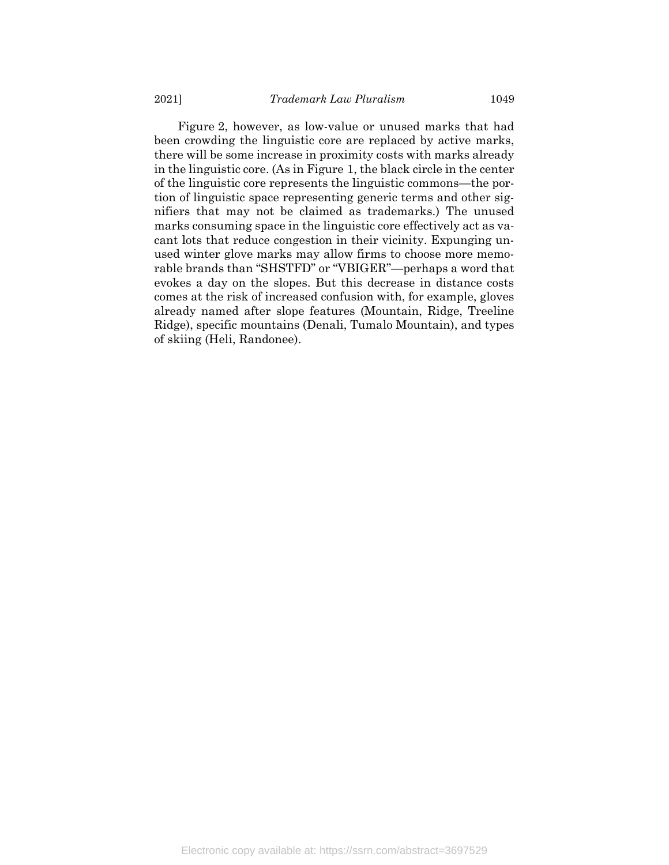<span id="page-25-0"></span>[Figure](#page-25-0) 2, however, as low-value or unused marks that had been crowding the linguistic core are replaced by active marks, there will be some increase in proximity costs with marks already in the linguistic core. (As in Figure 1, the black circle in the center of the linguistic core represents the linguistic commons—the portion of linguistic space representing generic terms and other signifiers that may not be claimed as trademarks.) The unused marks consuming space in the linguistic core effectively act as vacant lots that reduce congestion in their vicinity. Expunging unused winter glove marks may allow firms to choose more memorable brands than "SHSTFD" or "VBIGER"—perhaps a word that evokes a day on the slopes. But this decrease in distance costs comes at the risk of increased confusion with, for example, gloves already named after slope features (Mountain, Ridge, Treeline Ridge), specific mountains (Denali, Tumalo Mountain), and types of skiing (Heli, Randonee).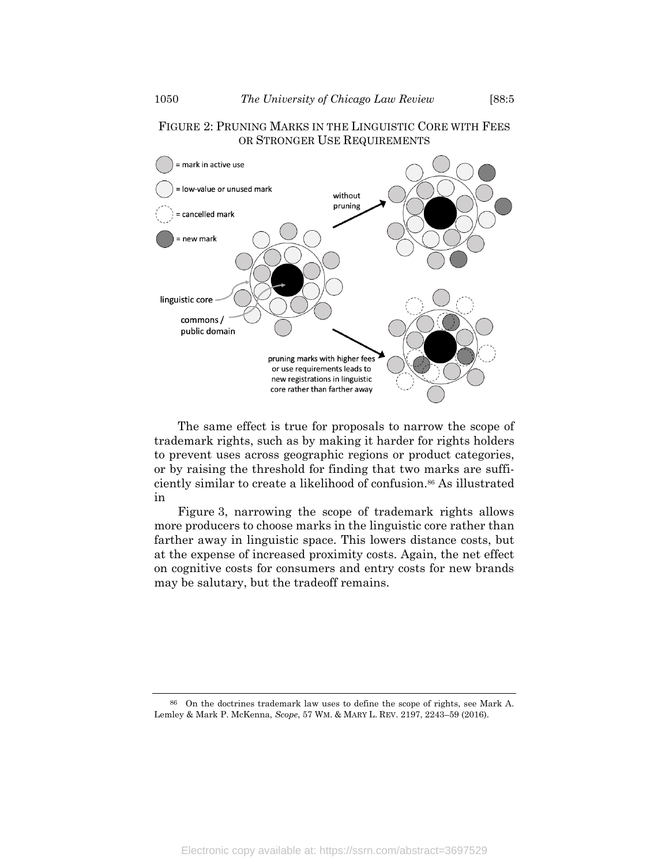# FIGURE 2: PRUNING MARKS IN THE LINGUISTIC CORE WITH FEES OR STRONGER USE REQUIREMENTS



The same effect is true for proposals to narrow the scope of trademark rights, such as by making it harder for rights holders to prevent uses across geographic regions or product categories, or by raising the threshold for finding that two marks are sufficiently similar to create a likelihood of confusion. <sup>86</sup> As illustrated in

<span id="page-26-1"></span><span id="page-26-0"></span>[Figure](#page-26-0) 3, narrowing the scope of trademark rights allows more producers to choose marks in the linguistic core rather than farther away in linguistic space. This lowers distance costs, but at the expense of increased proximity costs. Again, the net effect on cognitive costs for consumers and entry costs for new brands may be salutary, but the tradeoff remains.

86 On the doctrines trademark law uses to define the scope of rights, see Mark A. Lemley & Mark P. McKenna, *Scope*, 57 WM. & MARY L. REV. 2197, 2243–59 (2016).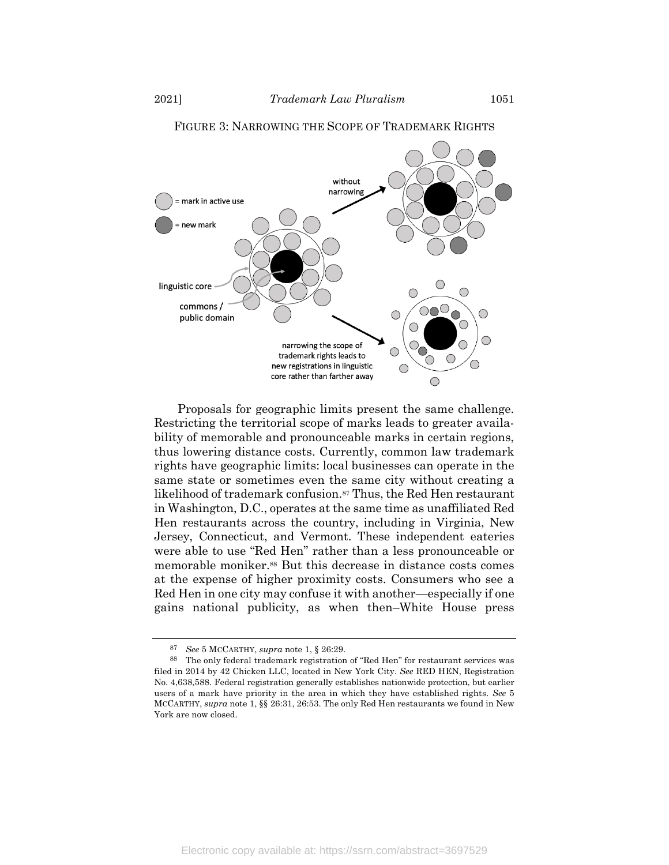

### FIGURE 3: NARROWING THE SCOPE OF TRADEMARK RIGHTS

Proposals for geographic limits present the same challenge. Restricting the territorial scope of marks leads to greater availability of memorable and pronounceable marks in certain regions, thus lowering distance costs. Currently, common law trademark rights have geographic limits: local businesses can operate in the same state or sometimes even the same city without creating a likelihood of trademark confusion.<sup>87</sup> Thus, the Red Hen restaurant in Washington, D.C., operates at the same time as unaffiliated Red Hen restaurants across the country, including in Virginia, New Jersey, Connecticut, and Vermont. These independent eateries were able to use "Red Hen" rather than a less pronounceable or memorable moniker.<sup>88</sup> But this decrease in distance costs comes at the expense of higher proximity costs. Consumers who see a Red Hen in one city may confuse it with another—especially if one gains national publicity, as when then–White House press

<sup>87</sup> *See* 5 MCCARTHY, *supra* note [1,](#page-2-0) § 26:29.

<sup>88</sup> The only federal trademark registration of "Red Hen" for restaurant services was filed in 2014 by 42 Chicken LLC, located in New York City. *See* RED HEN, Registration No. 4,638,588. Federal registration generally establishes nationwide protection, but earlier users of a mark have priority in the area in which they have established rights. *See* 5 MCCARTHY, *supra* note [1,](#page-2-0) §§ 26:31, 26:53. The only Red Hen restaurants we found in New York are now closed.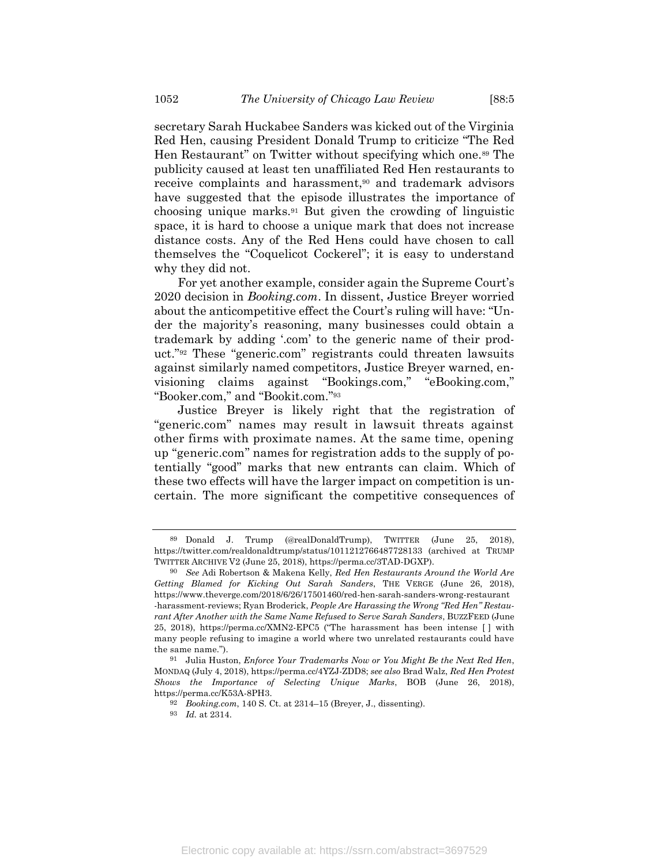secretary Sarah Huckabee Sanders was kicked out of the Virginia Red Hen, causing President Donald Trump to criticize "The Red Hen Restaurant" on Twitter without specifying which one.<sup>89</sup> The publicity caused at least ten unaffiliated Red Hen restaurants to receive complaints and harassment,<sup>90</sup> and trademark advisors have suggested that the episode illustrates the importance of choosing unique marks.<sup>91</sup> But given the crowding of linguistic space, it is hard to choose a unique mark that does not increase distance costs. Any of the Red Hens could have chosen to call themselves the "Coquelicot Cockerel"; it is easy to understand why they did not.

For yet another example, consider again the Supreme Court's 2020 decision in *Booking.com*. In dissent, Justice Breyer worried about the anticompetitive effect the Court's ruling will have: "Under the majority's reasoning, many businesses could obtain a trademark by adding '.com' to the generic name of their product." <sup>92</sup> These "generic.com" registrants could threaten lawsuits against similarly named competitors, Justice Breyer warned, envisioning claims against "Bookings.com," "eBooking.com," "Booker.com," and "Bookit.com."<sup>93</sup>

Justice Breyer is likely right that the registration of "generic.com" names may result in lawsuit threats against other firms with proximate names. At the same time, opening up "generic.com" names for registration adds to the supply of potentially "good" marks that new entrants can claim. Which of these two effects will have the larger impact on competition is uncertain. The more significant the competitive consequences of

<sup>89</sup> Donald J. Trump (@realDonaldTrump), TWITTER (June 25, 2018), https://twitter.com/realdonaldtrump/status/1011212766487728133 (archived at TRUMP TWITTER ARCHIVE V2 (June 25, 2018), https://perma.cc/3TAD-DGXP).

<sup>90</sup> *See* Adi Robertson & Makena Kelly, *Red Hen Restaurants Around the World Are Getting Blamed for Kicking Out Sarah Sanders*, THE VERGE (June 26, 2018), https://www.theverge.com/2018/6/26/17501460/red-hen-sarah-sanders-wrong-restaurant -harassment-reviews; Ryan Broderick, *People Are Harassing the Wrong "Red Hen" Restaurant After Another with the Same Name Refused to Serve Sarah Sanders*, BUZZFEED (June 25, 2018), https://perma.cc/XMN2-EPC5 ("The harassment has been intense [ ] with many people refusing to imagine a world where two unrelated restaurants could have the same name.").

<sup>91</sup> Julia Huston, *Enforce Your Trademarks Now or You Might Be the Next Red Hen*, MONDAQ (July 4, 2018), https://perma.cc/4YZJ-ZDD8; *see also* Brad Walz, *Red Hen Protest Shows the Importance of Selecting Unique Marks*, BOB (June 26, 2018), https://perma.cc/K53A-8PH3.

<sup>92</sup> *Booking.com*, 140 S. Ct. at 2314–15 (Breyer, J., dissenting).

<sup>93</sup> *Id.* at 2314.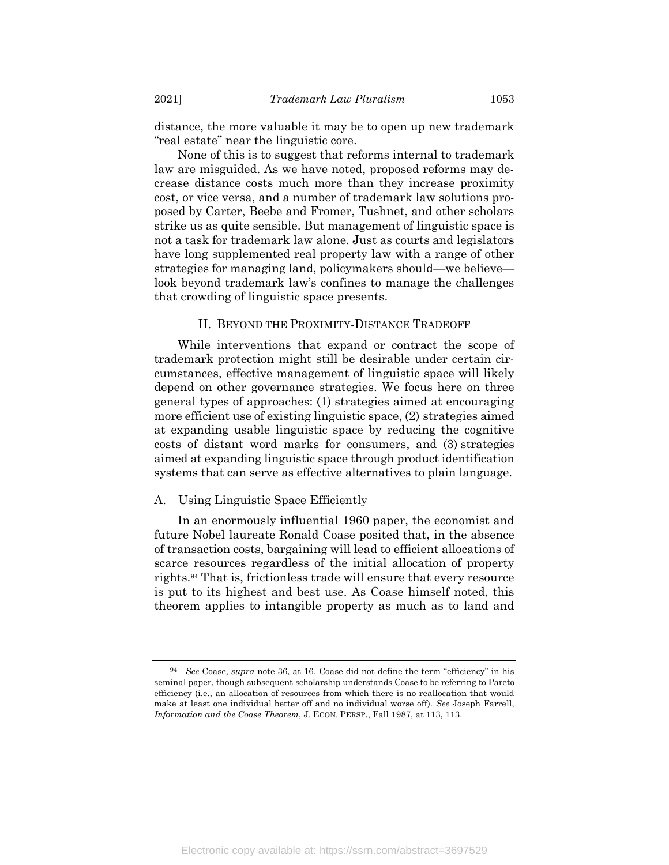distance, the more valuable it may be to open up new trademark "real estate" near the linguistic core.

None of this is to suggest that reforms internal to trademark law are misguided. As we have noted, proposed reforms may decrease distance costs much more than they increase proximity cost, or vice versa, and a number of trademark law solutions proposed by Carter, Beebe and Fromer, Tushnet, and other scholars strike us as quite sensible. But management of linguistic space is not a task for trademark law alone. Just as courts and legislators have long supplemented real property law with a range of other strategies for managing land, policymakers should—we believe look beyond trademark law's confines to manage the challenges that crowding of linguistic space presents.

# II. BEYOND THE PROXIMITY-DISTANCE TRADEOFF

While interventions that expand or contract the scope of trademark protection might still be desirable under certain circumstances, effective management of linguistic space will likely depend on other governance strategies. We focus here on three general types of approaches: (1) strategies aimed at encouraging more efficient use of existing linguistic space, (2) strategies aimed at expanding usable linguistic space by reducing the cognitive costs of distant word marks for consumers, and (3) strategies aimed at expanding linguistic space through product identification systems that can serve as effective alternatives to plain language.

#### A. Using Linguistic Space Efficiently

In an enormously influential 1960 paper, the economist and future Nobel laureate Ronald Coase posited that, in the absence of transaction costs, bargaining will lead to efficient allocations of scarce resources regardless of the initial allocation of property rights.<sup>94</sup> That is, frictionless trade will ensure that every resource is put to its highest and best use. As Coase himself noted, this theorem applies to intangible property as much as to land and

<sup>94</sup> *See* Coase, *supra* note [36,](#page-11-0) at 16. Coase did not define the term "efficiency" in his seminal paper, though subsequent scholarship understands Coase to be referring to Pareto efficiency (i.e., an allocation of resources from which there is no reallocation that would make at least one individual better off and no individual worse off). *See* Joseph Farrell, *Information and the Coase Theorem*, J. ECON. PERSP., Fall 1987, at 113, 113.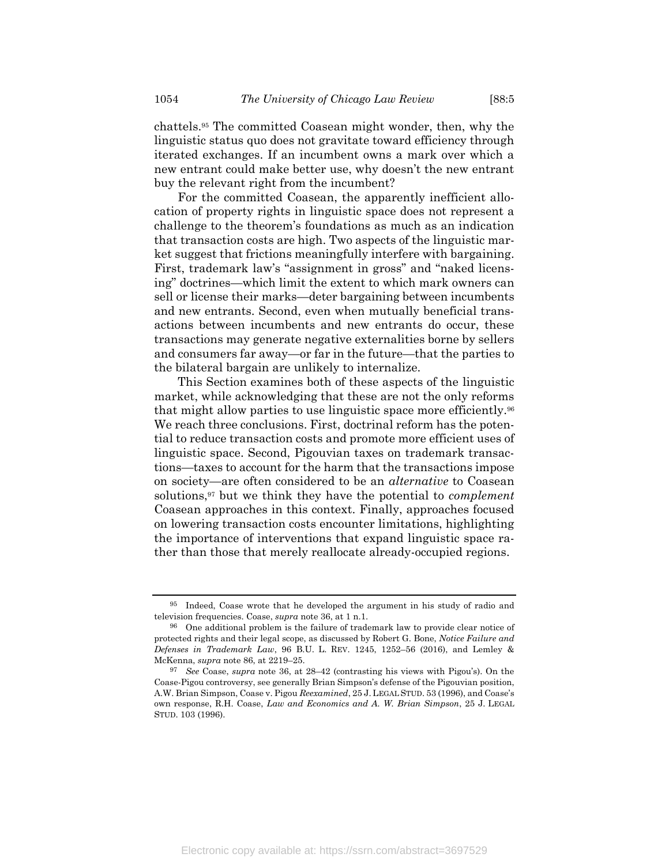chattels.<sup>95</sup> The committed Coasean might wonder, then, why the linguistic status quo does not gravitate toward efficiency through iterated exchanges. If an incumbent owns a mark over which a new entrant could make better use, why doesn't the new entrant buy the relevant right from the incumbent?

For the committed Coasean, the apparently inefficient allocation of property rights in linguistic space does not represent a challenge to the theorem's foundations as much as an indication that transaction costs are high. Two aspects of the linguistic market suggest that frictions meaningfully interfere with bargaining. First, trademark law's "assignment in gross" and "naked licensing" doctrines—which limit the extent to which mark owners can sell or license their marks—deter bargaining between incumbents and new entrants. Second, even when mutually beneficial transactions between incumbents and new entrants do occur, these transactions may generate negative externalities borne by sellers and consumers far away—or far in the future—that the parties to the bilateral bargain are unlikely to internalize.

This Section examines both of these aspects of the linguistic market, while acknowledging that these are not the only reforms that might allow parties to use linguistic space more efficiently.<sup>96</sup> We reach three conclusions. First, doctrinal reform has the potential to reduce transaction costs and promote more efficient uses of linguistic space. Second, Pigouvian taxes on trademark transactions—taxes to account for the harm that the transactions impose on society—are often considered to be an *alternative* to Coasean solutions,<sup>97</sup> but we think they have the potential to *complement* Coasean approaches in this context. Finally, approaches focused on lowering transaction costs encounter limitations, highlighting the importance of interventions that expand linguistic space rather than those that merely reallocate already-occupied regions.

<sup>95</sup> Indeed, Coase wrote that he developed the argument in his study of radio and television frequencies. Coase, *supra* not[e 36,](#page-11-0) at 1 n.1.

<sup>96</sup> One additional problem is the failure of trademark law to provide clear notice of protected rights and their legal scope, as discussed by Robert G. Bone, *Notice Failure and Defenses in Trademark Law*, 96 B.U. L. REV. 1245, 1252–56 (2016), and Lemley & McKenna, *supra* not[e 86,](#page-26-1) at 2219–25.

<sup>97</sup> *See* Coase, *supra* note [36,](#page-11-0) at 28–42 (contrasting his views with Pigou's). On the Coase-Pigou controversy, see generally Brian Simpson's defense of the Pigouvian position, A.W. Brian Simpson, Coase v. Pigou *Reexamined*, 25 J. LEGAL STUD. 53 (1996), and Coase's own response, R.H. Coase, *Law and Economics and A. W. Brian Simpson*, 25 J. LEGAL STUD. 103 (1996).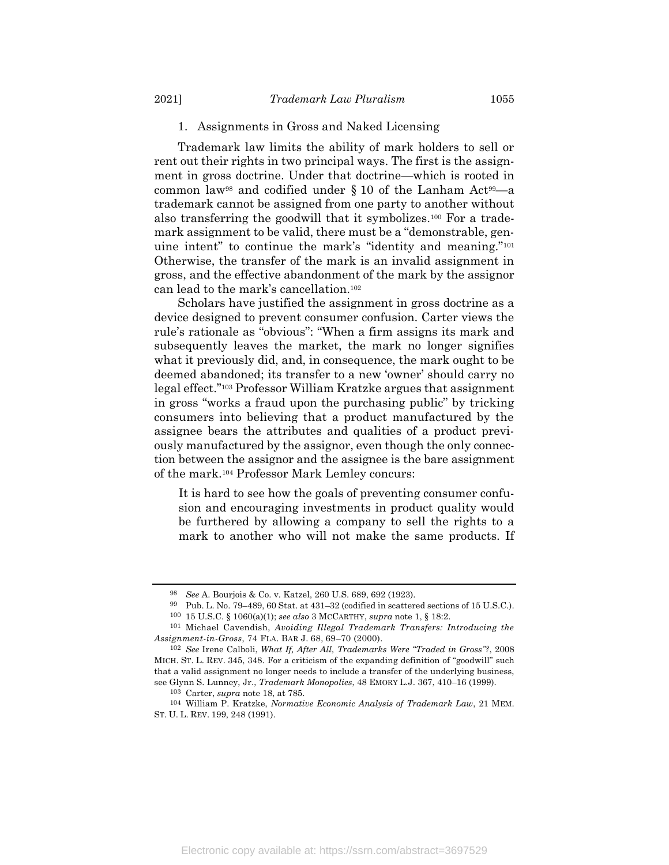#### 1. Assignments in Gross and Naked Licensing

Trademark law limits the ability of mark holders to sell or rent out their rights in two principal ways. The first is the assignment in gross doctrine. Under that doctrine—which is rooted in common law<sup>98</sup> and codified under  $\S 10$  of the Lanham Act<sup>99</sup>—a trademark cannot be assigned from one party to another without also transferring the goodwill that it symbolizes.<sup>100</sup> For a trademark assignment to be valid, there must be a "demonstrable, genuine intent" to continue the mark's "identity and meaning."<sup>101</sup> Otherwise, the transfer of the mark is an invalid assignment in gross, and the effective abandonment of the mark by the assignor can lead to the mark's cancellation.<sup>102</sup>

Scholars have justified the assignment in gross doctrine as a device designed to prevent consumer confusion. Carter views the rule's rationale as "obvious": "When a firm assigns its mark and subsequently leaves the market, the mark no longer signifies what it previously did, and, in consequence, the mark ought to be deemed abandoned; its transfer to a new 'owner' should carry no legal effect."<sup>103</sup> Professor William Kratzke argues that assignment in gross "works a fraud upon the purchasing public" by tricking consumers into believing that a product manufactured by the assignee bears the attributes and qualities of a product previously manufactured by the assignor, even though the only connection between the assignor and the assignee is the bare assignment of the mark.<sup>104</sup> Professor Mark Lemley concurs:

It is hard to see how the goals of preventing consumer confusion and encouraging investments in product quality would be furthered by allowing a company to sell the rights to a mark to another who will not make the same products. If

<sup>98</sup> *See* A. Bourjois & Co. v. Katzel, 260 U.S. 689, 692 (1923).

<sup>99</sup> Pub. L. No. 79–489, 60 Stat. at 431–32 (codified in scattered sections of 15 U.S.C.). 100 15 U.S.C. § 1060(a)(1); *see also* 3 MCCARTHY, *supra* not[e 1,](#page-2-0) § 18:2.

<sup>101</sup> Michael Cavendish, *Avoiding Illegal Trademark Transfers: Introducing the Assignment-in-Gross*, 74 FLA. BAR J. 68, 69–70 (2000).

<sup>102</sup> *See* Irene Calboli, *What If, After All, Trademarks Were "Traded in Gross"?*, 2008 MICH. ST. L. REV. 345, 348. For a criticism of the expanding definition of "goodwill" such that a valid assignment no longer needs to include a transfer of the underlying business, see Glynn S. Lunney, Jr., *Trademark Monopolies*, 48 EMORY L.J. 367, 410–16 (1999).

<sup>103</sup> Carter, *supra* not[e 18,](#page-8-1) at 785.

<sup>104</sup> William P. Kratzke, *Normative Economic Analysis of Trademark Law*, 21 MEM. ST. U. L. REV. 199, 248 (1991).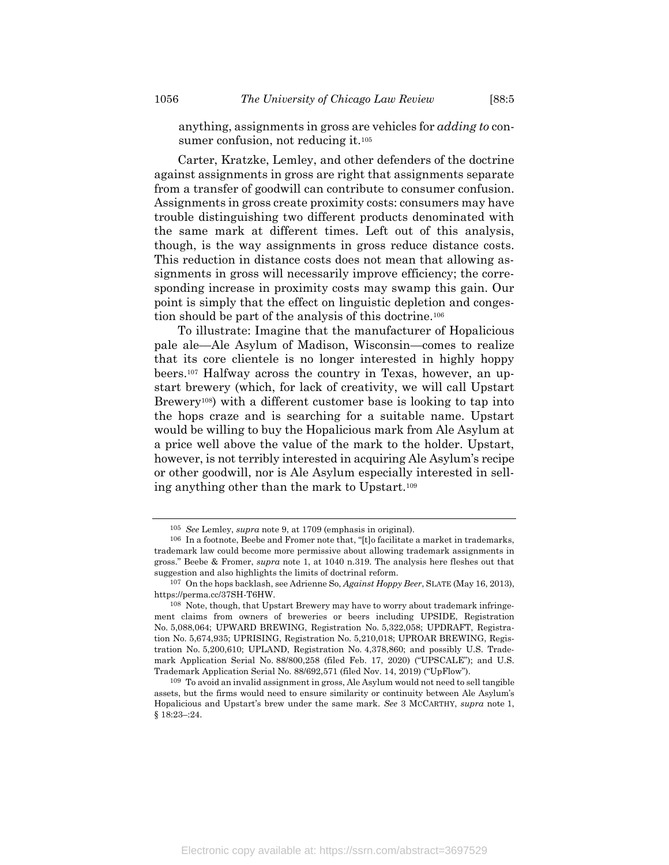anything, assignments in gross are vehicles for *adding to* consumer confusion, not reducing it.<sup>105</sup>

Carter, Kratzke, Lemley, and other defenders of the doctrine against assignments in gross are right that assignments separate from a transfer of goodwill can contribute to consumer confusion. Assignments in gross create proximity costs: consumers may have trouble distinguishing two different products denominated with the same mark at different times. Left out of this analysis, though, is the way assignments in gross reduce distance costs. This reduction in distance costs does not mean that allowing assignments in gross will necessarily improve efficiency; the corresponding increase in proximity costs may swamp this gain. Our point is simply that the effect on linguistic depletion and congestion should be part of the analysis of this doctrine.<sup>106</sup>

To illustrate: Imagine that the manufacturer of Hopalicious pale ale—Ale Asylum of Madison, Wisconsin—comes to realize that its core clientele is no longer interested in highly hoppy beers.<sup>107</sup> Halfway across the country in Texas, however, an upstart brewery (which, for lack of creativity, we will call Upstart Brewery108) with a different customer base is looking to tap into the hops craze and is searching for a suitable name. Upstart would be willing to buy the Hopalicious mark from Ale Asylum at a price well above the value of the mark to the holder. Upstart, however, is not terribly interested in acquiring Ale Asylum's recipe or other goodwill, nor is Ale Asylum especially interested in selling anything other than the mark to Upstart.<sup>109</sup>

<sup>105</sup> *See* Lemley, *supra* note [9,](#page-4-1) at 1709 (emphasis in original).

<sup>106</sup> In a footnote, Beebe and Fromer note that, "[t]o facilitate a market in trademarks, trademark law could become more permissive about allowing trademark assignments in gross." Beebe & Fromer, *supra* note [1,](#page-2-0) at 1040 n.319. The analysis here fleshes out that suggestion and also highlights the limits of doctrinal reform.

<sup>107</sup> On the hops backlash, see Adrienne So, *Against Hoppy Beer*, SLATE (May 16, 2013), https://perma.cc/37SH-T6HW.

<sup>108</sup> Note, though, that Upstart Brewery may have to worry about trademark infringement claims from owners of breweries or beers including UPSIDE, Registration No. 5,088,064; UPWARD BREWING, Registration No. 5,322,058; UPDRAFT, Registration No. 5,674,935; UPRISING, Registration No. 5,210,018; UPROAR BREWING, Registration No. 5,200,610; UPLAND, Registration No. 4,378,860; and possibly U.S. Trademark Application Serial No. 88/800,258 (filed Feb. 17, 2020) ("UPSCALE"); and U.S. Trademark Application Serial No. 88/692,571 (filed Nov. 14, 2019) ("UpFlow").

<sup>109</sup> To avoid an invalid assignment in gross, Ale Asylum would not need to sell tangible assets, but the firms would need to ensure similarity or continuity between Ale Asylum's Hopalicious and Upstart's brew under the same mark. *See* 3 MCCARTHY, *supra* note [1,](#page-2-0)  § 18:23–:24.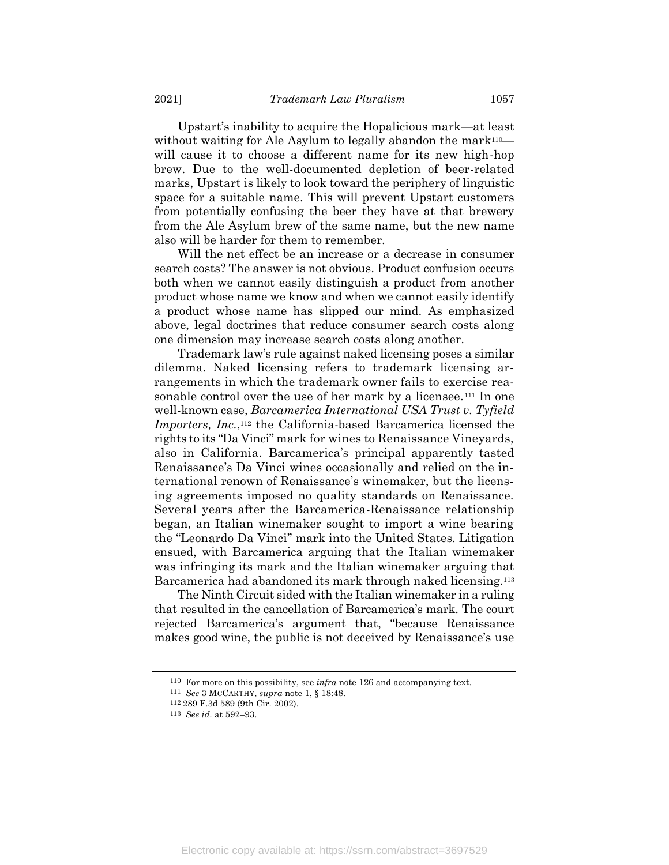Upstart's inability to acquire the Hopalicious mark—at least without waiting for Ale Asylum to legally abandon the mark<sup>110—</sup> will cause it to choose a different name for its new high-hop brew. Due to the well-documented depletion of beer-related marks, Upstart is likely to look toward the periphery of linguistic space for a suitable name. This will prevent Upstart customers from potentially confusing the beer they have at that brewery from the Ale Asylum brew of the same name, but the new name also will be harder for them to remember.

Will the net effect be an increase or a decrease in consumer search costs? The answer is not obvious. Product confusion occurs both when we cannot easily distinguish a product from another product whose name we know and when we cannot easily identify a product whose name has slipped our mind. As emphasized above, legal doctrines that reduce consumer search costs along one dimension may increase search costs along another.

Trademark law's rule against naked licensing poses a similar dilemma. Naked licensing refers to trademark licensing arrangements in which the trademark owner fails to exercise reasonable control over the use of her mark by a licensee.<sup>111</sup> In one well-known case, *Barcamerica International USA Trust v. Tyfield Importers, Inc.*,<sup>112</sup> the California-based Barcamerica licensed the rights to its "Da Vinci" mark for wines to Renaissance Vineyards, also in California. Barcamerica's principal apparently tasted Renaissance's Da Vinci wines occasionally and relied on the international renown of Renaissance's winemaker, but the licensing agreements imposed no quality standards on Renaissance. Several years after the Barcamerica-Renaissance relationship began, an Italian winemaker sought to import a wine bearing the "Leonardo Da Vinci" mark into the United States. Litigation ensued, with Barcamerica arguing that the Italian winemaker was infringing its mark and the Italian winemaker arguing that Barcamerica had abandoned its mark through naked licensing.<sup>113</sup>

The Ninth Circuit sided with the Italian winemaker in a ruling that resulted in the cancellation of Barcamerica's mark. The court rejected Barcamerica's argument that, "because Renaissance makes good wine, the public is not deceived by Renaissance's use

<sup>110</sup> For more on this possibility, see *infra* not[e 126](#page-36-0) and accompanying text.

<sup>111</sup> *See* 3 MCCARTHY, *supra* note [1,](#page-2-0) § 18:48.

<sup>112</sup> 289 F.3d 589 (9th Cir. 2002).

<sup>113</sup> *See id.* at 592–93.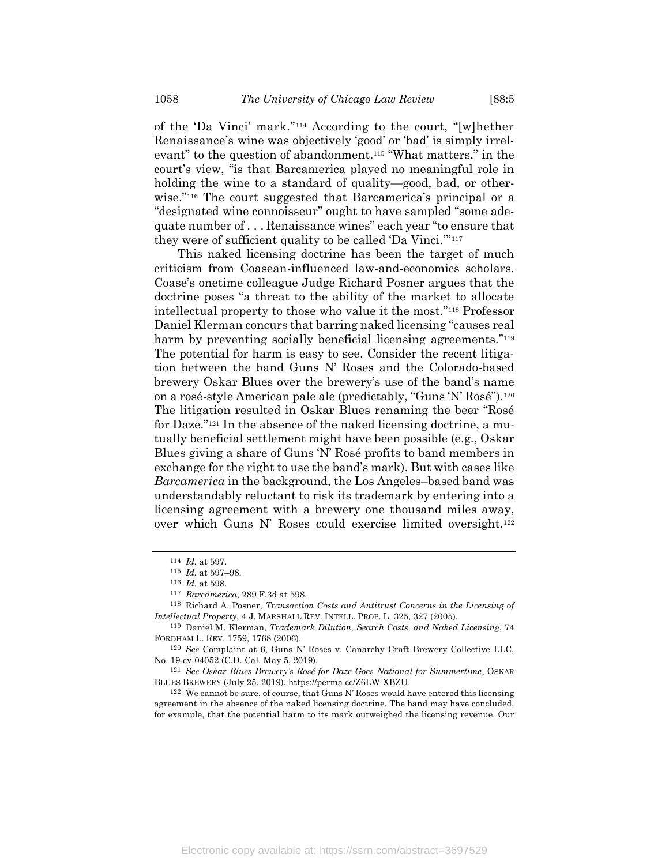of the 'Da Vinci' mark."<sup>114</sup> According to the court, "[w]hether Renaissance's wine was objectively 'good' or 'bad' is simply irrelevant" to the question of abandonment.<sup>115</sup> "What matters," in the court's view, "is that Barcamerica played no meaningful role in holding the wine to a standard of quality—good, bad, or otherwise."<sup>116</sup> The court suggested that Barcamerica's principal or a "designated wine connoisseur" ought to have sampled "some adequate number of . . . Renaissance wines" each year "to ensure that they were of sufficient quality to be called 'Da Vinci.'" 117

This naked licensing doctrine has been the target of much criticism from Coasean-influenced law-and-economics scholars. Coase's onetime colleague Judge Richard Posner argues that the doctrine poses "a threat to the ability of the market to allocate intellectual property to those who value it the most."<sup>118</sup> Professor Daniel Klerman concurs that barring naked licensing "causes real harm by preventing socially beneficial licensing agreements."<sup>119</sup> The potential for harm is easy to see. Consider the recent litigation between the band Guns N' Roses and the Colorado-based brewery Oskar Blues over the brewery's use of the band's name on a rosé-style American pale ale (predictably, "Guns 'N' Rosé").<sup>120</sup> The litigation resulted in Oskar Blues renaming the beer "Rosé for Daze."<sup>121</sup> In the absence of the naked licensing doctrine, a mutually beneficial settlement might have been possible (e.g., Oskar Blues giving a share of Guns 'N' Rosé profits to band members in exchange for the right to use the band's mark). But with cases like *Barcamerica* in the background, the Los Angeles–based band was understandably reluctant to risk its trademark by entering into a licensing agreement with a brewery one thousand miles away, over which Guns N' Roses could exercise limited oversight.<sup>122</sup>

<sup>114</sup> *Id.* at 597.

<sup>115</sup> *Id.* at 597–98.

<sup>116</sup> *Id.* at 598.

<sup>117</sup> *Barcamerica*, 289 F.3d at 598.

<sup>118</sup> Richard A. Posner, *Transaction Costs and Antitrust Concerns in the Licensing of Intellectual Property*, 4 J. MARSHALL REV. INTELL. PROP. L. 325, 327 (2005).

<sup>119</sup> Daniel M. Klerman, *Trademark Dilution, Search Costs, and Naked Licensing*, 74 FORDHAM L. REV. 1759, 1768 (2006).

<sup>120</sup> *See* Complaint at 6, Guns N' Roses v. Canarchy Craft Brewery Collective LLC, No. 19-cv-04052 (C.D. Cal. May 5, 2019).

<sup>121</sup> *See Oskar Blues Brewery's Rosé for Daze Goes National for Summertime*, OSKAR BLUES BREWERY (July 25, 2019), https://perma.cc/Z6LW-XBZU.

 $122$  We cannot be sure, of course, that Guns N' Roses would have entered this licensing agreement in the absence of the naked licensing doctrine. The band may have concluded, for example, that the potential harm to its mark outweighed the licensing revenue. Our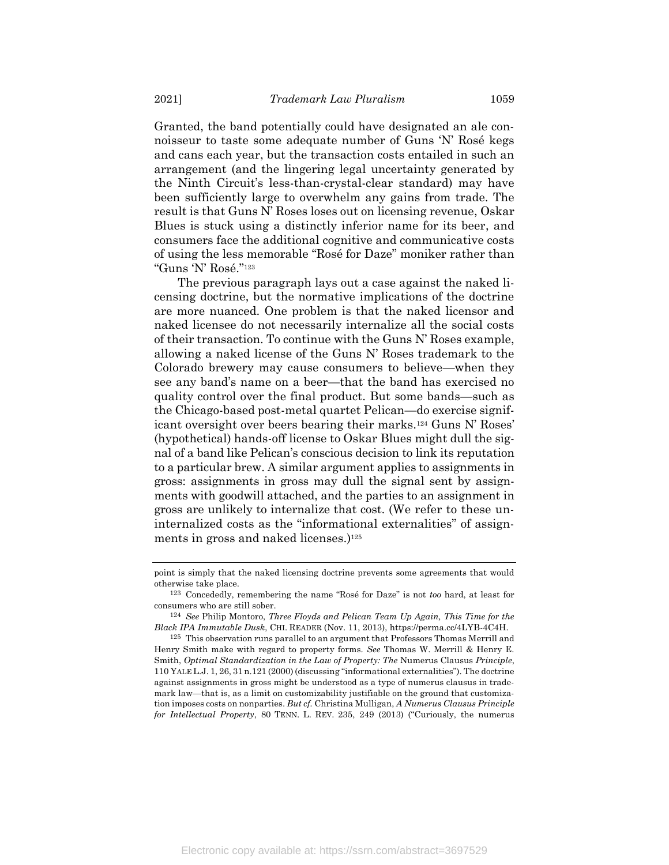Granted, the band potentially could have designated an ale connoisseur to taste some adequate number of Guns 'N' Rosé kegs and cans each year, but the transaction costs entailed in such an arrangement (and the lingering legal uncertainty generated by the Ninth Circuit's less-than-crystal-clear standard) may have been sufficiently large to overwhelm any gains from trade. The result is that Guns N' Roses loses out on licensing revenue, Oskar Blues is stuck using a distinctly inferior name for its beer, and consumers face the additional cognitive and communicative costs of using the less memorable "Rosé for Daze" moniker rather than "Guns 'N' Rosé."<sup>123</sup>

The previous paragraph lays out a case against the naked licensing doctrine, but the normative implications of the doctrine are more nuanced. One problem is that the naked licensor and naked licensee do not necessarily internalize all the social costs of their transaction. To continue with the Guns N' Roses example, allowing a naked license of the Guns N' Roses trademark to the Colorado brewery may cause consumers to believe—when they see any band's name on a beer—that the band has exercised no quality control over the final product. But some bands—such as the Chicago-based post-metal quartet Pelican—do exercise significant oversight over beers bearing their marks.<sup>124</sup> Guns N' Roses' (hypothetical) hands-off license to Oskar Blues might dull the signal of a band like Pelican's conscious decision to link its reputation to a particular brew. A similar argument applies to assignments in gross: assignments in gross may dull the signal sent by assignments with goodwill attached, and the parties to an assignment in gross are unlikely to internalize that cost. (We refer to these uninternalized costs as the "informational externalities" of assignments in gross and naked licenses.) 125

point is simply that the naked licensing doctrine prevents some agreements that would otherwise take place.

<sup>123</sup> Concededly, remembering the name "Rosé for Daze" is not *too* hard, at least for consumers who are still sober.

<sup>124</sup> *See* Philip Montoro, *Three Floyds and Pelican Team Up Again, This Time for the Black IPA Immutable Dusk*, CHI. READER (Nov. 11, 2013), https://perma.cc/4LYB-4C4H.

<sup>125</sup> This observation runs parallel to an argument that Professors Thomas Merrill and Henry Smith make with regard to property forms. *See* Thomas W. Merrill & Henry E. Smith, *Optimal Standardization in the Law of Property: The* Numerus Clausus *Principle*, 110 YALE L.J. 1, 26, 31 n.121 (2000) (discussing "informational externalities"). The doctrine against assignments in gross might be understood as a type of numerus clausus in trademark law—that is, as a limit on customizability justifiable on the ground that customization imposes costs on nonparties. *But cf.* Christina Mulligan, *A Numerus Clausus Principle for Intellectual Property*, 80 TENN. L. REV. 235, 249 (2013) ("Curiously, the numerus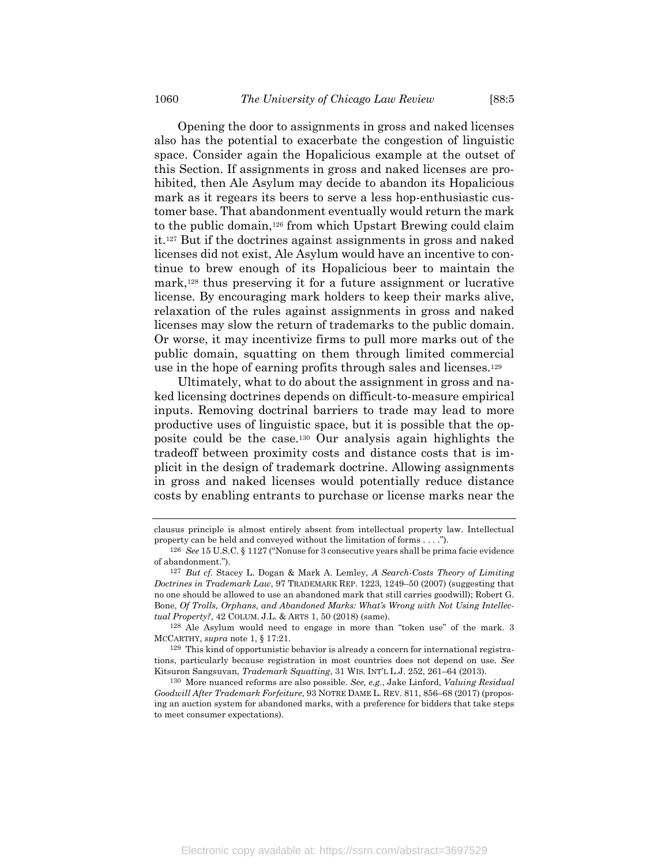<span id="page-36-0"></span>Opening the door to assignments in gross and naked licenses also has the potential to exacerbate the congestion of linguistic space. Consider again the Hopalicious example at the outset of this Section. If assignments in gross and naked licenses are prohibited, then Ale Asylum may decide to abandon its Hopalicious mark as it regears its beers to serve a less hop-enthusiastic customer base. That abandonment eventually would return the mark to the public domain,<sup>126</sup> from which Upstart Brewing could claim it.<sup>127</sup> But if the doctrines against assignments in gross and naked licenses did not exist, Ale Asylum would have an incentive to continue to brew enough of its Hopalicious beer to maintain the mark,<sup>128</sup> thus preserving it for a future assignment or lucrative license. By encouraging mark holders to keep their marks alive, relaxation of the rules against assignments in gross and naked licenses may slow the return of trademarks to the public domain. Or worse, it may incentivize firms to pull more marks out of the public domain, squatting on them through limited commercial use in the hope of earning profits through sales and licenses.<sup>129</sup>

Ultimately, what to do about the assignment in gross and naked licensing doctrines depends on difficult-to-measure empirical inputs. Removing doctrinal barriers to trade may lead to more productive uses of linguistic space, but it is possible that the opposite could be the case.<sup>130</sup> Our analysis again highlights the tradeoff between proximity costs and distance costs that is implicit in the design of trademark doctrine. Allowing assignments in gross and naked licenses would potentially reduce distance costs by enabling entrants to purchase or license marks near the

128 Ale Asylum would need to engage in more than "token use" of the mark. 3 MCCARTHY, *supra* note [1,](#page-2-0) § 17:21.

129 This kind of opportunistic behavior is already a concern for international registrations, particularly because registration in most countries does not depend on use. *See* Kitsuron Sangsuvan, *Trademark Squatting*, 31 WIS. INT'L L.J. 252, 261–64 (2013).

130 More nuanced reforms are also possible. *See, e.g.*, Jake Linford, *Valuing Residual Goodwill After Trademark Forfeiture*, 93 NOTRE DAME L. REV. 811, 856–68 (2017) (proposing an auction system for abandoned marks, with a preference for bidders that take steps to meet consumer expectations).

clausus principle is almost entirely absent from intellectual property law. Intellectual property can be held and conveyed without the limitation of forms . . . .").

<sup>126</sup> *See* 15 U.S.C. § 1127 ("Nonuse for 3 consecutive years shall be prima facie evidence of abandonment.").

<sup>127</sup> *But cf.* Stacey L. Dogan & Mark A. Lemley, *A Search-Costs Theory of Limiting Doctrines in Trademark Law*, 97 TRADEMARK REP. 1223, 1249–50 (2007) (suggesting that no one should be allowed to use an abandoned mark that still carries goodwill); Robert G. Bone, *Of Trolls, Orphans, and Abandoned Marks: What's Wrong with Not Using Intellectual Property?*, 42 COLUM. J.L. & ARTS 1, 50 (2018) (same).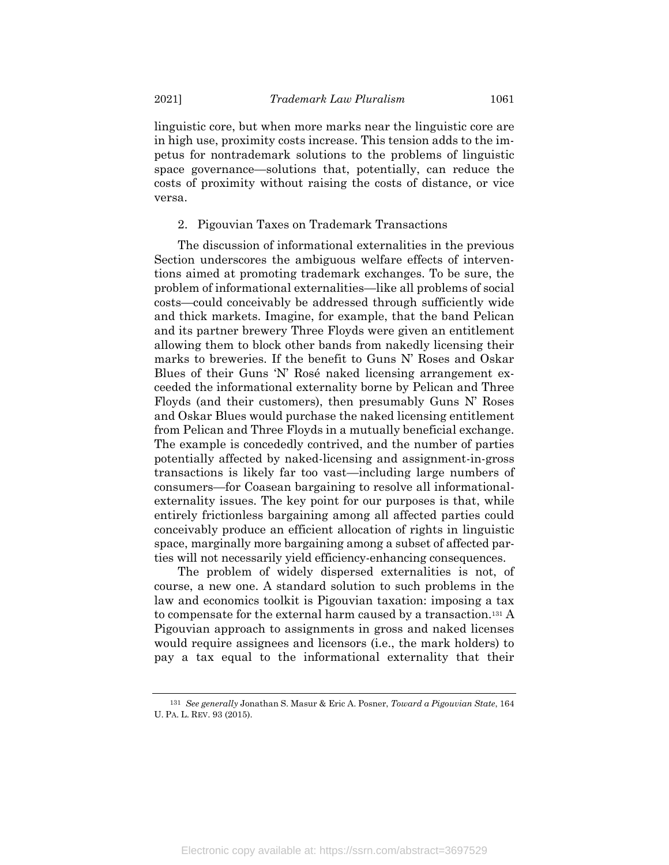linguistic core, but when more marks near the linguistic core are in high use, proximity costs increase. This tension adds to the impetus for nontrademark solutions to the problems of linguistic space governance—solutions that, potentially, can reduce the costs of proximity without raising the costs of distance, or vice versa.

2. Pigouvian Taxes on Trademark Transactions

The discussion of informational externalities in the previous Section underscores the ambiguous welfare effects of interventions aimed at promoting trademark exchanges. To be sure, the problem of informational externalities—like all problems of social costs—could conceivably be addressed through sufficiently wide and thick markets. Imagine, for example, that the band Pelican and its partner brewery Three Floyds were given an entitlement allowing them to block other bands from nakedly licensing their marks to breweries. If the benefit to Guns N' Roses and Oskar Blues of their Guns 'N' Rosé naked licensing arrangement exceeded the informational externality borne by Pelican and Three Floyds (and their customers), then presumably Guns N' Roses and Oskar Blues would purchase the naked licensing entitlement from Pelican and Three Floyds in a mutually beneficial exchange. The example is concededly contrived, and the number of parties potentially affected by naked-licensing and assignment-in-gross transactions is likely far too vast—including large numbers of consumers—for Coasean bargaining to resolve all informationalexternality issues. The key point for our purposes is that, while entirely frictionless bargaining among all affected parties could conceivably produce an efficient allocation of rights in linguistic space, marginally more bargaining among a subset of affected parties will not necessarily yield efficiency-enhancing consequences.

The problem of widely dispersed externalities is not, of course, a new one. A standard solution to such problems in the law and economics toolkit is Pigouvian taxation: imposing a tax to compensate for the external harm caused by a transaction.<sup>131</sup> A Pigouvian approach to assignments in gross and naked licenses would require assignees and licensors (i.e., the mark holders) to pay a tax equal to the informational externality that their

<sup>131</sup> *See generally* Jonathan S. Masur & Eric A. Posner, *Toward a Pigouvian State*, 164 U. PA. L. REV. 93 (2015).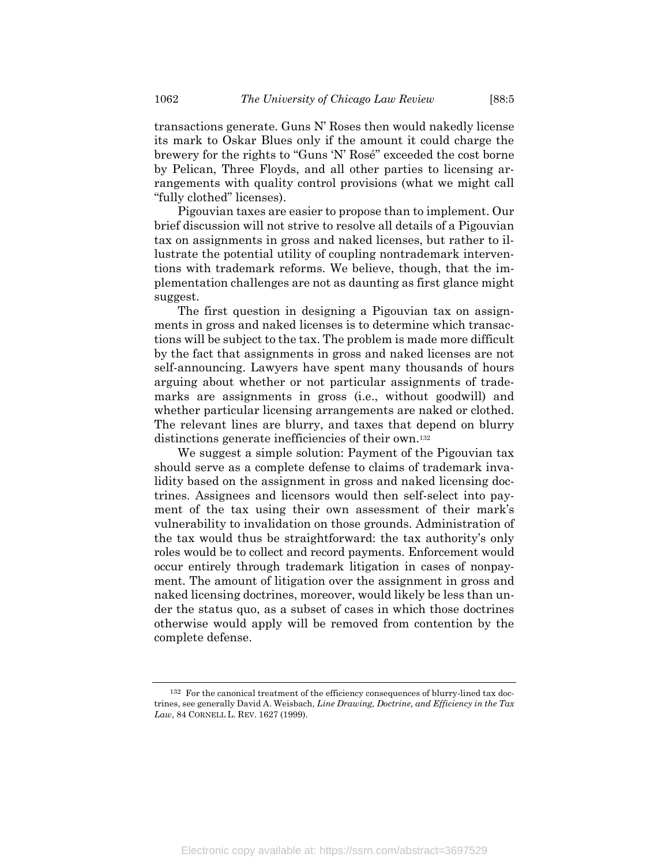transactions generate. Guns N' Roses then would nakedly license its mark to Oskar Blues only if the amount it could charge the brewery for the rights to "Guns 'N' Rosé" exceeded the cost borne by Pelican, Three Floyds, and all other parties to licensing arrangements with quality control provisions (what we might call "fully clothed" licenses).

Pigouvian taxes are easier to propose than to implement. Our brief discussion will not strive to resolve all details of a Pigouvian tax on assignments in gross and naked licenses, but rather to illustrate the potential utility of coupling nontrademark interventions with trademark reforms. We believe, though, that the implementation challenges are not as daunting as first glance might suggest.

The first question in designing a Pigouvian tax on assignments in gross and naked licenses is to determine which transactions will be subject to the tax. The problem is made more difficult by the fact that assignments in gross and naked licenses are not self-announcing. Lawyers have spent many thousands of hours arguing about whether or not particular assignments of trademarks are assignments in gross (i.e., without goodwill) and whether particular licensing arrangements are naked or clothed. The relevant lines are blurry, and taxes that depend on blurry distinctions generate inefficiencies of their own.<sup>132</sup>

We suggest a simple solution: Payment of the Pigouvian tax should serve as a complete defense to claims of trademark invalidity based on the assignment in gross and naked licensing doctrines. Assignees and licensors would then self-select into payment of the tax using their own assessment of their mark's vulnerability to invalidation on those grounds. Administration of the tax would thus be straightforward: the tax authority's only roles would be to collect and record payments. Enforcement would occur entirely through trademark litigation in cases of nonpayment. The amount of litigation over the assignment in gross and naked licensing doctrines, moreover, would likely be less than under the status quo, as a subset of cases in which those doctrines otherwise would apply will be removed from contention by the complete defense.

<sup>132</sup> For the canonical treatment of the efficiency consequences of blurry-lined tax doctrines, see generally David A. Weisbach, *Line Drawing, Doctrine, and Efficiency in the Tax Law*, 84 CORNELL L. REV. 1627 (1999).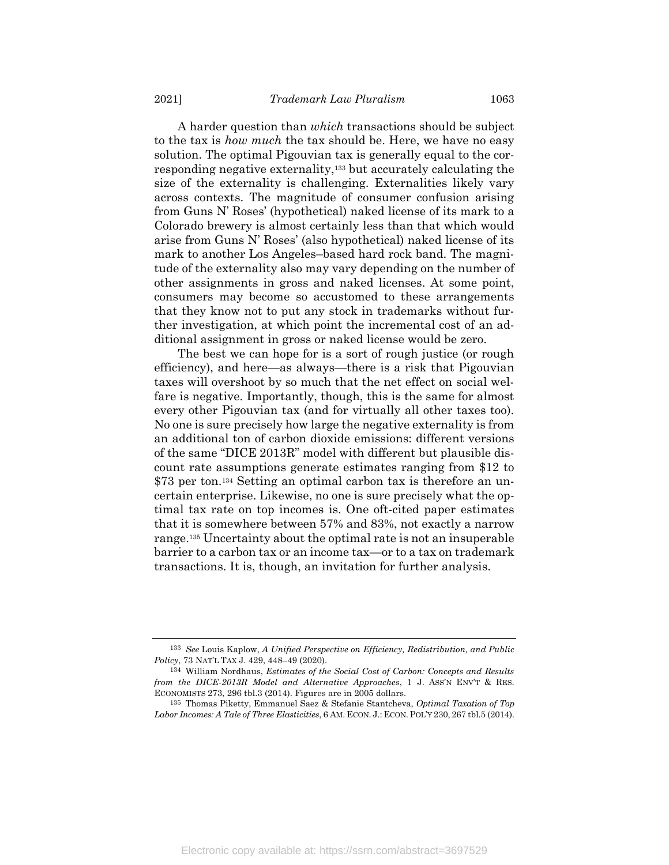A harder question than *which* transactions should be subject to the tax is *how much* the tax should be. Here, we have no easy solution. The optimal Pigouvian tax is generally equal to the corresponding negative externality,<sup>133</sup> but accurately calculating the size of the externality is challenging. Externalities likely vary across contexts. The magnitude of consumer confusion arising from Guns N' Roses' (hypothetical) naked license of its mark to a Colorado brewery is almost certainly less than that which would arise from Guns N' Roses' (also hypothetical) naked license of its mark to another Los Angeles–based hard rock band. The magnitude of the externality also may vary depending on the number of other assignments in gross and naked licenses. At some point, consumers may become so accustomed to these arrangements that they know not to put any stock in trademarks without further investigation, at which point the incremental cost of an additional assignment in gross or naked license would be zero.

The best we can hope for is a sort of rough justice (or rough efficiency), and here—as always—there is a risk that Pigouvian taxes will overshoot by so much that the net effect on social welfare is negative. Importantly, though, this is the same for almost every other Pigouvian tax (and for virtually all other taxes too). No one is sure precisely how large the negative externality is from an additional ton of carbon dioxide emissions: different versions of the same "DICE 2013R" model with different but plausible discount rate assumptions generate estimates ranging from \$12 to \$73 per ton.<sup>134</sup> Setting an optimal carbon tax is therefore an uncertain enterprise. Likewise, no one is sure precisely what the optimal tax rate on top incomes is. One oft-cited paper estimates that it is somewhere between 57% and 83%, not exactly a narrow range.<sup>135</sup> Uncertainty about the optimal rate is not an insuperable barrier to a carbon tax or an income tax—or to a tax on trademark transactions. It is, though, an invitation for further analysis.

<sup>133</sup> *See* Louis Kaplow, *A Unified Perspective on Efficiency, Redistribution, and Public Policy*, 73 NAT'L TAX J. 429, 448–49 (2020).

<sup>134</sup> William Nordhaus, *Estimates of the Social Cost of Carbon: Concepts and Results from the DICE-2013R Model and Alternative Approaches*, 1 J. ASS'N ENV'T & RES. ECONOMISTS 273, 296 tbl.3 (2014). Figures are in 2005 dollars.

<sup>135</sup> Thomas Piketty, Emmanuel Saez & Stefanie Stantcheva, *Optimal Taxation of Top Labor Incomes: A Tale of Three Elasticities*, 6 AM. ECON. J.: ECON.POL'Y 230, 267 tbl.5 (2014).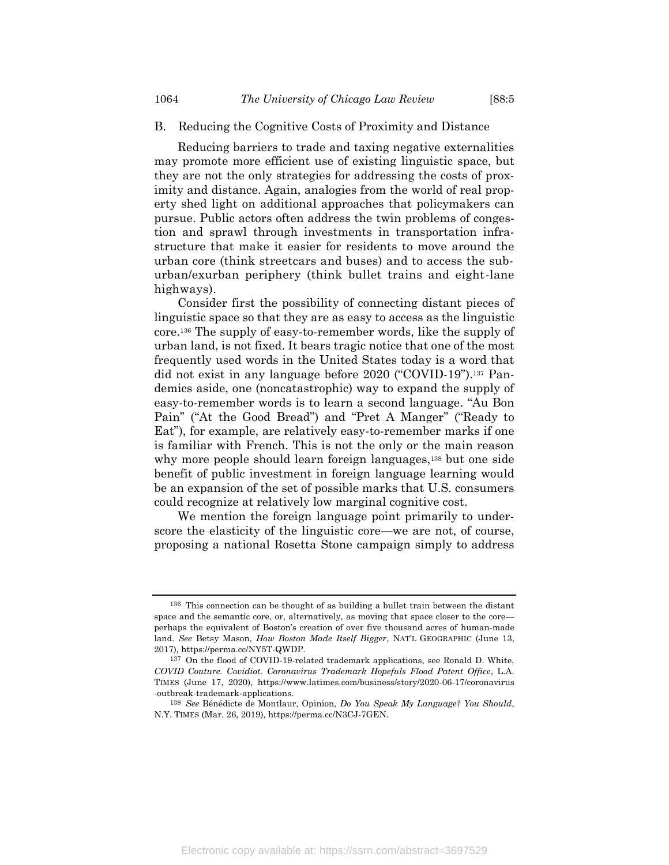# B. Reducing the Cognitive Costs of Proximity and Distance

Reducing barriers to trade and taxing negative externalities may promote more efficient use of existing linguistic space, but they are not the only strategies for addressing the costs of proximity and distance. Again, analogies from the world of real property shed light on additional approaches that policymakers can pursue. Public actors often address the twin problems of congestion and sprawl through investments in transportation infrastructure that make it easier for residents to move around the urban core (think streetcars and buses) and to access the suburban/exurban periphery (think bullet trains and eight-lane highways).

Consider first the possibility of connecting distant pieces of linguistic space so that they are as easy to access as the linguistic core.<sup>136</sup> The supply of easy-to-remember words, like the supply of urban land, is not fixed. It bears tragic notice that one of the most frequently used words in the United States today is a word that did not exist in any language before 2020 ("COVID-19").<sup>137</sup> Pandemics aside, one (noncatastrophic) way to expand the supply of easy-to-remember words is to learn a second language. "Au Bon Pain" ("At the Good Bread") and "Pret A Manger" ("Ready to Eat"), for example, are relatively easy-to-remember marks if one is familiar with French. This is not the only or the main reason why more people should learn foreign languages,<sup>138</sup> but one side benefit of public investment in foreign language learning would be an expansion of the set of possible marks that U.S. consumers could recognize at relatively low marginal cognitive cost.

We mention the foreign language point primarily to underscore the elasticity of the linguistic core—we are not, of course, proposing a national Rosetta Stone campaign simply to address

<sup>136</sup> This connection can be thought of as building a bullet train between the distant space and the semantic core, or, alternatively, as moving that space closer to the core perhaps the equivalent of Boston's creation of over five thousand acres of human-made land. *See* Betsy Mason, *How Boston Made Itself Bigger*, NAT'L GEOGRAPHIC (June 13, 2017), https://perma.cc/NY5T-QWDP.

<sup>137</sup> On the flood of COVID-19-related trademark applications, see Ronald D. White, *COVID Couture. Covidiot. Coronavirus Trademark Hopefuls Flood Patent Office*, L.A. TIMES (June 17, 2020), https://www.latimes.com/business/story/2020-06-17/coronavirus -outbreak-trademark-applications.

<sup>138</sup> *See* Bénédicte de Montlaur, Opinion, *Do You Speak My Language? You Should*, N.Y. TIMES (Mar. 26, 2019), https://perma.cc/N3CJ-7GEN.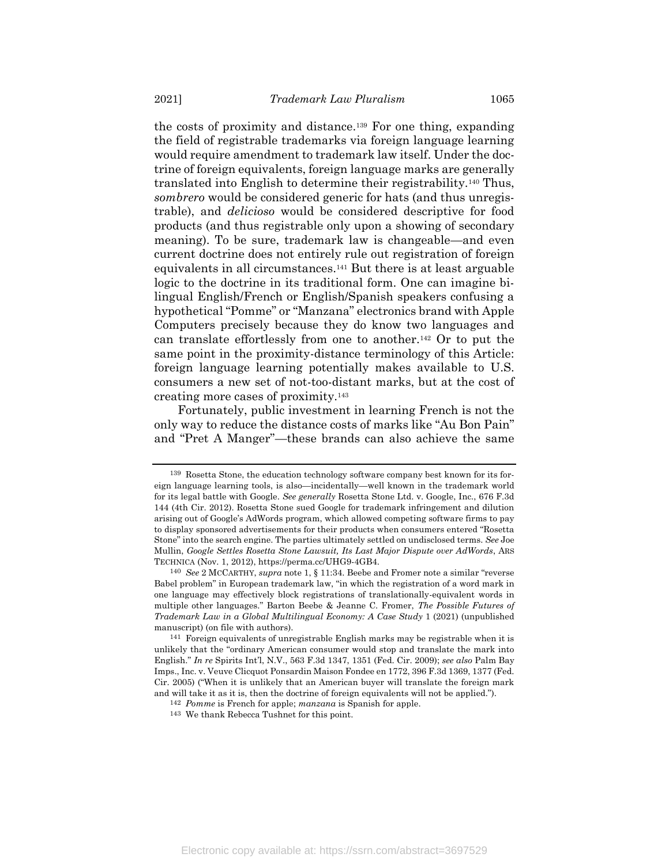the costs of proximity and distance.<sup>139</sup> For one thing, expanding the field of registrable trademarks via foreign language learning would require amendment to trademark law itself. Under the doctrine of foreign equivalents, foreign language marks are generally translated into English to determine their registrability.<sup>140</sup> Thus, *sombrero* would be considered generic for hats (and thus unregistrable), and *delicioso* would be considered descriptive for food products (and thus registrable only upon a showing of secondary meaning). To be sure, trademark law is changeable—and even current doctrine does not entirely rule out registration of foreign equivalents in all circumstances.<sup>141</sup> But there is at least arguable logic to the doctrine in its traditional form. One can imagine bilingual English/French or English/Spanish speakers confusing a hypothetical "Pomme" or "Manzana" electronics brand with Apple Computers precisely because they do know two languages and can translate effortlessly from one to another.<sup>142</sup> Or to put the same point in the proximity-distance terminology of this Article: foreign language learning potentially makes available to U.S. consumers a new set of not-too-distant marks, but at the cost of creating more cases of proximity.<sup>143</sup>

Fortunately, public investment in learning French is not the only way to reduce the distance costs of marks like "Au Bon Pain" and "Pret A Manger"—these brands can also achieve the same

<sup>139</sup> Rosetta Stone, the education technology software company best known for its foreign language learning tools, is also—incidentally—well known in the trademark world for its legal battle with Google. *See generally* Rosetta Stone Ltd. v. Google, Inc., 676 F.3d 144 (4th Cir. 2012). Rosetta Stone sued Google for trademark infringement and dilution arising out of Google's AdWords program, which allowed competing software firms to pay to display sponsored advertisements for their products when consumers entered "Rosetta Stone" into the search engine. The parties ultimately settled on undisclosed terms. *See* Joe Mullin, *Google Settles Rosetta Stone Lawsuit, Its Last Major Dispute over AdWords*, ARS TECHNICA (Nov. 1, 2012), https://perma.cc/UHG9-4GB4.

<sup>140</sup> *See* 2 MCCARTHY, *supra* not[e 1,](#page-2-0) § 11:34. Beebe and Fromer note a similar "reverse Babel problem" in European trademark law, "in which the registration of a word mark in one language may effectively block registrations of translationally-equivalent words in multiple other languages." Barton Beebe & Jeanne C. Fromer, *The Possible Futures of Trademark Law in a Global Multilingual Economy: A Case Study* 1 (2021) (unpublished manuscript) (on file with authors).

<sup>141</sup> Foreign equivalents of unregistrable English marks may be registrable when it is unlikely that the "ordinary American consumer would stop and translate the mark into English." *In re* Spirits Int'l, N.V., 563 F.3d 1347, 1351 (Fed. Cir. 2009); *see also* Palm Bay Imps., Inc. v. Veuve Clicquot Ponsardin Maison Fondee en 1772, 396 F.3d 1369, 1377 (Fed. Cir. 2005) ("When it is unlikely that an American buyer will translate the foreign mark and will take it as it is, then the doctrine of foreign equivalents will not be applied.").

<sup>142</sup> *Pomme* is French for apple; *manzana* is Spanish for apple.

<sup>143</sup> We thank Rebecca Tushnet for this point.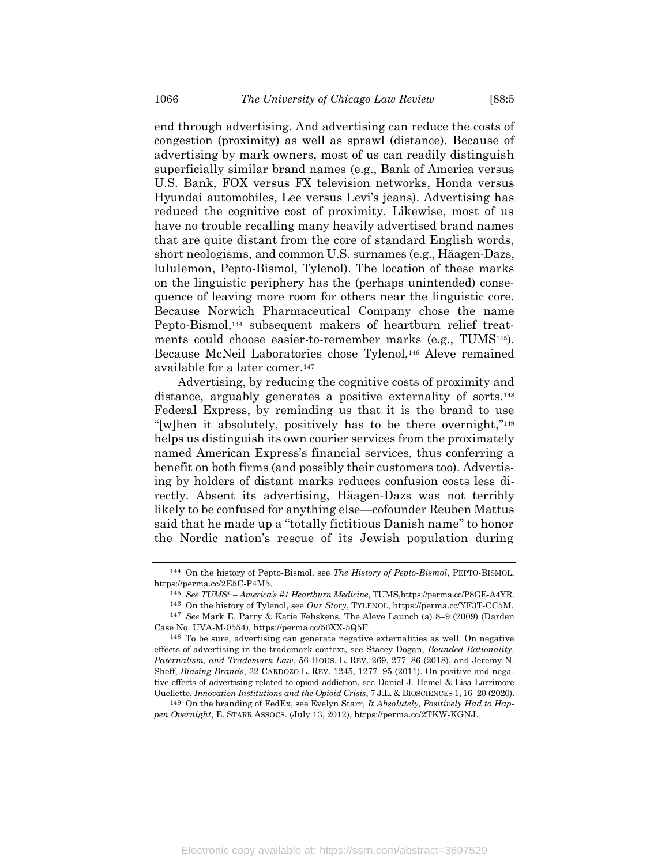end through advertising. And advertising can reduce the costs of congestion (proximity) as well as sprawl (distance). Because of advertising by mark owners, most of us can readily distinguish superficially similar brand names (e.g., Bank of America versus U.S. Bank, FOX versus FX television networks, Honda versus Hyundai automobiles, Lee versus Levi's jeans). Advertising has reduced the cognitive cost of proximity. Likewise, most of us have no trouble recalling many heavily advertised brand names that are quite distant from the core of standard English words, short neologisms, and common U.S. surnames (e.g., Häagen-Dazs, lululemon, Pepto-Bismol, Tylenol). The location of these marks on the linguistic periphery has the (perhaps unintended) consequence of leaving more room for others near the linguistic core. Because Norwich Pharmaceutical Company chose the name Pepto-Bismol,<sup>144</sup> subsequent makers of heartburn relief treatments could choose easier-to-remember marks (e.g., TUMS145). Because McNeil Laboratories chose Tylenol,<sup>146</sup> Aleve remained available for a later comer.<sup>147</sup>

Advertising, by reducing the cognitive costs of proximity and distance, arguably generates a positive externality of sorts.<sup>148</sup> Federal Express, by reminding us that it is the brand to use "[w]hen it absolutely, positively has to be there overnight,"<sup>149</sup> helps us distinguish its own courier services from the proximately named American Express's financial services, thus conferring a benefit on both firms (and possibly their customers too). Advertising by holders of distant marks reduces confusion costs less directly. Absent its advertising, Häagen-Dazs was not terribly likely to be confused for anything else—cofounder Reuben Mattus said that he made up a "totally fictitious Danish name" to honor the Nordic nation's rescue of its Jewish population during

<sup>144</sup> On the history of Pepto-Bismol, see *The History of Pepto-Bismol*, PEPTO-BISMOL, https://perma.cc/2E5C-P4M5.

<sup>145</sup> *See TUMS® – America's #1 Heartburn Medicine*, TUMS,https://perma.cc/P8GE-A4YR.

<sup>146</sup> On the history of Tylenol, see *Our Story*, TYLENOL, https://perma.cc/YF3T-CC5M. 147 *See* Mark E. Parry & Katie Fehskens, The Aleve Launch (a) 8–9 (2009) (Darden Case No. UVA-M-0554), https://perma.cc/56XX-5Q5F.

<sup>148</sup> To be sure, advertising can generate negative externalities as well. On negative effects of advertising in the trademark context, see Stacey Dogan, *Bounded Rationality, Paternalism, and Trademark Law*, 56 HOUS. L. REV. 269, 277–86 (2018), and Jeremy N. Sheff, *Biasing Brands*, 32 CARDOZO L. REV. 1245, 1277–95 (2011). On positive and negative effects of advertising related to opioid addiction, see Daniel J. Hemel & Lisa Larrimore Ouellette, *Innovation Institutions and the Opioid Crisis*, 7 J.L. & BIOSCIENCES 1, 16–20 (2020).

<sup>149</sup> On the branding of FedEx, see Evelyn Starr, *It Absolutely, Positively Had to Happen Overnight*, E. STARR ASSOCS. (July 13, 2012), https://perma.cc/2TKW-KGNJ.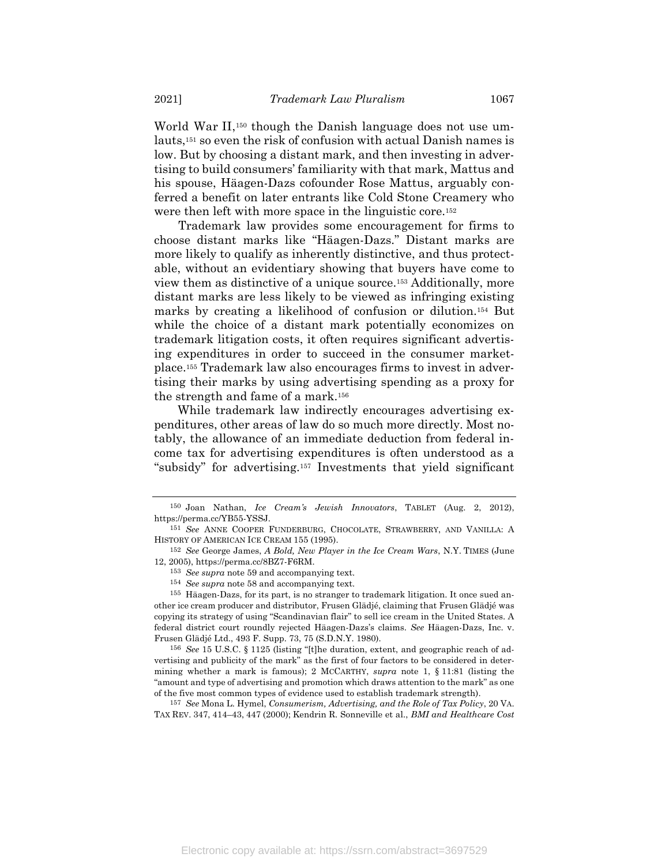World War II,<sup>150</sup> though the Danish language does not use umlauts,<sup>151</sup> so even the risk of confusion with actual Danish names is low. But by choosing a distant mark, and then investing in advertising to build consumers' familiarity with that mark, Mattus and his spouse, Häagen-Dazs cofounder Rose Mattus, arguably conferred a benefit on later entrants like Cold Stone Creamery who were then left with more space in the linguistic core.<sup>152</sup>

Trademark law provides some encouragement for firms to choose distant marks like "Häagen-Dazs." Distant marks are more likely to qualify as inherently distinctive, and thus protectable, without an evidentiary showing that buyers have come to view them as distinctive of a unique source.<sup>153</sup> Additionally, more distant marks are less likely to be viewed as infringing existing marks by creating a likelihood of confusion or dilution.<sup>154</sup> But while the choice of a distant mark potentially economizes on trademark litigation costs, it often requires significant advertising expenditures in order to succeed in the consumer marketplace.<sup>155</sup> Trademark law also encourages firms to invest in advertising their marks by using advertising spending as a proxy for the strength and fame of a mark.<sup>156</sup>

While trademark law indirectly encourages advertising expenditures, other areas of law do so much more directly. Most notably, the allowance of an immediate deduction from federal income tax for advertising expenditures is often understood as a "subsidy" for advertising.<sup>157</sup> Investments that yield significant

157 *See* Mona L. Hymel, *Consumerism, Advertising, and the Role of Tax Policy*, 20 VA. TAX REV. 347, 414–43, 447 (2000); Kendrin R. Sonneville et al., *BMI and Healthcare Cost* 

<sup>150</sup> Joan Nathan, *Ice Cream's Jewish Innovators*, TABLET (Aug. 2, 2012), https://perma.cc/YB55-YSSJ.

<sup>151</sup> *See* ANNE COOPER FUNDERBURG, CHOCOLATE, STRAWBERRY, AND VANILLA: A HISTORY OF AMERICAN ICE CREAM 155 (1995).

<sup>152</sup> *See* George James, *A Bold, New Player in the Ice Cream Wars*, N.Y. TIMES (June 12, 2005), https://perma.cc/8BZ7-F6RM.

<sup>153</sup> *See supra* note [59](#page-18-1) and accompanying text.

<sup>154</sup> *See supra* note [58](#page-18-2) and accompanying text.

<sup>155</sup> Häagen-Dazs, for its part, is no stranger to trademark litigation. It once sued another ice cream producer and distributor, Frusen Glädjé, claiming that Frusen Glädjé was copying its strategy of using "Scandinavian flair" to sell ice cream in the United States. A federal district court roundly rejected Häagen-Dazs's claims. *See* Häagen-Dazs, Inc. v. Frusen Glädjé Ltd., 493 F. Supp. 73, 75 (S.D.N.Y. 1980).

<sup>156</sup> *See* 15 U.S.C. § 1125 (listing "[t]he duration, extent, and geographic reach of advertising and publicity of the mark" as the first of four factors to be considered in determining whether a mark is famous); 2 MCCARTHY, *supra* note [1,](#page-2-0) § 11:81 (listing the "amount and type of advertising and promotion which draws attention to the mark" as one of the five most common types of evidence used to establish trademark strength).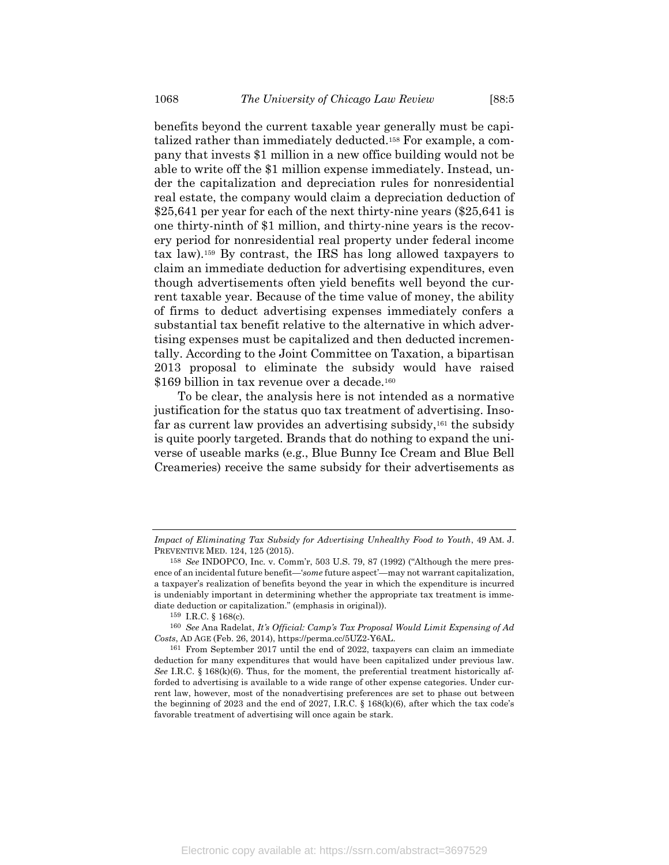benefits beyond the current taxable year generally must be capitalized rather than immediately deducted.<sup>158</sup> For example, a company that invests \$1 million in a new office building would not be able to write off the \$1 million expense immediately. Instead, under the capitalization and depreciation rules for nonresidential real estate, the company would claim a depreciation deduction of \$25,641 per year for each of the next thirty-nine years (\$25,641 is one thirty-ninth of \$1 million, and thirty-nine years is the recovery period for nonresidential real property under federal income tax law).<sup>159</sup> By contrast, the IRS has long allowed taxpayers to claim an immediate deduction for advertising expenditures, even though advertisements often yield benefits well beyond the current taxable year. Because of the time value of money, the ability of firms to deduct advertising expenses immediately confers a substantial tax benefit relative to the alternative in which advertising expenses must be capitalized and then deducted incrementally. According to the Joint Committee on Taxation, a bipartisan 2013 proposal to eliminate the subsidy would have raised \$169 billion in tax revenue over a decade.<sup>160</sup>

To be clear, the analysis here is not intended as a normative justification for the status quo tax treatment of advertising. Insofar as current law provides an advertising subsidy,<sup>161</sup> the subsidy is quite poorly targeted. Brands that do nothing to expand the universe of useable marks (e.g., Blue Bunny Ice Cream and Blue Bell Creameries) receive the same subsidy for their advertisements as

*Impact of Eliminating Tax Subsidy for Advertising Unhealthy Food to Youth*, 49 AM. J. PREVENTIVE MED. 124, 125 (2015).

<sup>158</sup> *See* INDOPCO, Inc. v. Comm'r, 503 U.S. 79, 87 (1992) ("Although the mere presence of an incidental future benefit—'*some* future aspect'—may not warrant capitalization, a taxpayer's realization of benefits beyond the year in which the expenditure is incurred is undeniably important in determining whether the appropriate tax treatment is immediate deduction or capitalization." (emphasis in original)).

<sup>159</sup> I.R.C. § 168(c).

<sup>160</sup> *See* Ana Radelat, *It's Official: Camp's Tax Proposal Would Limit Expensing of Ad Costs*, AD AGE (Feb. 26, 2014), https://perma.cc/5UZ2-Y6AL.

<sup>161</sup> From September 2017 until the end of 2022, taxpayers can claim an immediate deduction for many expenditures that would have been capitalized under previous law. *See* I.R.C. § 168(k)(6). Thus, for the moment, the preferential treatment historically afforded to advertising is available to a wide range of other expense categories. Under current law, however, most of the nonadvertising preferences are set to phase out between the beginning of 2023 and the end of 2027, I.R.C. § 168(k)(6), after which the tax code's favorable treatment of advertising will once again be stark.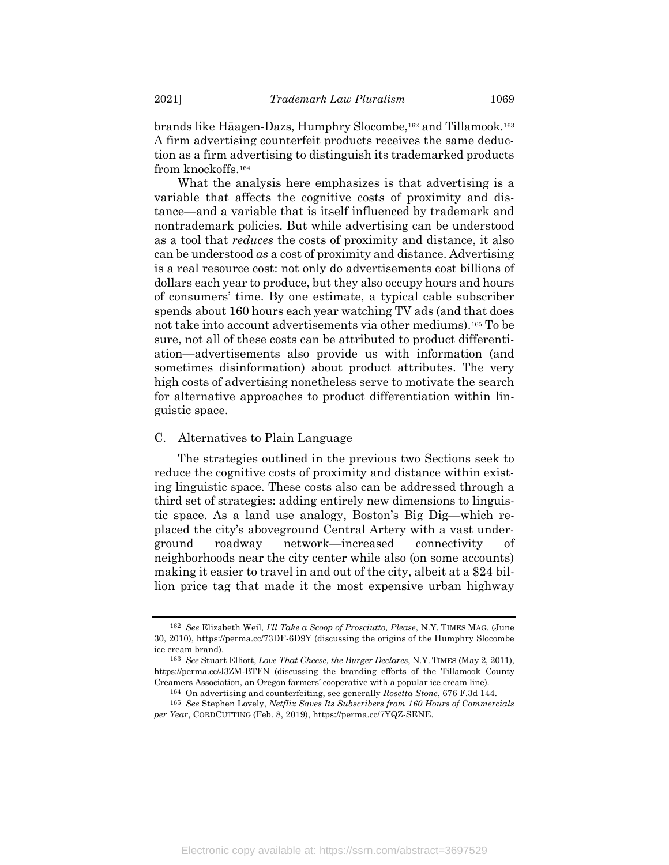brands like Häagen-Dazs, Humphry Slocombe,<sup>162</sup> and Tillamook. 163 A firm advertising counterfeit products receives the same deduction as a firm advertising to distinguish its trademarked products from knockoffs.<sup>164</sup>

What the analysis here emphasizes is that advertising is a variable that affects the cognitive costs of proximity and distance—and a variable that is itself influenced by trademark and nontrademark policies. But while advertising can be understood as a tool that *reduces* the costs of proximity and distance, it also can be understood *as* a cost of proximity and distance. Advertising is a real resource cost: not only do advertisements cost billions of dollars each year to produce, but they also occupy hours and hours of consumers' time. By one estimate, a typical cable subscriber spends about 160 hours each year watching TV ads (and that does not take into account advertisements via other mediums).<sup>165</sup> To be sure, not all of these costs can be attributed to product differentiation—advertisements also provide us with information (and sometimes disinformation) about product attributes. The very high costs of advertising nonetheless serve to motivate the search for alternative approaches to product differentiation within linguistic space.

#### C. Alternatives to Plain Language

The strategies outlined in the previous two Sections seek to reduce the cognitive costs of proximity and distance within existing linguistic space. These costs also can be addressed through a third set of strategies: adding entirely new dimensions to linguistic space. As a land use analogy, Boston's Big Dig—which replaced the city's aboveground Central Artery with a vast underground roadway network—increased connectivity of neighborhoods near the city center while also (on some accounts) making it easier to travel in and out of the city, albeit at a \$24 billion price tag that made it the most expensive urban highway

<sup>162</sup> *See* Elizabeth Weil, *I'll Take a Scoop of Prosciutto, Please*, N.Y. TIMES MAG. (June 30, 2010), https://perma.cc/73DF-6D9Y (discussing the origins of the Humphry Slocombe ice cream brand).

<sup>163</sup> *See* Stuart Elliott, *Love That Cheese, the Burger Declares*, N.Y. TIMES (May 2, 2011), https://perma.cc/J3ZM-BTFN (discussing the branding efforts of the Tillamook County Creamers Association, an Oregon farmers' cooperative with a popular ice cream line).

<sup>164</sup> On advertising and counterfeiting, see generally *Rosetta Stone*, 676 F.3d 144.

<sup>165</sup> *See* Stephen Lovely, *Netflix Saves Its Subscribers from 160 Hours of Commercials per Year*, CORDCUTTING (Feb. 8, 2019), https://perma.cc/7YQZ-SENE.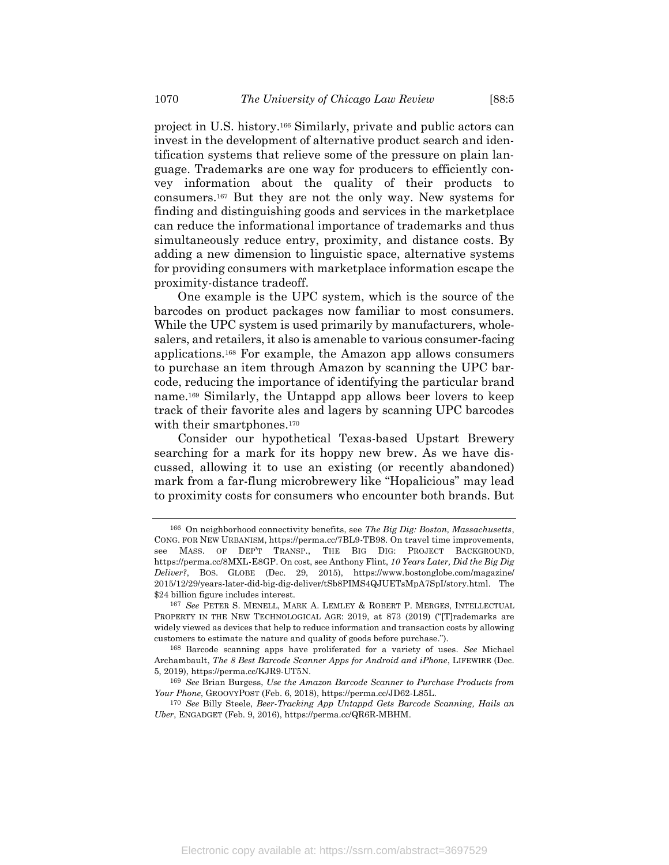project in U.S. history.<sup>166</sup> Similarly, private and public actors can invest in the development of alternative product search and identification systems that relieve some of the pressure on plain language. Trademarks are one way for producers to efficiently convey information about the quality of their products to consumers.<sup>167</sup> But they are not the only way. New systems for finding and distinguishing goods and services in the marketplace can reduce the informational importance of trademarks and thus simultaneously reduce entry, proximity, and distance costs. By adding a new dimension to linguistic space, alternative systems for providing consumers with marketplace information escape the proximity-distance tradeoff.

One example is the UPC system, which is the source of the barcodes on product packages now familiar to most consumers. While the UPC system is used primarily by manufacturers, wholesalers, and retailers, it also is amenable to various consumer-facing applications. <sup>168</sup> For example, the Amazon app allows consumers to purchase an item through Amazon by scanning the UPC barcode, reducing the importance of identifying the particular brand name.<sup>169</sup> Similarly, the Untappd app allows beer lovers to keep track of their favorite ales and lagers by scanning UPC barcodes with their smartphones.<sup>170</sup>

Consider our hypothetical Texas-based Upstart Brewery searching for a mark for its hoppy new brew. As we have discussed, allowing it to use an existing (or recently abandoned) mark from a far-flung microbrewery like "Hopalicious" may lead to proximity costs for consumers who encounter both brands. But

<sup>166</sup> On neighborhood connectivity benefits, see *The Big Dig: Boston, Massachusetts*, CONG. FOR NEW URBANISM, https://perma.cc/7BL9-TB98. On travel time improvements, see MASS. OF DEP'T TRANSP., THE BIG DIG: PROJECT BACKGROUND, https://perma.cc/8MXL-E8GP. On cost, see Anthony Flint, *10 Years Later, Did the Big Dig Deliver?*, BOS. GLOBE (Dec. 29, 2015), https://www.bostonglobe.com/magazine/ 2015/12/29/years-later-did-big-dig-deliver/tSb8PIMS4QJUETsMpA7SpI/story.html. The \$24 billion figure includes interest.

<sup>167</sup> *See* PETER S. MENELL, MARK A. LEMLEY & ROBERT P. MERGES, INTELLECTUAL PROPERTY IN THE NEW TECHNOLOGICAL AGE: 2019, at 873 (2019) ("T]rademarks are widely viewed as devices that help to reduce information and transaction costs by allowing customers to estimate the nature and quality of goods before purchase.").

<sup>168</sup> Barcode scanning apps have proliferated for a variety of uses. *See* Michael Archambault, *The 8 Best Barcode Scanner Apps for Android and iPhone*, LIFEWIRE (Dec. 5, 2019), https://perma.cc/KJR9-UT5N.

<sup>169</sup> *See* Brian Burgess, *Use the Amazon Barcode Scanner to Purchase Products from Your Phone*, GROOVYPOST (Feb. 6, 2018), https://perma.cc/JD62-L85L.

<sup>170</sup> *See* Billy Steele, *Beer-Tracking App Untappd Gets Barcode Scanning, Hails an Uber*, ENGADGET (Feb. 9, 2016), https://perma.cc/QR6R-MBHM.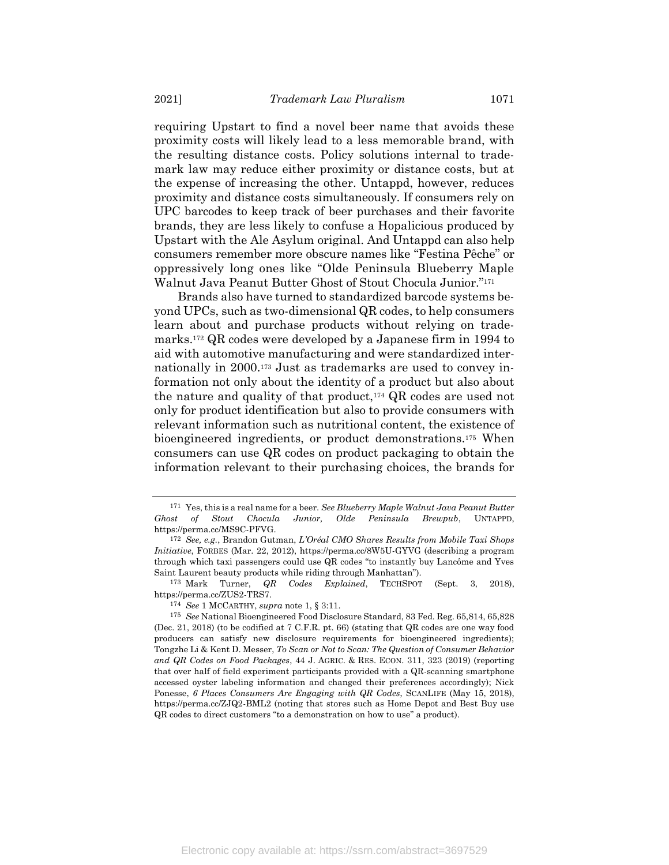requiring Upstart to find a novel beer name that avoids these proximity costs will likely lead to a less memorable brand, with the resulting distance costs. Policy solutions internal to trademark law may reduce either proximity or distance costs, but at the expense of increasing the other. Untappd, however, reduces proximity and distance costs simultaneously. If consumers rely on UPC barcodes to keep track of beer purchases and their favorite brands, they are less likely to confuse a Hopalicious produced by Upstart with the Ale Asylum original. And Untappd can also help consumers remember more obscure names like "Festina Pêche" or oppressively long ones like "Olde Peninsula Blueberry Maple Walnut Java Peanut Butter Ghost of Stout Chocula Junior." 171

Brands also have turned to standardized barcode systems beyond UPCs, such as two-dimensional QR codes, to help consumers learn about and purchase products without relying on trademarks.<sup>172</sup> QR codes were developed by a Japanese firm in 1994 to aid with automotive manufacturing and were standardized internationally in 2000.<sup>173</sup> Just as trademarks are used to convey information not only about the identity of a product but also about the nature and quality of that product,<sup>174</sup> QR codes are used not only for product identification but also to provide consumers with relevant information such as nutritional content, the existence of bioengineered ingredients, or product demonstrations.<sup>175</sup> When consumers can use QR codes on product packaging to obtain the information relevant to their purchasing choices, the brands for

174 *See* 1 MCCARTHY, *supra* note [1,](#page-2-0) § 3:11.

<sup>171</sup> Yes, this is a real name for a beer. *See Blueberry Maple Walnut Java Peanut Butter Ghost of Stout Chocula Junior, Olde Peninsula Brewpub*, UNTAPPD, https://perma.cc/MS9C-PFVG.

<sup>172</sup> *See, e.g.*, Brandon Gutman, *L'Oréal CMO Shares Results from Mobile Taxi Shops Initiative*, FORBES (Mar. 22, 2012), https://perma.cc/8W5U-GYVG (describing a program through which taxi passengers could use QR codes "to instantly buy Lancôme and Yves Saint Laurent beauty products while riding through Manhattan").

<sup>173</sup> Mark Turner, *QR Codes Explained*, TECHSPOT (Sept. 3, 2018), https://perma.cc/ZUS2-TRS7.

<sup>175</sup> *See* National Bioengineered Food Disclosure Standard, 83 Fed. Reg. 65,814, 65,828 (Dec. 21, 2018) (to be codified at 7 C.F.R. pt. 66) (stating that QR codes are one way food producers can satisfy new disclosure requirements for bioengineered ingredients); Tongzhe Li & Kent D. Messer, *To Scan or Not to Scan: The Question of Consumer Behavior and QR Codes on Food Packages*, 44 J. AGRIC. & RES. ECON. 311, 323 (2019) (reporting that over half of field experiment participants provided with a QR-scanning smartphone accessed oyster labeling information and changed their preferences accordingly); Nick Ponesse, *6 Places Consumers Are Engaging with QR Codes*, SCANLIFE (May 15, 2018), https://perma.cc/ZJQ2-BML2 (noting that stores such as Home Depot and Best Buy use QR codes to direct customers "to a demonstration on how to use" a product).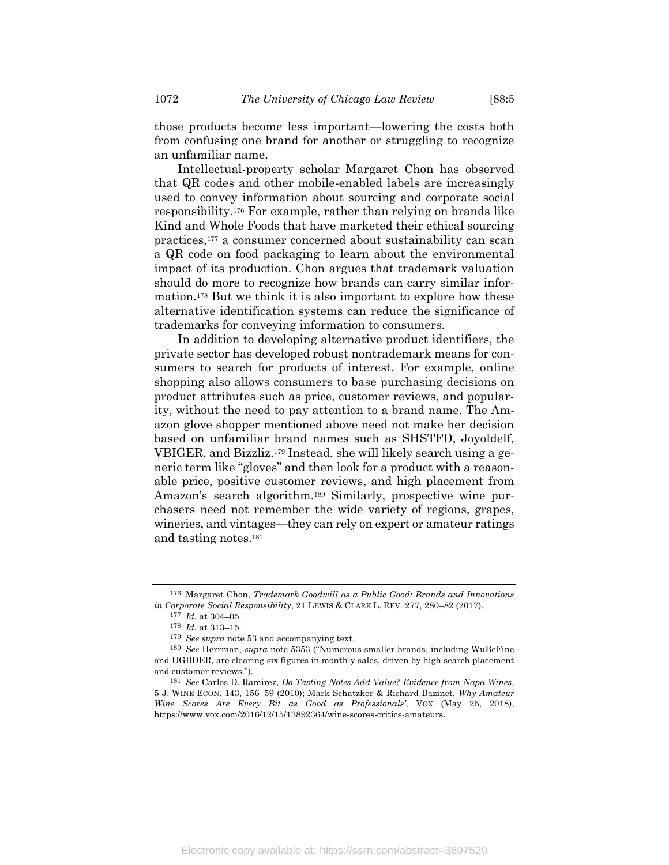those products become less important—lowering the costs both from confusing one brand for another or struggling to recognize an unfamiliar name.

Intellectual-property scholar Margaret Chon has observed that QR codes and other mobile-enabled labels are increasingly used to convey information about sourcing and corporate social responsibility.<sup>176</sup> For example, rather than relying on brands like Kind and Whole Foods that have marketed their ethical sourcing practices,<sup>177</sup> a consumer concerned about sustainability can scan a QR code on food packaging to learn about the environmental impact of its production. Chon argues that trademark valuation should do more to recognize how brands can carry similar information.<sup>178</sup> But we think it is also important to explore how these alternative identification systems can reduce the significance of trademarks for conveying information to consumers.

In addition to developing alternative product identifiers, the private sector has developed robust nontrademark means for consumers to search for products of interest. For example, online shopping also allows consumers to base purchasing decisions on product attributes such as price, customer reviews, and popularity, without the need to pay attention to a brand name. The Amazon glove shopper mentioned above need not make her decision based on unfamiliar brand names such as SHSTFD, Joyoldelf, VBIGER, and Bizzliz.<sup>179</sup> Instead, she will likely search using a generic term like "gloves" and then look for a product with a reasonable price, positive customer reviews, and high placement from Amazon's search algorithm.<sup>180</sup> Similarly, prospective wine purchasers need not remember the wide variety of regions, grapes, wineries, and vintages—they can rely on expert or amateur ratings and tasting notes.<sup>181</sup>

<sup>176</sup> Margaret Chon, *Trademark Goodwill as a Public Good: Brands and Innovations in Corporate Social Responsibility*, 21 LEWIS & CLARK L. REV. 277, 280–82 (2017).

<sup>177</sup> *Id.* at 304–05.

<sup>178</sup> *Id.* at 313–15.

<sup>179</sup> *See supra* note [53](#page-17-0) and accompanying text.

<sup>180</sup> *See* Herrman, *supra* note [5353](#page-17-0) ("Numerous smaller brands, including WuBeFine and UGBDER, are clearing six figures in monthly sales, driven by high search placement and customer reviews.").

<sup>181</sup> *See* Carlos D. Ramirez, *Do Tasting Notes Add Value? Evidence from Napa Wines*, 5 J. WINE ECON. 143, 156–59 (2010); Mark Schatzker & Richard Bazinet, *Why Amateur Wine Scores Are Every Bit as Good as Professionals'*, VOX (May 25, 2018), https://www.vox.com/2016/12/15/13892364/wine-scores-critics-amateurs.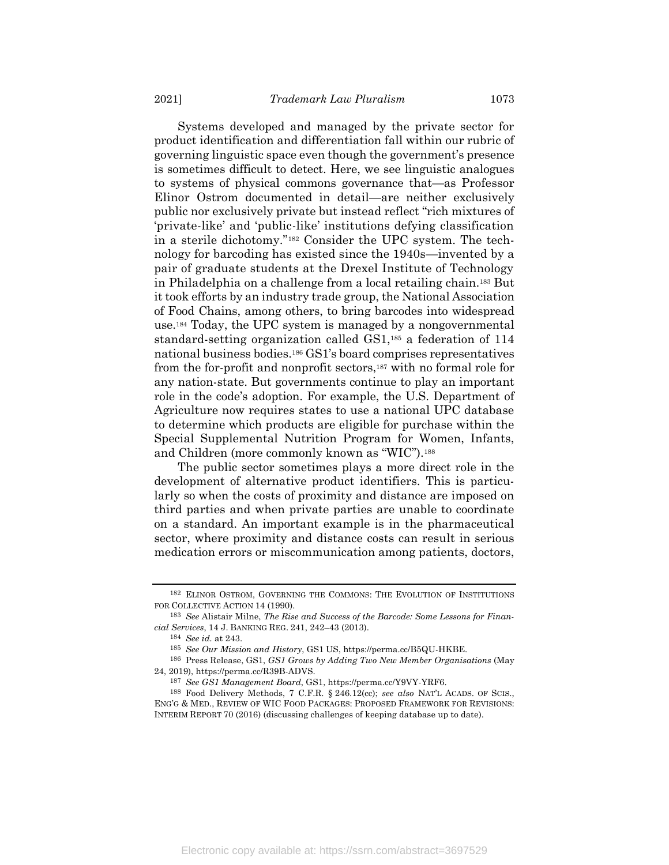Systems developed and managed by the private sector for product identification and differentiation fall within our rubric of governing linguistic space even though the government's presence is sometimes difficult to detect. Here, we see linguistic analogues to systems of physical commons governance that—as Professor Elinor Ostrom documented in detail—are neither exclusively public nor exclusively private but instead reflect "rich mixtures of 'private-like' and 'public-like' institutions defying classification in a sterile dichotomy."<sup>182</sup> Consider the UPC system. The technology for barcoding has existed since the 1940s—invented by a pair of graduate students at the Drexel Institute of Technology in Philadelphia on a challenge from a local retailing chain.<sup>183</sup> But it took efforts by an industry trade group, the National Association of Food Chains, among others, to bring barcodes into widespread use.<sup>184</sup> Today, the UPC system is managed by a nongovernmental standard-setting organization called GS1,<sup>185</sup> a federation of 114 national business bodies.<sup>186</sup> GS1's board comprises representatives from the for-profit and nonprofit sectors,<sup>187</sup> with no formal role for any nation-state. But governments continue to play an important role in the code's adoption. For example, the U.S. Department of Agriculture now requires states to use a national UPC database to determine which products are eligible for purchase within the Special Supplemental Nutrition Program for Women, Infants, and Children (more commonly known as "WIC").<sup>188</sup>

The public sector sometimes plays a more direct role in the development of alternative product identifiers. This is particularly so when the costs of proximity and distance are imposed on third parties and when private parties are unable to coordinate on a standard. An important example is in the pharmaceutical sector, where proximity and distance costs can result in serious medication errors or miscommunication among patients, doctors,

184 *See id.* at 243.

<sup>182</sup> ELINOR OSTROM, GOVERNING THE COMMONS: THE EVOLUTION OF INSTITUTIONS FOR COLLECTIVE ACTION 14 (1990).

<sup>183</sup> *See* Alistair Milne, *The Rise and Success of the Barcode: Some Lessons for Financial Services*, 14 J. BANKING REG. 241, 242–43 (2013).

<sup>185</sup> *See Our Mission and History*, GS1 US, https://perma.cc/B5QU-HKBE.

<sup>186</sup> Press Release, GS1, *GS1 Grows by Adding Two New Member Organisations* (May 24, 2019), https://perma.cc/R39B-ADVS.

<sup>187</sup> *See GS1 Management Board*, GS1, https://perma.cc/Y9VY-YRF6.

<sup>188</sup> Food Delivery Methods, 7 C.F.R. § 246.12(cc); *see also* NAT'L ACADS. OF SCIS., ENG'G & MED., REVIEW OF WIC FOOD PACKAGES: PROPOSED FRAMEWORK FOR REVISIONS: INTERIM REPORT 70 (2016) (discussing challenges of keeping database up to date).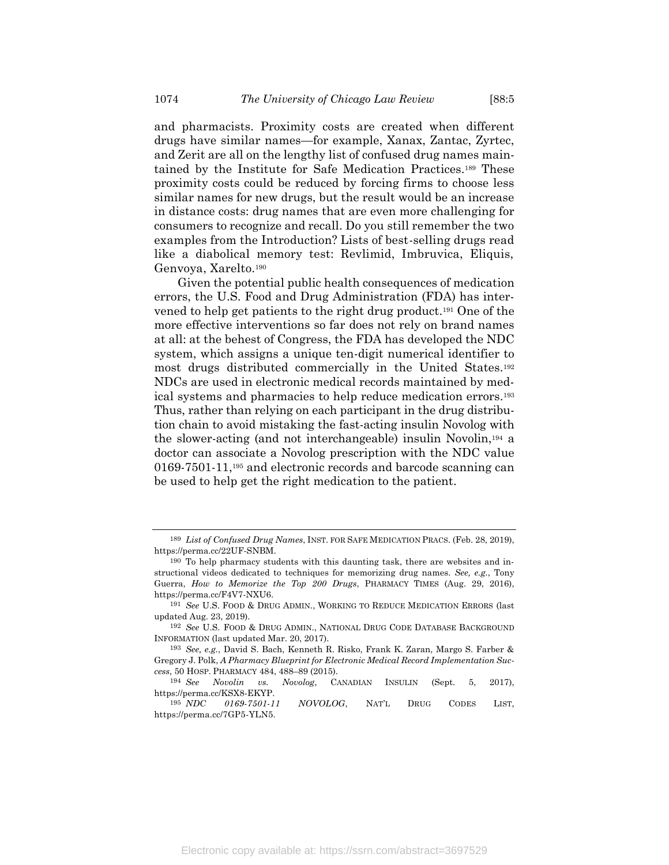and pharmacists. Proximity costs are created when different drugs have similar names—for example, Xanax, Zantac, Zyrtec, and Zerit are all on the lengthy list of confused drug names maintained by the Institute for Safe Medication Practices.<sup>189</sup> These proximity costs could be reduced by forcing firms to choose less similar names for new drugs, but the result would be an increase in distance costs: drug names that are even more challenging for consumers to recognize and recall. Do you still remember the two examples from the Introduction? Lists of best-selling drugs read like a diabolical memory test: Revlimid, Imbruvica, Eliquis, Genvoya, Xarelto.<sup>190</sup>

<span id="page-50-0"></span>Given the potential public health consequences of medication errors, the U.S. Food and Drug Administration (FDA) has intervened to help get patients to the right drug product.<sup>191</sup> One of the more effective interventions so far does not rely on brand names at all: at the behest of Congress, the FDA has developed the NDC system, which assigns a unique ten-digit numerical identifier to most drugs distributed commercially in the United States.<sup>192</sup> NDCs are used in electronic medical records maintained by medical systems and pharmacies to help reduce medication errors.<sup>193</sup> Thus, rather than relying on each participant in the drug distribution chain to avoid mistaking the fast-acting insulin Novolog with the slower-acting (and not interchangeable) insulin Novolin, <sup>194</sup> a doctor can associate a Novolog prescription with the NDC value 0169-7501-11,<sup>195</sup> and electronic records and barcode scanning can be used to help get the right medication to the patient.

<sup>189</sup> *List of Confused Drug Names*, INST. FOR SAFE MEDICATION PRACS. (Feb. 28, 2019), https://perma.cc/22UF-SNBM.

<sup>190</sup> To help pharmacy students with this daunting task, there are websites and instructional videos dedicated to techniques for memorizing drug names. *See, e.g.*, Tony Guerra, *How to Memorize the Top 200 Drugs*, PHARMACY TIMES (Aug. 29, 2016), https://perma.cc/F4V7-NXU6.

<sup>191</sup> *See* U.S. FOOD & DRUG ADMIN., WORKING TO REDUCE MEDICATION ERRORS (last updated Aug. 23, 2019).

<sup>192</sup> *See* U.S. FOOD & DRUG ADMIN., NATIONAL DRUG CODE DATABASE BACKGROUND INFORMATION (last updated Mar. 20, 2017).

<sup>193</sup> *See, e.g.*, David S. Bach, Kenneth R. Risko, Frank K. Zaran, Margo S. Farber & Gregory J. Polk, *A Pharmacy Blueprint for Electronic Medical Record Implementation Success*, 50 HOSP. PHARMACY 484, 488–89 (2015).

<sup>194</sup> *See Novolin vs. Novolog*, CANADIAN INSULIN (Sept. 5, 2017), https://perma.cc/KSX8-EKYP.

<sup>195</sup> *NDC 0169-7501-11 NOVOLOG*, NAT'L DRUG CODES LIST, https://perma.cc/7GP5-YLN5.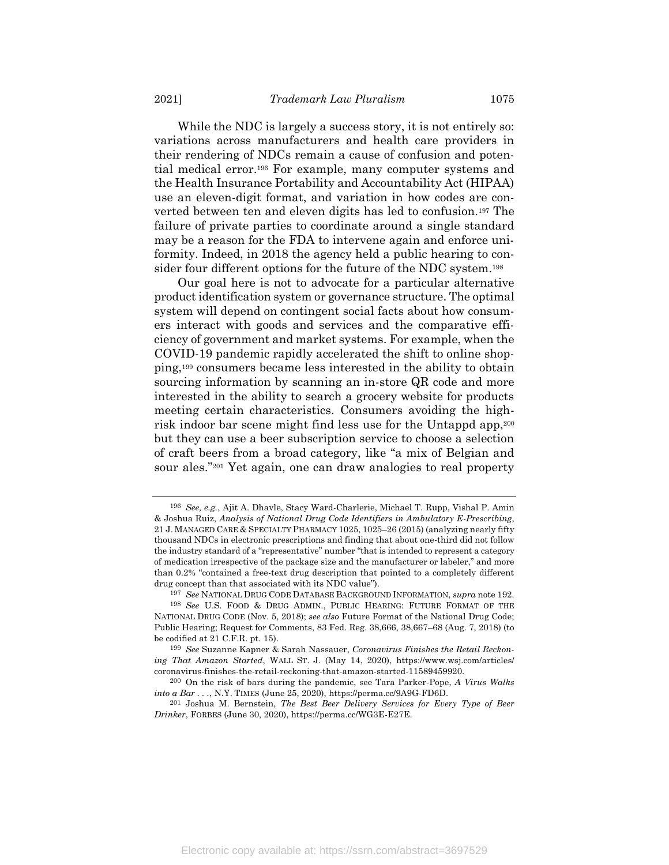While the NDC is largely a success story, it is not entirely so: variations across manufacturers and health care providers in their rendering of NDCs remain a cause of confusion and potential medical error.<sup>196</sup> For example, many computer systems and the Health Insurance Portability and Accountability Act (HIPAA) use an eleven-digit format, and variation in how codes are converted between ten and eleven digits has led to confusion.<sup>197</sup> The failure of private parties to coordinate around a single standard may be a reason for the FDA to intervene again and enforce uniformity. Indeed, in 2018 the agency held a public hearing to consider four different options for the future of the NDC system.<sup>198</sup>

Our goal here is not to advocate for a particular alternative product identification system or governance structure. The optimal system will depend on contingent social facts about how consumers interact with goods and services and the comparative efficiency of government and market systems. For example, when the COVID-19 pandemic rapidly accelerated the shift to online shopping,<sup>199</sup> consumers became less interested in the ability to obtain sourcing information by scanning an in-store QR code and more interested in the ability to search a grocery website for products meeting certain characteristics. Consumers avoiding the highrisk indoor bar scene might find less use for the Untappd app,<sup>200</sup> but they can use a beer subscription service to choose a selection of craft beers from a broad category, like "a mix of Belgian and sour ales."<sup>201</sup> Yet again, one can draw analogies to real property

<sup>196</sup> *See, e.g.*, Ajit A. Dhavle, Stacy Ward-Charlerie, Michael T. Rupp, Vishal P. Amin & Joshua Ruiz, *Analysis of National Drug Code Identifiers in Ambulatory E-Prescribing*, 21 J. MANAGED CARE & SPECIALTY PHARMACY 1025, 1025–26 (2015) (analyzing nearly fifty thousand NDCs in electronic prescriptions and finding that about one-third did not follow the industry standard of a "representative" number "that is intended to represent a category of medication irrespective of the package size and the manufacturer or labeler," and more than 0.2% "contained a free-text drug description that pointed to a completely different drug concept than that associated with its NDC value").

<sup>197</sup> *See* NATIONAL DRUG CODE DATABASE BACKGROUND INFORMATION, *supra* not[e 192.](#page-50-0)

<sup>198</sup> *See* U.S. FOOD & DRUG ADMIN., PUBLIC HEARING: FUTURE FORMAT OF THE NATIONAL DRUG CODE (Nov. 5, 2018); *see also* Future Format of the National Drug Code; Public Hearing; Request for Comments, 83 Fed. Reg. 38,666, 38,667–68 (Aug. 7, 2018) (to be codified at 21 C.F.R. pt. 15).

<sup>199</sup> *See* Suzanne Kapner & Sarah Nassauer, *Coronavirus Finishes the Retail Reckoning That Amazon Started*, WALL ST. J. (May 14, 2020), https://www.wsj.com/articles/ coronavirus-finishes-the-retail-reckoning-that-amazon-started-11589459920.

<sup>200</sup> On the risk of bars during the pandemic, see Tara Parker-Pope, *A Virus Walks into a Bar . . .*, N.Y. TIMES (June 25, 2020), https://perma.cc/9A9G-FD6D.

<sup>201</sup> Joshua M. Bernstein, *The Best Beer Delivery Services for Every Type of Beer Drinker*, FORBES (June 30, 2020), https://perma.cc/WG3E-E27E.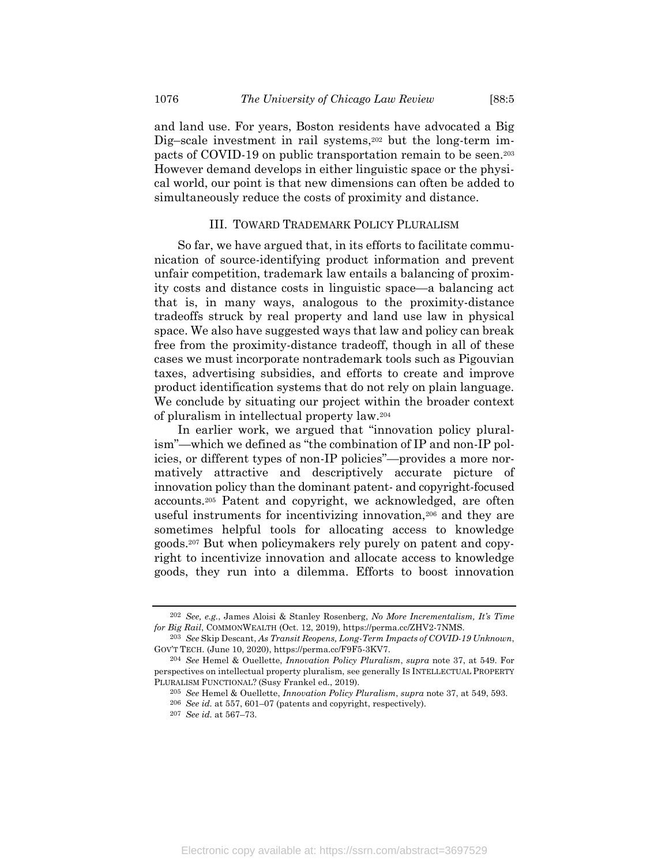and land use. For years, Boston residents have advocated a Big Dig–scale investment in rail systems,<sup>202</sup> but the long-term impacts of COVID-19 on public transportation remain to be seen.<sup>203</sup> However demand develops in either linguistic space or the physical world, our point is that new dimensions can often be added to simultaneously reduce the costs of proximity and distance.

### III. TOWARD TRADEMARK POLICY PLURALISM

So far, we have argued that, in its efforts to facilitate communication of source-identifying product information and prevent unfair competition, trademark law entails a balancing of proximity costs and distance costs in linguistic space—a balancing act that is, in many ways, analogous to the proximity-distance tradeoffs struck by real property and land use law in physical space. We also have suggested ways that law and policy can break free from the proximity-distance tradeoff, though in all of these cases we must incorporate nontrademark tools such as Pigouvian taxes, advertising subsidies, and efforts to create and improve product identification systems that do not rely on plain language. We conclude by situating our project within the broader context of pluralism in intellectual property law.<sup>204</sup>

In earlier work, we argued that "innovation policy pluralism"—which we defined as "the combination of IP and non-IP policies, or different types of non-IP policies"—provides a more normatively attractive and descriptively accurate picture of innovation policy than the dominant patent- and copyright-focused accounts. <sup>205</sup> Patent and copyright, we acknowledged, are often useful instruments for incentivizing innovation,<sup>206</sup> and they are sometimes helpful tools for allocating access to knowledge goods.<sup>207</sup> But when policymakers rely purely on patent and copyright to incentivize innovation and allocate access to knowledge goods, they run into a dilemma. Efforts to boost innovation

<sup>202</sup> *See, e.g.*, James Aloisi & Stanley Rosenberg, *No More Incrementalism, It's Time for Big Rail*, COMMONWEALTH (Oct. 12, 2019), https://perma.cc/ZHV2-7NMS.

<sup>203</sup> *See* Skip Descant, *As Transit Reopens, Long-Term Impacts of COVID-19 Unknown*, GOV'T TECH. (June 10, 2020), https://perma.cc/F9F5-3KV7.

<sup>204</sup> *See* Hemel & Ouellette, *Innovation Policy Pluralism*, *supra* note [37,](#page-12-0) at 549. For perspectives on intellectual property pluralism, see generally IS INTELLECTUAL PROPERTY PLURALISM FUNCTIONAL? (Susy Frankel ed., 2019).

<sup>205</sup> *See* Hemel & Ouellette, *Innovation Policy Pluralism*, *supra* not[e 37,](#page-12-0) at 549, 593.

<sup>206</sup> *See id.* at 557, 601–07 (patents and copyright, respectively).

<sup>207</sup> *See id.* at 567–73.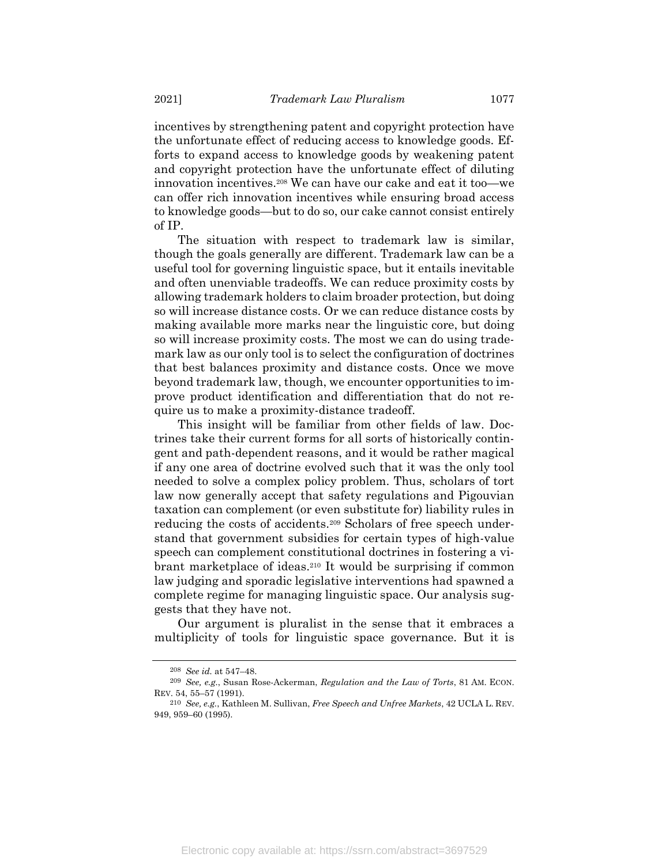incentives by strengthening patent and copyright protection have the unfortunate effect of reducing access to knowledge goods. Efforts to expand access to knowledge goods by weakening patent and copyright protection have the unfortunate effect of diluting innovation incentives.<sup>208</sup> We can have our cake and eat it too—we can offer rich innovation incentives while ensuring broad access to knowledge goods—but to do so, our cake cannot consist entirely of IP.

The situation with respect to trademark law is similar, though the goals generally are different. Trademark law can be a useful tool for governing linguistic space, but it entails inevitable and often unenviable tradeoffs. We can reduce proximity costs by allowing trademark holders to claim broader protection, but doing so will increase distance costs. Or we can reduce distance costs by making available more marks near the linguistic core, but doing so will increase proximity costs. The most we can do using trademark law as our only tool is to select the configuration of doctrines that best balances proximity and distance costs. Once we move beyond trademark law, though, we encounter opportunities to improve product identification and differentiation that do not require us to make a proximity-distance tradeoff.

This insight will be familiar from other fields of law. Doctrines take their current forms for all sorts of historically contingent and path-dependent reasons, and it would be rather magical if any one area of doctrine evolved such that it was the only tool needed to solve a complex policy problem. Thus, scholars of tort law now generally accept that safety regulations and Pigouvian taxation can complement (or even substitute for) liability rules in reducing the costs of accidents.<sup>209</sup> Scholars of free speech understand that government subsidies for certain types of high-value speech can complement constitutional doctrines in fostering a vibrant marketplace of ideas.<sup>210</sup> It would be surprising if common law judging and sporadic legislative interventions had spawned a complete regime for managing linguistic space. Our analysis suggests that they have not.

Our argument is pluralist in the sense that it embraces a multiplicity of tools for linguistic space governance. But it is

<sup>208</sup> *See id.* at 547–48.

<sup>209</sup> *See, e.g.*, Susan Rose-Ackerman, *Regulation and the Law of Torts*, 81 AM. ECON. REV. 54, 55–57 (1991).

<sup>210</sup> *See, e.g.*, Kathleen M. Sullivan, *Free Speech and Unfree Markets*, 42 UCLA L. REV. 949, 959–60 (1995).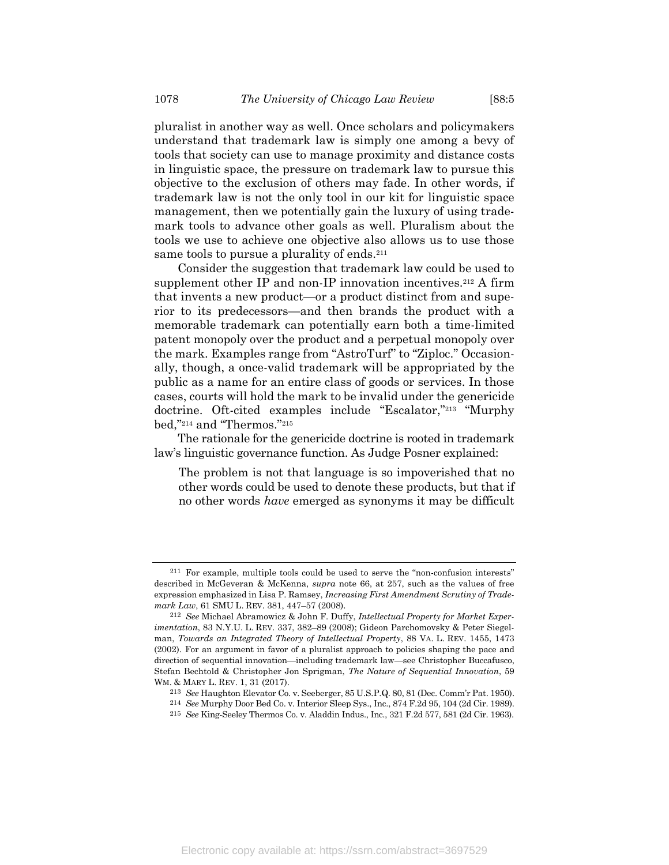pluralist in another way as well. Once scholars and policymakers understand that trademark law is simply one among a bevy of tools that society can use to manage proximity and distance costs in linguistic space, the pressure on trademark law to pursue this objective to the exclusion of others may fade. In other words, if trademark law is not the only tool in our kit for linguistic space management, then we potentially gain the luxury of using trademark tools to advance other goals as well. Pluralism about the tools we use to achieve one objective also allows us to use those same tools to pursue a plurality of ends.<sup>211</sup>

Consider the suggestion that trademark law could be used to supplement other IP and non-IP innovation incentives.<sup>212</sup> A firm that invents a new product—or a product distinct from and superior to its predecessors—and then brands the product with a memorable trademark can potentially earn both a time-limited patent monopoly over the product and a perpetual monopoly over the mark. Examples range from "AstroTurf" to "Ziploc." Occasionally, though, a once-valid trademark will be appropriated by the public as a name for an entire class of goods or services. In those cases, courts will hold the mark to be invalid under the genericide doctrine. Oft-cited examples include "Escalator," <sup>213</sup> "Murphy bed," <sup>214</sup> and "Thermos." 215

The rationale for the genericide doctrine is rooted in trademark law's linguistic governance function. As Judge Posner explained:

The problem is not that language is so impoverished that no other words could be used to denote these products, but that if no other words *have* emerged as synonyms it may be difficult

<sup>211</sup> For example, multiple tools could be used to serve the "non-confusion interests" described in McGeveran & McKenna, *supra* note [66,](#page-20-1) at 257, such as the values of free expression emphasized in Lisa P. Ramsey, *Increasing First Amendment Scrutiny of Trademark Law*, 61 SMU L. REV. 381, 447–57 (2008).

<sup>212</sup> *See* Michael Abramowicz & John F. Duffy, *Intellectual Property for Market Experimentation*, 83 N.Y.U. L. REV. 337, 382–89 (2008); Gideon Parchomovsky & Peter Siegelman, *Towards an Integrated Theory of Intellectual Property*, 88 VA. L. REV. 1455, 1473 (2002). For an argument in favor of a pluralist approach to policies shaping the pace and direction of sequential innovation—including trademark law—see Christopher Buccafusco, Stefan Bechtold & Christopher Jon Sprigman, *The Nature of Sequential Innovation*, 59 WM. & MARY L. REV. 1, 31 (2017).

<sup>213</sup> *See* Haughton Elevator Co. v. Seeberger, 85 U.S.P.Q. 80, 81 (Dec. Comm'r Pat. 1950).

<sup>214</sup> *See* Murphy Door Bed Co. v. Interior Sleep Sys., Inc., 874 F.2d 95, 104 (2d Cir. 1989).

<sup>215</sup> *See* King-Seeley Thermos Co. v. Aladdin Indus., Inc., 321 F.2d 577, 581 (2d Cir. 1963).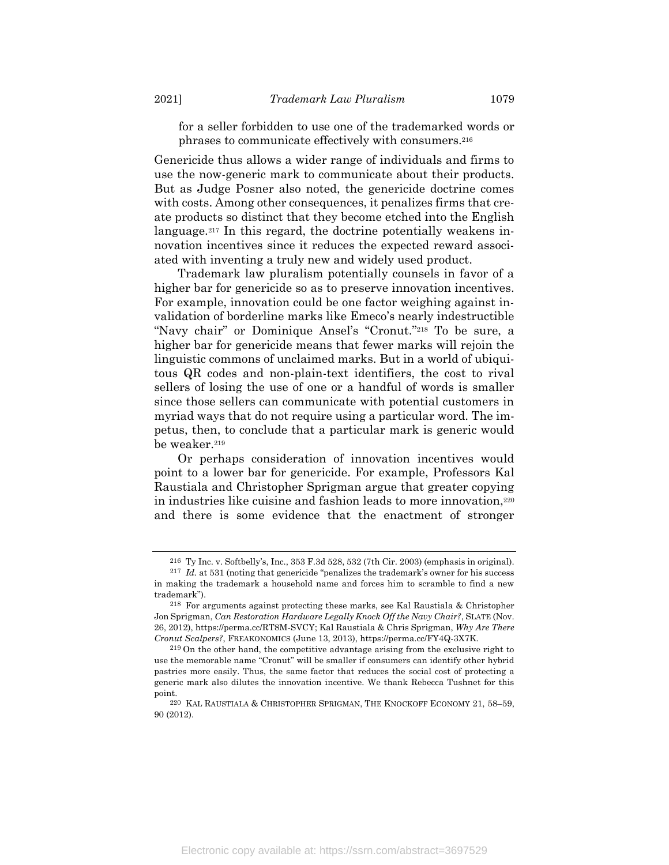for a seller forbidden to use one of the trademarked words or phrases to communicate effectively with consumers.<sup>216</sup>

Genericide thus allows a wider range of individuals and firms to use the now-generic mark to communicate about their products. But as Judge Posner also noted, the genericide doctrine comes with costs. Among other consequences, it penalizes firms that create products so distinct that they become etched into the English language.<sup>217</sup> In this regard, the doctrine potentially weakens innovation incentives since it reduces the expected reward associated with inventing a truly new and widely used product.

Trademark law pluralism potentially counsels in favor of a higher bar for genericide so as to preserve innovation incentives. For example, innovation could be one factor weighing against invalidation of borderline marks like Emeco's nearly indestructible "Navy chair" or Dominique Ansel's "Cronut." <sup>218</sup> To be sure, a higher bar for genericide means that fewer marks will rejoin the linguistic commons of unclaimed marks. But in a world of ubiquitous QR codes and non-plain-text identifiers, the cost to rival sellers of losing the use of one or a handful of words is smaller since those sellers can communicate with potential customers in myriad ways that do not require using a particular word. The impetus, then, to conclude that a particular mark is generic would be weaker.<sup>219</sup>

Or perhaps consideration of innovation incentives would point to a lower bar for genericide. For example, Professors Kal Raustiala and Christopher Sprigman argue that greater copying in industries like cuisine and fashion leads to more innovation,<sup>220</sup> and there is some evidence that the enactment of stronger

<sup>216</sup> Ty Inc. v. Softbelly's, Inc., 353 F.3d 528, 532 (7th Cir. 2003) (emphasis in original).

<sup>217</sup> *Id.* at 531 (noting that genericide "penalizes the trademark's owner for his success in making the trademark a household name and forces him to scramble to find a new trademark").

<sup>218</sup> For arguments against protecting these marks, see Kal Raustiala & Christopher Jon Sprigman, *Can Restoration Hardware Legally Knock Off the Navy Chair?*, SLATE (Nov. 26, 2012), https://perma.cc/RT8M-SVCY; Kal Raustiala & Chris Sprigman, *Why Are There Cronut Scalpers?*, FREAKONOMICS (June 13, 2013), https://perma.cc/FY4Q-3X7K.

<sup>219</sup> On the other hand, the competitive advantage arising from the exclusive right to use the memorable name "Cronut" will be smaller if consumers can identify other hybrid pastries more easily. Thus, the same factor that reduces the social cost of protecting a generic mark also dilutes the innovation incentive. We thank Rebecca Tushnet for this point.

<sup>220</sup> KAL RAUSTIALA & CHRISTOPHER SPRIGMAN, THE KNOCKOFF ECONOMY 21, 58–59, 90 (2012).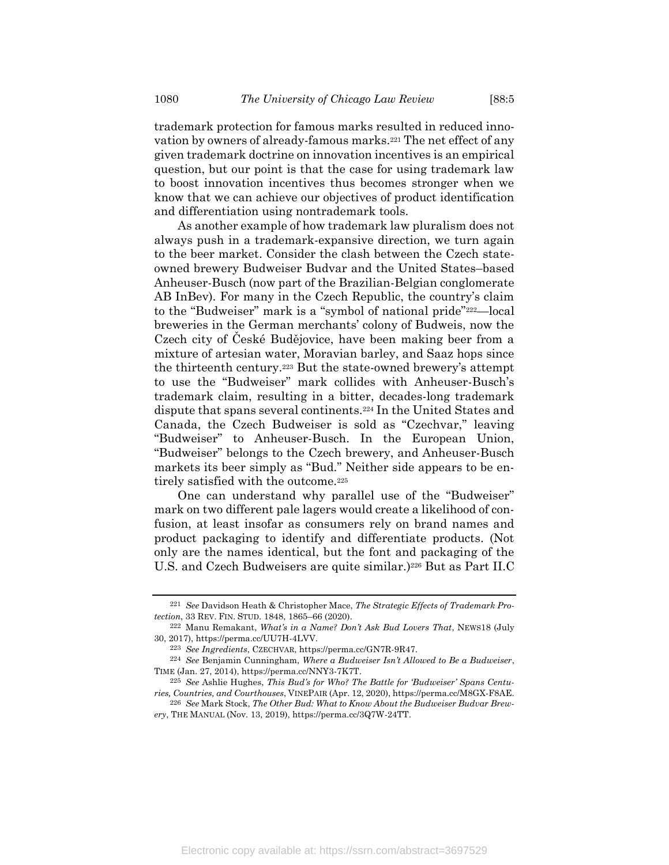trademark protection for famous marks resulted in reduced innovation by owners of already-famous marks.<sup>221</sup> The net effect of any given trademark doctrine on innovation incentives is an empirical question, but our point is that the case for using trademark law to boost innovation incentives thus becomes stronger when we know that we can achieve our objectives of product identification and differentiation using nontrademark tools.

As another example of how trademark law pluralism does not always push in a trademark-expansive direction, we turn again to the beer market. Consider the clash between the Czech stateowned brewery Budweiser Budvar and the United States–based Anheuser-Busch (now part of the Brazilian-Belgian conglomerate AB InBev). For many in the Czech Republic, the country's claim to the "Budweiser" mark is a "symbol of national pride"222—local breweries in the German merchants' colony of Budweis, now the Czech city of České Budějovice, have been making beer from a mixture of artesian water, Moravian barley, and Saaz hops since the thirteenth century.<sup>223</sup> But the state-owned brewery's attempt to use the "Budweiser" mark collides with Anheuser-Busch's trademark claim, resulting in a bitter, decades-long trademark dispute that spans several continents.<sup>224</sup> In the United States and Canada, the Czech Budweiser is sold as "Czechvar," leaving "Budweiser" to Anheuser-Busch. In the European Union, "Budweiser" belongs to the Czech brewery, and Anheuser-Busch markets its beer simply as "Bud." Neither side appears to be entirely satisfied with the outcome.<sup>225</sup>

One can understand why parallel use of the "Budweiser" mark on two different pale lagers would create a likelihood of confusion, at least insofar as consumers rely on brand names and product packaging to identify and differentiate products. (Not only are the names identical, but the font and packaging of the U.S. and Czech Budweisers are quite similar.) <sup>226</sup> But as Part II.C

<sup>221</sup> *See* Davidson Heath & Christopher Mace, *The Strategic Effects of Trademark Protection*, 33 REV. FIN. STUD. 1848, 1865–66 (2020).

<sup>222</sup> Manu Remakant, *What's in a Name? Don't Ask Bud Lovers That*, NEWS18 (July 30, 2017), https://perma.cc/UU7H-4LVV.

<sup>223</sup> *See Ingredients*, CZECHVAR, https://perma.cc/GN7R-9R47.

<sup>224</sup> *See* Benjamin Cunningham, *Where a Budweiser Isn't Allowed to Be a Budweiser*, TIME (Jan. 27, 2014), https://perma.cc/NNY3-7K7T.

<sup>225</sup> *See* Ashlie Hughes, *This Bud's for Who? The Battle for 'Budweiser' Spans Centuries, Countries, and Courthouses*, VINEPAIR (Apr. 12, 2020), https://perma.cc/M8GX-F8AE.

<sup>226</sup> *See* Mark Stock, *The Other Bud: What to Know About the Budweiser Budvar Brewery*, THE MANUAL (Nov. 13, 2019), https://perma.cc/3Q7W-24TT.